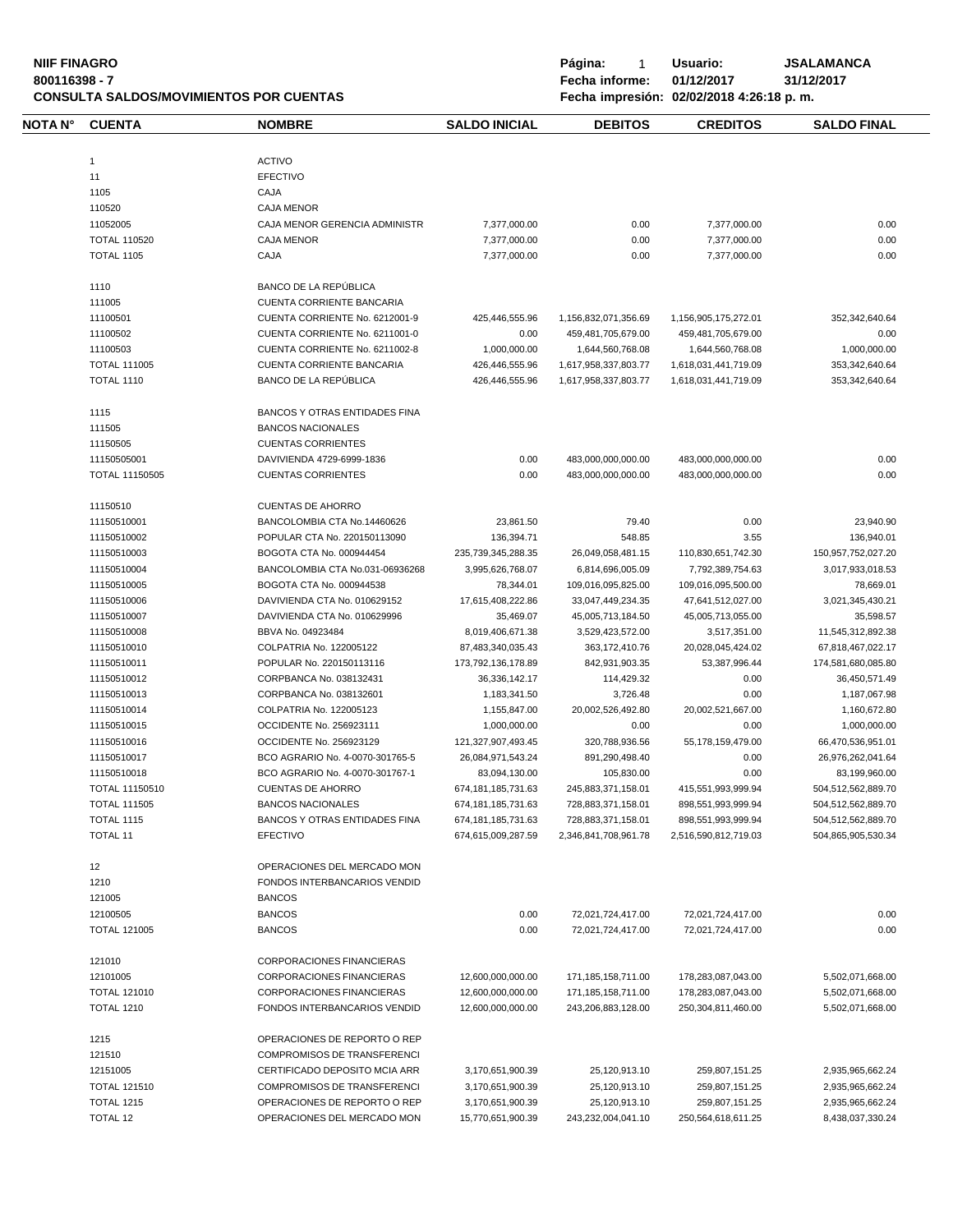**NIIF FINAGRO P á g i n a :** 1 **U s u a r i o : JSALAMANCA CONSULTA SALDOS/MOVIMIENTOS POR CUENTAS** 

| <b>NOTA N°</b> | <b>CUENTA</b>                            | <b>NOMBRE</b>                                                    | <b>SALDO INICIAL</b>                         | <b>DEBITOS</b>                             | <b>CREDITOS</b>                            | <b>SALDO FINAL</b>                       |
|----------------|------------------------------------------|------------------------------------------------------------------|----------------------------------------------|--------------------------------------------|--------------------------------------------|------------------------------------------|
|                |                                          |                                                                  |                                              |                                            |                                            |                                          |
|                | $\mathbf{1}$                             | <b>ACTIVO</b>                                                    |                                              |                                            |                                            |                                          |
|                | 11                                       | <b>EFECTIVO</b>                                                  |                                              |                                            |                                            |                                          |
|                | 1105                                     | CAJA                                                             |                                              |                                            |                                            |                                          |
|                | 110520                                   | <b>CAJA MENOR</b>                                                |                                              |                                            |                                            |                                          |
|                | 11052005                                 | CAJA MENOR GERENCIA ADMINISTR                                    | 7,377,000.00                                 | 0.00                                       | 7,377,000.00                               | 0.00                                     |
|                | <b>TOTAL 110520</b>                      | <b>CAJA MENOR</b>                                                | 7,377,000.00                                 | 0.00                                       | 7,377,000.00                               | 0.00                                     |
|                | <b>TOTAL 1105</b>                        | CAJA                                                             | 7,377,000.00                                 | 0.00                                       | 7,377,000.00                               | 0.00                                     |
|                | 1110                                     | BANCO DE LA REPÚBLICA                                            |                                              |                                            |                                            |                                          |
|                | 111005                                   | <b>CUENTA CORRIENTE BANCARIA</b>                                 |                                              |                                            |                                            |                                          |
|                | 11100501                                 | CUENTA CORRIENTE No. 6212001-9                                   | 425,446,555.96                               | 1,156,832,071,356.69                       | 1,156,905,175,272.01                       | 352,342,640.64                           |
|                | 11100502                                 | CUENTA CORRIENTE No. 6211001-0                                   | 0.00                                         | 459,481,705,679.00                         | 459,481,705,679.00                         | 0.00                                     |
|                | 11100503                                 | CUENTA CORRIENTE No. 6211002-8                                   | 1,000,000.00                                 | 1,644,560,768.08                           | 1,644,560,768.08                           | 1,000,000.00                             |
|                | <b>TOTAL 111005</b>                      | CUENTA CORRIENTE BANCARIA                                        | 426,446,555.96                               | 1,617,958,337,803.77                       | 1,618,031,441,719.09                       | 353,342,640.64                           |
|                | <b>TOTAL 1110</b>                        | BANCO DE LA REPÚBLICA                                            | 426,446,555.96                               | 1,617,958,337,803.77                       | 1,618,031,441,719.09                       | 353,342,640.64                           |
|                | 1115                                     | BANCOS Y OTRAS ENTIDADES FINA                                    |                                              |                                            |                                            |                                          |
|                | 111505                                   | <b>BANCOS NACIONALES</b>                                         |                                              |                                            |                                            |                                          |
|                | 11150505                                 | <b>CUENTAS CORRIENTES</b>                                        |                                              |                                            |                                            |                                          |
|                | 11150505001                              | DAVIVIENDA 4729-6999-1836                                        | 0.00                                         | 483,000,000,000.00                         | 483,000,000,000.00                         | 0.00                                     |
|                | <b>TOTAL 11150505</b>                    | <b>CUENTAS CORRIENTES</b>                                        | 0.00                                         | 483,000,000,000.00                         | 483,000,000,000.00                         | 0.00                                     |
|                | 11150510                                 | <b>CUENTAS DE AHORRO</b>                                         |                                              |                                            |                                            |                                          |
|                | 11150510001                              | BANCOLOMBIA CTA No.14460626                                      | 23,861.50                                    | 79.40                                      | 0.00                                       | 23,940.90                                |
|                | 11150510002                              | POPULAR CTA No. 220150113090                                     | 136.394.71                                   | 548.85                                     | 3.55                                       | 136,940.01                               |
|                | 11150510003                              | BOGOTA CTA No. 000944454                                         | 235,739,345,288.35                           | 26,049,058,481.15                          | 110,830,651,742.30                         | 150,957,752,027.20                       |
|                | 11150510004                              | BANCOLOMBIA CTA No.031-06936268                                  | 3,995,626,768.07                             | 6,814,696,005.09                           | 7,792,389,754.63                           | 3,017,933,018.53                         |
|                | 11150510005                              | BOGOTA CTA No. 000944538                                         | 78,344.01                                    | 109,016,095,825.00                         | 109,016,095,500.00                         | 78,669.01                                |
|                | 11150510006                              | DAVIVIENDA CTA No. 010629152                                     | 17,615,408,222.86                            | 33,047,449,234.35                          | 47,641,512,027.00                          | 3,021,345,430.21                         |
|                | 11150510007                              | DAVIVIENDA CTA No. 010629996                                     | 35,469.07                                    | 45,005,713,184.50                          | 45,005,713,055.00                          | 35,598.57                                |
|                | 11150510008                              | BBVA No. 04923484                                                | 8,019,406,671.38                             | 3,529,423,572.00                           | 3,517,351.00                               | 11,545,312,892.38                        |
|                | 11150510010                              | COLPATRIA No. 122005122                                          | 87,483,340,035.43                            | 363, 172, 410. 76                          | 20,028,045,424.02                          | 67,818,467,022.17                        |
|                | 11150510011                              | POPULAR No. 220150113116                                         | 173,792,136,178.89                           | 842,931,903.35                             | 53,387,996.44                              | 174,581,680,085.80                       |
|                | 11150510012                              | CORPBANCA No. 038132431                                          | 36,336,142.17                                | 114,429.32                                 | 0.00                                       | 36,450,571.49                            |
|                | 11150510013                              | CORPBANCA No. 038132601                                          | 1,183,341.50                                 | 3,726.48                                   | 0.00                                       |                                          |
|                | 11150510014                              | COLPATRIA No. 122005123                                          | 1,155,847.00                                 | 20,002,526,492.80                          | 20,002,521,667.00                          | 1,187,067.98<br>1,160,672.80             |
|                | 11150510015                              | OCCIDENTE No. 256923111                                          | 1,000,000.00                                 | 0.00                                       | 0.00                                       | 1,000,000.00                             |
|                | 11150510016                              | OCCIDENTE No. 256923129                                          |                                              |                                            |                                            |                                          |
|                | 11150510017                              |                                                                  | 121,327,907,493.45                           | 320,788,936.56                             | 55,178,159,479.00                          | 66,470,536,951.01                        |
|                |                                          | BCO AGRARIO No. 4-0070-301765-5                                  | 26,084,971,543.24                            | 891,290,498.40                             | 0.00                                       | 26,976,262,041.64                        |
|                | 11150510018                              | BCO AGRARIO No. 4-0070-301767-1                                  | 83,094,130.00                                | 105,830.00                                 | 0.00                                       | 83,199,960.00                            |
|                | TOTAL 11150510                           | <b>CUENTAS DE AHORRO</b>                                         | 674, 181, 185, 731. 63                       | 245,883,371,158.01                         | 415,551,993,999.94                         | 504,512,562,889.70                       |
|                | TOTAL 111505                             | <b>BANCOS NACIONALES</b>                                         | 674, 181, 185, 731. 63                       | 728,883,371,158.01                         | 898,551,993,999.94                         | 504,512,562,889.70                       |
|                | <b>TOTAL 1115</b><br>TOTAL 11            | BANCOS Y OTRAS ENTIDADES FINA<br><b>EFECTIVO</b>                 | 674, 181, 185, 731. 63<br>674,615,009,287.59 | 728,883,371,158.01<br>2,346,841,708,961.78 | 898,551,993,999.94<br>2,516,590,812,719.03 | 504,512,562,889.70<br>504,865,905,530.34 |
|                | 12                                       | OPERACIONES DEL MERCADO MON                                      |                                              |                                            |                                            |                                          |
|                | 1210                                     | FONDOS INTERBANCARIOS VENDID                                     |                                              |                                            |                                            |                                          |
|                |                                          |                                                                  |                                              |                                            |                                            |                                          |
|                | 121005                                   | <b>BANCOS</b>                                                    |                                              |                                            |                                            |                                          |
|                | 12100505<br><b>TOTAL 121005</b>          | <b>BANCOS</b><br><b>BANCOS</b>                                   | 0.00<br>0.00                                 | 72,021,724,417.00<br>72,021,724,417.00     | 72,021,724,417.00<br>72,021,724,417.00     | 0.00<br>0.00                             |
|                |                                          |                                                                  |                                              |                                            |                                            |                                          |
|                | 121010                                   | <b>CORPORACIONES FINANCIERAS</b>                                 |                                              |                                            |                                            |                                          |
|                | 12101005                                 | CORPORACIONES FINANCIERAS                                        | 12,600,000,000.00                            | 171,185,158,711.00                         | 178,283,087,043.00                         | 5,502,071,668.00                         |
|                | <b>TOTAL 121010</b><br><b>TOTAL 1210</b> | <b>CORPORACIONES FINANCIERAS</b><br>FONDOS INTERBANCARIOS VENDID | 12,600,000,000.00<br>12,600,000,000.00       | 171,185,158,711.00<br>243,206,883,128.00   | 178,283,087,043.00<br>250,304,811,460.00   | 5,502,071,668.00<br>5,502,071,668.00     |
|                |                                          |                                                                  |                                              |                                            |                                            |                                          |
|                | 1215                                     | OPERACIONES DE REPORTO O REP                                     |                                              |                                            |                                            |                                          |
|                | 121510                                   | COMPROMISOS DE TRANSFERENCI                                      |                                              |                                            |                                            |                                          |
|                | 12151005                                 | CERTIFICADO DEPOSITO MCIA ARR                                    | 3,170,651,900.39                             | 25,120,913.10                              | 259,807,151.25                             | 2,935,965,662.24                         |
|                | <b>TOTAL 121510</b>                      | COMPROMISOS DE TRANSFERENCI                                      | 3,170,651,900.39                             | 25,120,913.10                              | 259,807,151.25                             | 2,935,965,662.24                         |
|                | <b>TOTAL 1215</b>                        | OPERACIONES DE REPORTO O REP                                     | 3,170,651,900.39                             | 25,120,913.10                              | 259,807,151.25                             | 2,935,965,662.24                         |
|                | TOTAL 12                                 | OPERACIONES DEL MERCADO MON                                      | 15,770,651,900.39                            | 243,232,004,041.10                         | 250,564,618,611.25                         | 8,438,037,330.24                         |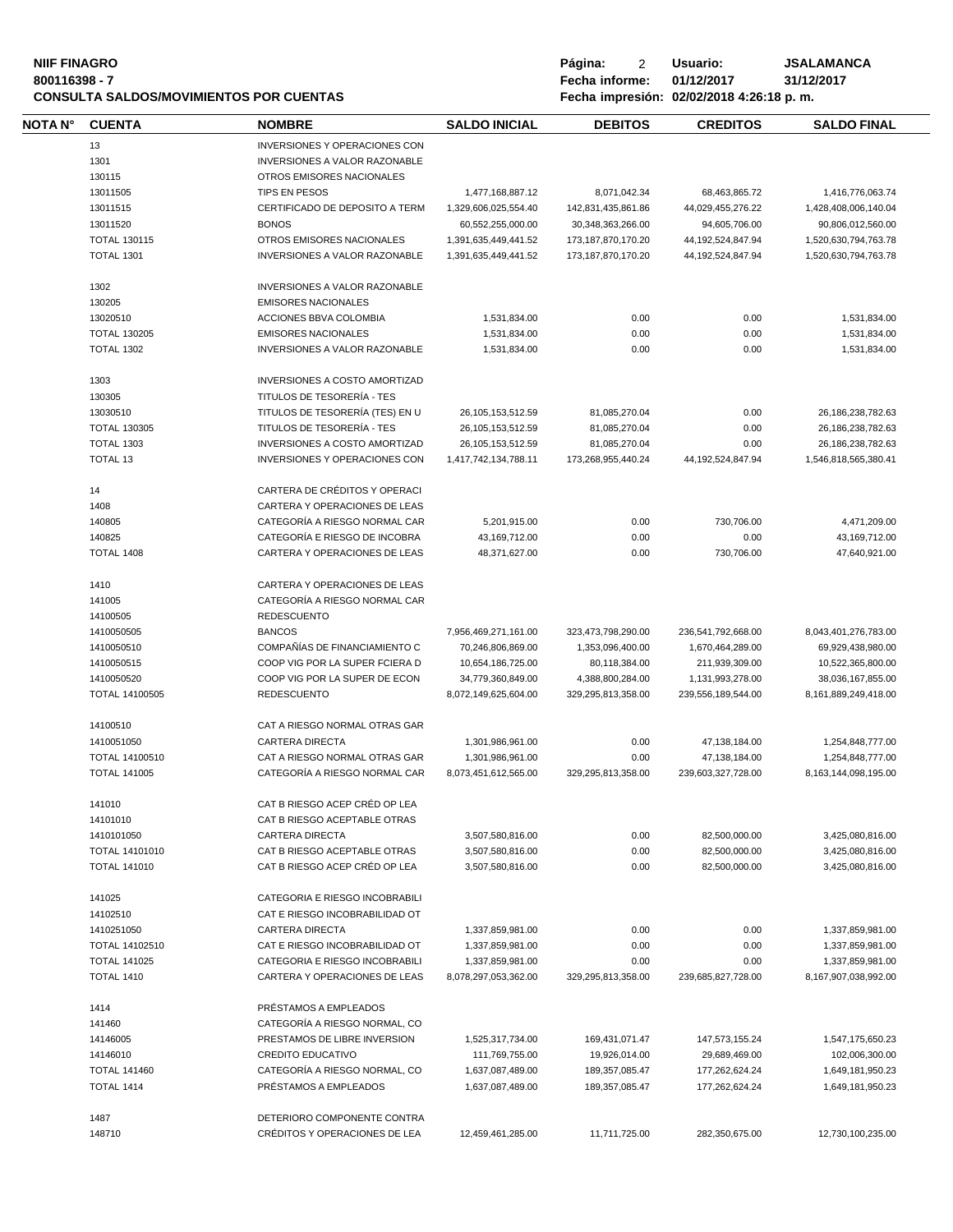| <b>NIIF FINAGRO</b><br>800116398 - 7 |                     | <b>CONSULTA SALDOS/MOVIMIENTOS POR CUENTAS</b> |                      | Página:<br>2<br>Fecha informe: | Usuario:<br>01/12/2017<br>Fecha impresión: 02/02/2018 4:26:18 p.m. | <b>JSALAMANCA</b><br>31/12/2017 |
|--------------------------------------|---------------------|------------------------------------------------|----------------------|--------------------------------|--------------------------------------------------------------------|---------------------------------|
| NOTA N°                              | <b>CUENTA</b>       | <b>NOMBRE</b>                                  | <b>SALDO INICIAL</b> | <b>DEBITOS</b>                 | <b>CREDITOS</b>                                                    | <b>SALDO FINAL</b>              |
|                                      | 13                  | INVERSIONES Y OPERACIONES CON                  |                      |                                |                                                                    |                                 |
|                                      | 1301                | INVERSIONES A VALOR RAZONABLE                  |                      |                                |                                                                    |                                 |
|                                      | 130115              | OTROS EMISORES NACIONALES                      |                      |                                |                                                                    |                                 |
|                                      | 13011505            | TIPS EN PESOS                                  | 1,477,168,887.12     | 8,071,042.34                   | 68,463,865.72                                                      | 1,416,776,063.74                |
|                                      | 13011515            | CERTIFICADO DE DEPOSITO A TERM                 | 1,329,606,025,554.40 | 142,831,435,861.86             | 44,029,455,276.22                                                  | 1,428,408,006,140.04            |
|                                      | 13011520            | <b>BONOS</b>                                   | 60,552,255,000.00    | 30,348,363,266.00              | 94,605,706.00                                                      | 90,806,012,560.00               |
|                                      | <b>TOTAL 130115</b> | OTROS EMISORES NACIONALES                      |                      | 173, 187, 870, 170. 20         |                                                                    |                                 |
|                                      |                     |                                                | 1,391,635,449,441.52 |                                | 44, 192, 524, 847. 94                                              | 1,520,630,794,763.78            |
|                                      | <b>TOTAL 1301</b>   | <b>INVERSIONES A VALOR RAZONABLE</b>           | 1,391,635,449,441.52 | 173, 187, 870, 170. 20         | 44, 192, 524, 847. 94                                              | 1,520,630,794,763.78            |
|                                      | 1302                | INVERSIONES A VALOR RAZONABLE                  |                      |                                |                                                                    |                                 |
|                                      | 130205              | <b>EMISORES NACIONALES</b>                     |                      |                                |                                                                    |                                 |
|                                      | 13020510            | ACCIONES BBVA COLOMBIA                         | 1,531,834.00         | 0.00                           | 0.00                                                               | 1,531,834.00                    |
|                                      | <b>TOTAL 130205</b> | <b>EMISORES NACIONALES</b>                     | 1,531,834.00         | 0.00                           | 0.00                                                               | 1,531,834.00                    |
|                                      | <b>TOTAL 1302</b>   | INVERSIONES A VALOR RAZONABLE                  | 1,531,834.00         | 0.00                           | 0.00                                                               | 1,531,834.00                    |
|                                      | 1303                | INVERSIONES A COSTO AMORTIZAD                  |                      |                                |                                                                    |                                 |
|                                      | 130305              | TITULOS DE TESORERÍA - TES                     |                      |                                |                                                                    |                                 |
|                                      | 13030510            | TITULOS DE TESORERÍA (TES) EN U                | 26, 105, 153, 512.59 | 81,085,270.04                  | 0.00                                                               | 26,186,238,782.63               |
|                                      | <b>TOTAL 130305</b> | TITULOS DE TESORERÍA - TES                     | 26, 105, 153, 512.59 | 81,085,270.04                  | 0.00                                                               | 26, 186, 238, 782. 63           |
|                                      | TOTAL 1303          | <b>INVERSIONES A COSTO AMORTIZAD</b>           | 26, 105, 153, 512.59 | 81,085,270.04                  | 0.00                                                               | 26,186,238,782.63               |
|                                      | TOTAL 13            | INVERSIONES Y OPERACIONES CON                  | 1,417,742,134,788.11 | 173,268,955,440.24             | 44, 192, 524, 847. 94                                              | 1,546,818,565,380.41            |
|                                      | 14                  | CARTERA DE CRÉDITOS Y OPERACI                  |                      |                                |                                                                    |                                 |
|                                      | 1408                | CARTERA Y OPERACIONES DE LEAS                  |                      |                                |                                                                    |                                 |
|                                      | 140805              | CATEGORÍA A RIESGO NORMAL CAR                  | 5,201,915.00         | 0.00                           | 730,706.00                                                         | 4,471,209.00                    |
|                                      | 140825              | CATEGORÍA E RIESGO DE INCOBRA                  | 43,169,712.00        | 0.00                           | 0.00                                                               | 43,169,712.00                   |
|                                      | <b>TOTAL 1408</b>   | CARTERA Y OPERACIONES DE LEAS                  | 48,371,627.00        | 0.00                           | 730,706.00                                                         | 47,640,921.00                   |
|                                      | 1410                | CARTERA Y OPERACIONES DE LEAS                  |                      |                                |                                                                    |                                 |
|                                      | 141005              | CATEGORÍA A RIESGO NORMAL CAR                  |                      |                                |                                                                    |                                 |
|                                      | 14100505            | <b>REDESCUENTO</b>                             |                      |                                |                                                                    |                                 |
|                                      | 1410050505          | <b>BANCOS</b>                                  | 7,956,469,271,161.00 | 323,473,798,290.00             | 236,541,792,668.00                                                 | 8,043,401,276,783.00            |
|                                      |                     |                                                |                      |                                |                                                                    |                                 |
|                                      | 1410050510          | COMPAÑÍAS DE FINANCIAMIENTO C                  | 70,246,806,869.00    | 1,353,096,400.00               | 1,670,464,289.00                                                   | 69,929,438,980.00               |
|                                      | 1410050515          | COOP VIG POR LA SUPER FCIERA D                 | 10,654,186,725.00    | 80,118,384.00                  | 211,939,309.00                                                     | 10,522,365,800.00               |
|                                      | 1410050520          | COOP VIG POR LA SUPER DE ECON                  | 34,779,360,849.00    | 4,388,800,284.00               | 1,131,993,278.00                                                   | 38,036,167,855.00               |
|                                      | TOTAL 14100505      | <b>REDESCUENTO</b>                             | 8,072,149,625,604.00 | 329,295,813,358.00             | 239,556,189,544.00                                                 | 8,161,889,249,418.00            |
|                                      | 14100510            | CAT A RIESGO NORMAL OTRAS GAR                  |                      |                                |                                                                    |                                 |
|                                      | 1410051050          | <b>CARTERA DIRECTA</b>                         | 1,301,986,961.00     | 0.00                           | 47.138.184.00                                                      | 1,254,848,777.00                |
|                                      | TOTAL 14100510      | CAT A RIESGO NORMAL OTRAS GAR                  | 1,301,986,961.00     | 0.00                           | 47,138,184.00                                                      | 1,254,848,777.00                |
|                                      | <b>TOTAL 141005</b> | CATEGORÍA A RIESGO NORMAL CAR                  | 8,073,451,612,565.00 | 329,295,813,358.00             | 239,603,327,728.00                                                 | 8,163,144,098,195.00            |
|                                      | 141010              | CAT B RIESGO ACEP CRÉD OP LEA                  |                      |                                |                                                                    |                                 |
|                                      | 14101010            | CAT B RIESGO ACEPTABLE OTRAS                   |                      |                                |                                                                    |                                 |
|                                      | 1410101050          | CARTERA DIRECTA                                | 3,507,580,816.00     | 0.00                           | 82,500,000.00                                                      | 3,425,080,816.00                |
|                                      | TOTAL 14101010      | CAT B RIESGO ACEPTABLE OTRAS                   | 3,507,580,816.00     | 0.00                           | 82,500,000.00                                                      | 3,425,080,816.00                |
|                                      | <b>TOTAL 141010</b> | CAT B RIESGO ACEP CRÉD OP LEA                  | 3,507,580,816.00     | 0.00                           | 82,500,000.00                                                      | 3,425,080,816.00                |
|                                      | 141025              | CATEGORIA E RIESGO INCOBRABILI                 |                      |                                |                                                                    |                                 |
|                                      | 14102510            | CAT E RIESGO INCOBRABILIDAD OT                 |                      |                                |                                                                    |                                 |
|                                      | 1410251050          | <b>CARTERA DIRECTA</b>                         | 1,337,859,981.00     | 0.00                           | 0.00                                                               | 1,337,859,981.00                |
|                                      | TOTAL 14102510      | CAT E RIESGO INCOBRABILIDAD OT                 | 1,337,859,981.00     | 0.00                           | 0.00                                                               | 1,337,859,981.00                |
|                                      | <b>TOTAL 141025</b> | CATEGORIA E RIESGO INCOBRABILI                 | 1,337,859,981.00     | 0.00                           | 0.00                                                               | 1,337,859,981.00                |
|                                      | <b>TOTAL 1410</b>   | CARTERA Y OPERACIONES DE LEAS                  | 8,078,297,053,362.00 | 329,295,813,358.00             | 239,685,827,728.00                                                 | 8,167,907,038,992.00            |
|                                      |                     | PRÉSTAMOS A EMPLEADOS                          |                      |                                |                                                                    |                                 |
|                                      | 1414                |                                                |                      |                                |                                                                    |                                 |
|                                      | 141460              | CATEGORÍA A RIESGO NORMAL, CO                  |                      |                                |                                                                    |                                 |
|                                      | 14146005            | PRESTAMOS DE LIBRE INVERSION                   | 1,525,317,734.00     | 169,431,071.47                 | 147,573,155.24                                                     | 1,547,175,650.23                |
|                                      | 14146010            | <b>CREDITO EDUCATIVO</b>                       | 111,769,755.00       | 19,926,014.00                  | 29,689,469.00                                                      | 102,006,300.00                  |
|                                      | <b>TOTAL 141460</b> | CATEGORÍA A RIESGO NORMAL, CO                  | 1,637,087,489.00     | 189,357,085.47                 | 177,262,624.24                                                     | 1,649,181,950.23                |
|                                      | <b>TOTAL 1414</b>   | PRÉSTAMOS A EMPLEADOS                          | 1,637,087,489.00     | 189,357,085.47                 | 177,262,624.24                                                     | 1,649,181,950.23                |
|                                      | 1487                | DETERIORO COMPONENTE CONTRA                    |                      |                                |                                                                    |                                 |
|                                      | 148710              | CRÉDITOS Y OPERACIONES DE LEA                  | 12,459,461,285.00    | 11,711,725.00                  | 282,350,675.00                                                     | 12,730,100,235.00               |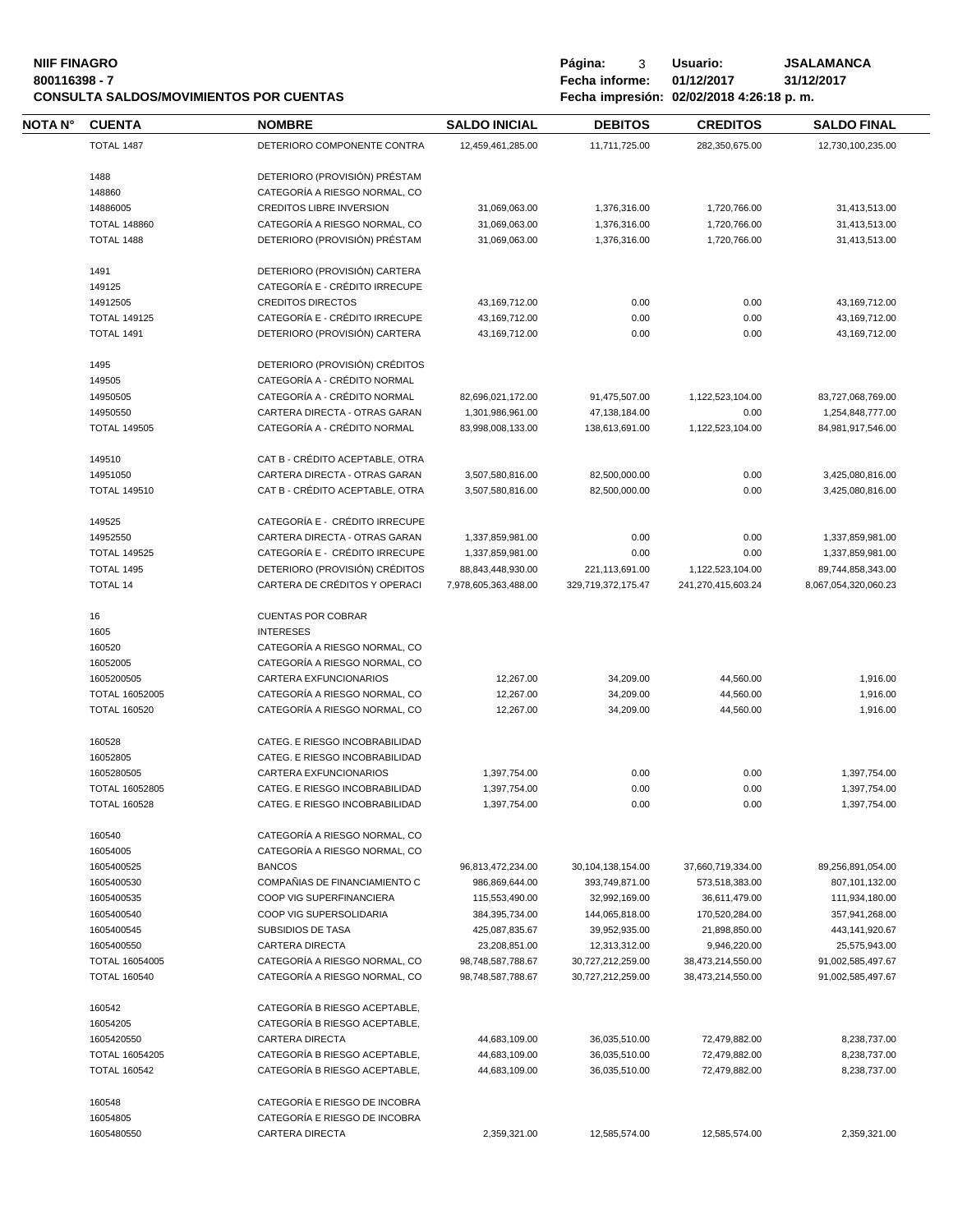#### **NIIF FINAGRO P á g i n a :** 3 **U s u a r i o : JSALAMANCA 800116398 - 7 Fecha informe: 01/12/2017 31/12/2017 CONSULTA SALDOS/MOVIMIENTOS POR CUENTAS Fecha impresión: 02/02/2018 4:26:18 p. m.**

**NOTA N° CUENTA NOMBRE SALDO INICIAL D E B I T O S C R E D I T O S SALDO FINAL** TOTAL 1487 DETERIORO COMPONENTE CONTRA 12,459,461,285.00 11,711,725.00 282,350,675.00 12,730,100,235.00 DETERIORO (PROVISIÓN) PRÉSTAM CATEGORÍA A RIESGO NORMAL, CO CREDITOS LIBRE INVERSION 31,069,063.00 1,376,316.00 1,720,766.00 31,413,513.00 TOTAL 148860 CATEGORÍA A RIESGO NORMAL, CO 31,069,063.00 1,376,316.00 1,720,766.00 31,413,513.00 TOTAL 1488 DETERIORO (PROVISIÓN) PRÉSTAM 31,069,063.00 1,376,316.00 1,720,766.00 31,413,513.00 DETERIORO (PROVISIÓN) CARTERA CATEGORÍA E - CRÉDITO IRRECUPE CREDITOS DIRECTOS 43,169,712.00 0.00 0.00 43,169,712.00 TOTAL 149125 CATEGORÍA E - CRÉDITO IRRECUPE 43,169,712.00 0.00 0.00 43,169,712.00 TOTAL 1491 DETERIORO (PROVISIÓN) CARTERA 43,169,712.00 0.00 0.00 43,169,712.00 DETERIORO (PROVISIÓN) CRÉDITOS CATEGORÍA A - CRÉDITO NORMAL CATEGORÍA A - CRÉDITO NORMAL 82,696,021,172.00 91,475,507.00 1,122,523,104.00 83,727,068,769.00 CARTERA DIRECTA - OTRAS GARAN 1,301,986,961.00 47,138,184.00 0.00 1,254,848,777.00 TOTAL 149505 CATEGORÍA A - CRÉDITO NORMAL 83,998,008,133.00 138,613,691.00 1,122,523,104.00 84,981,917,546.00 CAT B - CRÉDITO ACEPTABLE, OTRA CARTERA DIRECTA - OTRAS GARAN 3,507,580,816.00 82,500,000.00 0.00 3,425,080,816.00 TOTAL 149510 CAT B - CRÉDITO ACEPTABLE, OTRA 3,507,580,816.00 82,500,000.00 0.00 3,425,080,816.00 CATEGORÍA E - CRÉDITO IRRECUPE CARTERA DIRECTA - OTRAS GARAN 1,337,859,981.00 0.00 0.00 1,337,859,981.00 TOTAL 149525 CATEGORÍA E - CRÉDITO IRRECUPE 1,337,859,981.00 0.00 0.00 1,337,859,981.00 TOTAL 1495 DETERIORO (PROVISIÓN) CRÉDITOS 88,843,448,930.00 221,113,691.00 1,122,523,104.00 89,744,858,343.00 TOTAL 14 CARTERA DE CRÉDITOS Y OPERACI 7,978,605,363,488.00 329,719,372,175.47 241,270,415,603.24 8,067,054,320,060.23 CUENTAS POR COBRAR INTERESES CATEGORÍA A RIESGO NORMAL, CO CATEGORÍA A RIESGO NORMAL, CO CARTERA EXFUNCIONARIOS 12,267.00 34,209.00 44,560.00 1,916.00 TOTAL 16052005 CATEGORÍA A RIESGO NORMAL, CO 12,267.00 34,209.00 44,560.00 1,916.00 TOTAL 160520 CATEGORÍA A RIESGO NORMAL, CO 12,267.00 34,209.00 44,560.00 1,916.00 CATEG. E RIESGO INCOBRABILIDAD CATEG. E RIESGO INCOBRABILIDAD CARTERA EXFUNCIONARIOS 1,397,754.00 0.00 0.00 1,397,754.00 TOTAL 16052805 CATEG. E RIESGO INCOBRABILIDAD 1,397,754.00 0.00 0.00 1,397,754.00 TOTAL 160528 CATEG. E RIESGO INCOBRABILIDAD 1,397,754.00 0.00 0.00 1,397,754.00 CATEGORÍA A RIESGO NORMAL, CO CATEGORÍA A RIESGO NORMAL, CO BANCOS 96,813,472,234.00 30,104,138,154.00 37,660,719,334.00 89,256,891,054.00 COMPAÑIAS DE FINANCIAMIENTO C 986,869,644.00 393,749,871.00 573,518,383.00 807,101,132.00 COOP VIG SUPERFINANCIERA 115,553,490.00 32,992,169.00 36,611,479.00 111,934,180.00 COOP VIG SUPERSOLIDARIA 384,395,734.00 144,065,818.00 170,520,284.00 357,941,268.00 SUBSIDIOS DE TASA 425,087,835.67 39,952,935.00 21,898,850.00 443,141,920.67 CARTERA DIRECTA 23,208,851.00 12,313,312.00 9,946,220.00 25,575,943.00 TOTAL 16054005 CATEGORÍA A RIESGO NORMAL, CO 98,748,587,788.67 30,727,212,259.00 38,473,214,550.00 91,002,585,497.67 TOTAL 160540 CATEGORÍA A RIESGO NORMAL, CO 98,748,587,788.67 30,727,212,259.00 38,473,214,550.00 91,002,585,497.67 CATEGORÍA B RIESGO ACEPTABLE, CATEGORÍA B RIESGO ACEPTABLE, CARTERA DIRECTA 44,683,109.00 36,035,510.00 72,479,882.00 8,238,737.00 TOTAL 16054205 CATEGORÍA B RIESGO ACEPTABLE, 44,683,109.00 36,035,510.00 72,479,882.00 8,238,737.00 TOTAL 160542 CATEGORÍA B RIESGO ACEPTABLE, 44,683,109.00 36,035,510.00 72,479,882.00 8,238,737.00 CATEGORÍA E RIESGO DE INCOBRA CATEGORÍA E RIESGO DE INCOBRA CARTERA DIRECTA 2,359,321.00 12,585,574.00 12,585,574.00 2,359,321.00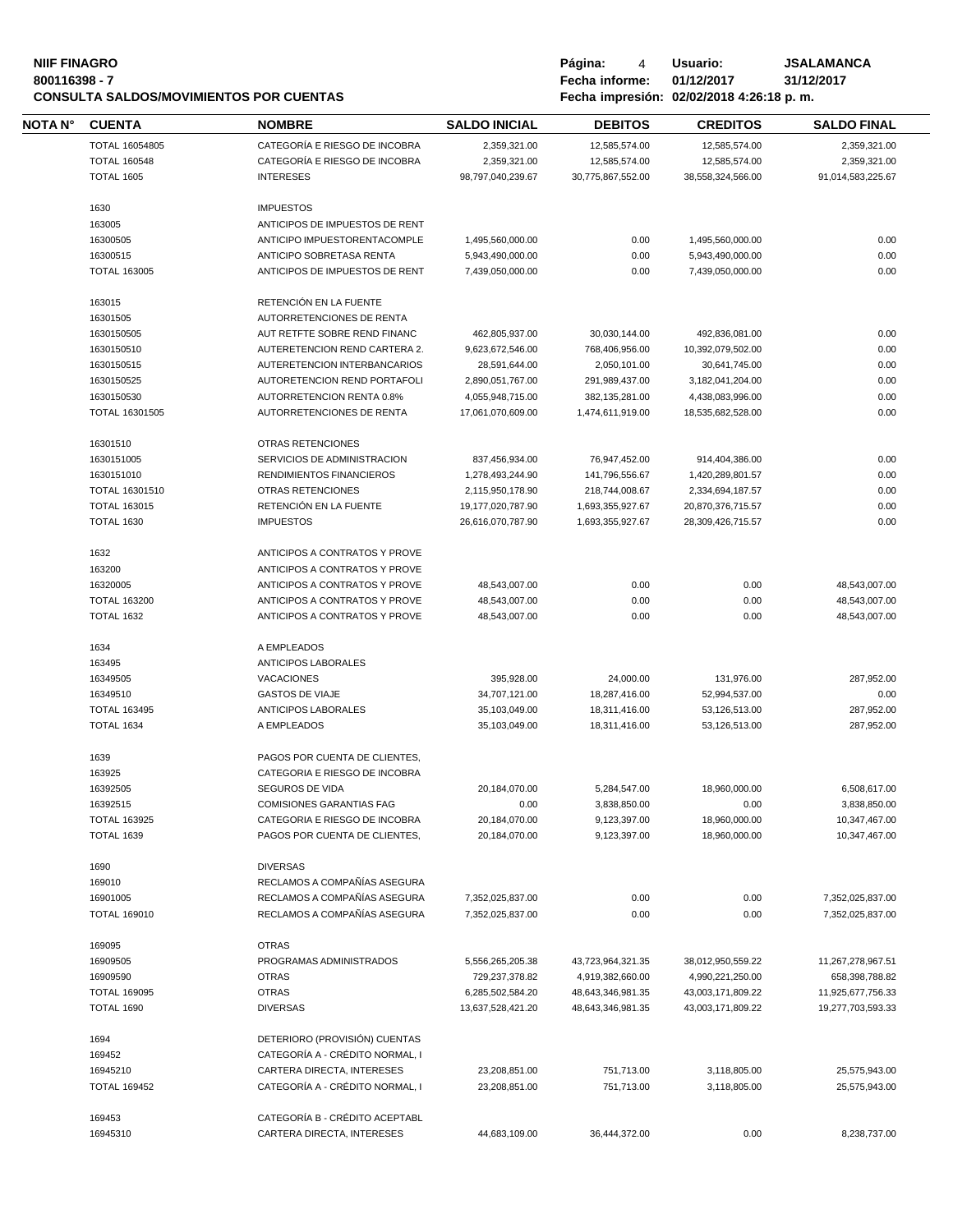### **800116398 - 7 Fecha informe: 01/12/2017 31/12/2017 CONSULTA SALDOS/MOVIMIENTOS POR CUENTAS**

| NIIF FINAGRO                            | Página:        | Usuario:                                 | <b>JSALAMANCA</b> |
|-----------------------------------------|----------------|------------------------------------------|-------------------|
| 800116398 - 7                           | Fecha informe: | 01/12/2017                               | 31/12/2017        |
| CONSULTA SALDOS/MOVIMIENTOS POR CUENTAS |                | Fecha impresión: 02/02/2018 4:26:18 p.m. |                   |
|                                         |                |                                          |                   |

| <b>NOTA N°</b> | <b>CUENTA</b>                            | <b>NOMBRE</b>                             | <b>SALDO INICIAL</b>           | <b>DEBITOS</b>                 | <b>CREDITOS</b>                | <b>SALDO FINAL</b>       |
|----------------|------------------------------------------|-------------------------------------------|--------------------------------|--------------------------------|--------------------------------|--------------------------|
|                | TOTAL 16054805                           | CATEGORÍA E RIESGO DE INCOBRA             | 2,359,321.00                   | 12,585,574.00                  | 12,585,574.00                  | 2,359,321.00             |
|                | <b>TOTAL 160548</b>                      | CATEGORÍA E RIESGO DE INCOBRA             | 2,359,321.00                   | 12,585,574.00                  | 12,585,574.00                  | 2,359,321.00             |
|                | <b>TOTAL 1605</b>                        | <b>INTERESES</b>                          | 98,797,040,239.67              | 30,775,867,552.00              | 38,558,324,566.00              | 91,014,583,225.67        |
|                |                                          |                                           |                                |                                |                                |                          |
|                | 1630                                     | <b>IMPUESTOS</b>                          |                                |                                |                                |                          |
|                | 163005                                   | ANTICIPOS DE IMPUESTOS DE RENT            |                                |                                |                                |                          |
|                | 16300505                                 | ANTICIPO IMPUESTORENTACOMPLE              | 1,495,560,000.00               | 0.00                           | 1,495,560,000.00               | 0.00                     |
|                | 16300515                                 | ANTICIPO SOBRETASA RENTA                  | 5,943,490,000.00               | 0.00                           | 5,943,490,000.00               | 0.00                     |
|                | <b>TOTAL 163005</b>                      | ANTICIPOS DE IMPUESTOS DE RENT            | 7.439.050.000.00               | 0.00                           | 7,439,050,000.00               | 0.00                     |
|                |                                          |                                           |                                |                                |                                |                          |
|                | 163015                                   | RETENCIÓN EN LA FUENTE                    |                                |                                |                                |                          |
|                | 16301505                                 | AUTORRETENCIONES DE RENTA                 |                                |                                |                                |                          |
|                | 1630150505                               | AUT RETFTE SOBRE REND FINANC              | 462,805,937.00                 | 30,030,144.00                  | 492,836,081.00                 | 0.00                     |
|                | 1630150510                               | AUTERETENCION REND CARTERA 2.             | 9,623,672,546.00               | 768,406,956.00                 | 10,392,079,502.00              | 0.00                     |
|                | 1630150515                               | AUTERETENCION INTERBANCARIOS              | 28,591,644.00                  | 2,050,101.00                   | 30,641,745.00                  | 0.00                     |
|                | 1630150525                               | AUTORETENCION REND PORTAFOLI              | 2,890,051,767.00               | 291,989,437.00                 | 3,182,041,204.00               | 0.00                     |
|                | 1630150530                               | AUTORRETENCION RENTA 0.8%                 | 4,055,948,715.00               | 382,135,281.00                 | 4,438,083,996.00               | 0.00                     |
|                | TOTAL 16301505                           | AUTORRETENCIONES DE RENTA                 | 17,061,070,609.00              | 1,474,611,919.00               | 18,535,682,528.00              | 0.00                     |
|                |                                          |                                           |                                |                                |                                |                          |
|                | 16301510                                 | OTRAS RETENCIONES                         |                                |                                |                                |                          |
|                | 1630151005                               | SERVICIOS DE ADMINISTRACION               | 837,456,934.00                 | 76,947,452.00                  | 914,404,386.00                 | 0.00                     |
|                | 1630151010                               | RENDIMIENTOS FINANCIEROS                  | 1,278,493,244.90               | 141,796,556.67                 | 1,420,289,801.57               | 0.00                     |
|                | TOTAL 16301510                           | OTRAS RETENCIONES                         | 2,115,950,178.90               | 218,744,008.67                 | 2,334,694,187.57               | 0.00                     |
|                | <b>TOTAL 163015</b>                      | RETENCIÓN EN LA FUENTE                    | 19,177,020,787.90              | 1,693,355,927.67               | 20,870,376,715.57              | 0.00                     |
|                | <b>TOTAL 1630</b>                        | <b>IMPUESTOS</b>                          | 26,616,070,787.90              | 1,693,355,927.67               | 28,309,426,715.57              | 0.00                     |
|                |                                          |                                           |                                |                                |                                |                          |
|                | 1632                                     | ANTICIPOS A CONTRATOS Y PROVE             |                                |                                |                                |                          |
|                | 163200                                   | ANTICIPOS A CONTRATOS Y PROVE             |                                |                                |                                |                          |
|                | 16320005                                 | ANTICIPOS A CONTRATOS Y PROVE             | 48,543,007.00                  | 0.00                           | 0.00                           | 48,543,007.00            |
|                | <b>TOTAL 163200</b>                      | ANTICIPOS A CONTRATOS Y PROVE             | 48,543,007.00                  | 0.00                           | 0.00                           | 48,543,007.00            |
|                | <b>TOTAL 1632</b>                        | ANTICIPOS A CONTRATOS Y PROVE             | 48,543,007.00                  | 0.00                           | 0.00                           | 48,543,007.00            |
|                |                                          |                                           |                                |                                |                                |                          |
|                | 1634                                     | A EMPLEADOS                               |                                |                                |                                |                          |
|                | 163495                                   | <b>ANTICIPOS LABORALES</b>                |                                |                                |                                |                          |
|                | 16349505                                 | <b>VACACIONES</b>                         | 395,928.00                     | 24,000.00                      | 131,976.00                     | 287,952.00               |
|                | 16349510                                 | <b>GASTOS DE VIAJE</b>                    | 34,707,121.00                  | 18,287,416.00                  | 52,994,537.00                  | 0.00                     |
|                | <b>TOTAL 163495</b><br><b>TOTAL 1634</b> | <b>ANTICIPOS LABORALES</b><br>A EMPLEADOS | 35,103,049.00<br>35,103,049.00 | 18,311,416.00<br>18.311.416.00 | 53,126,513.00<br>53,126,513.00 | 287,952.00<br>287.952.00 |
|                |                                          |                                           |                                |                                |                                |                          |
|                | 1639                                     | PAGOS POR CUENTA DE CLIENTES,             |                                |                                |                                |                          |
|                | 163925                                   | CATEGORIA E RIESGO DE INCOBRA             |                                |                                |                                |                          |
|                | 16392505                                 | SEGUROS DE VIDA                           | 20,184,070.00                  | 5,284,547.00                   | 18,960,000.00                  | 6,508,617.00             |
|                | 16392515                                 | <b>COMISIONES GARANTIAS FAG</b>           | 0.00                           | 3,838,850.00                   | 0.00                           | 3,838,850.00             |
|                | <b>TOTAL 163925</b>                      | CATEGORIA E RIESGO DE INCOBRA             | 20,184,070.00                  | 9,123,397.00                   | 18,960,000.00                  | 10,347,467.00            |
|                | <b>TOTAL 1639</b>                        | PAGOS POR CUENTA DE CLIENTES.             | 20,184,070.00                  | 9,123,397.00                   | 18,960,000.00                  | 10,347,467.00            |
|                |                                          |                                           |                                |                                |                                |                          |
|                | 1690                                     | <b>DIVERSAS</b>                           |                                |                                |                                |                          |
|                | 169010                                   | RECLAMOS A COMPAÑÍAS ASEGURA              |                                |                                |                                |                          |
|                | 16901005                                 | RECLAMOS A COMPAÑÍAS ASEGURA              | 7,352,025,837.00               | 0.00                           | 0.00                           | 7,352,025,837.00         |
|                | <b>TOTAL 169010</b>                      | RECLAMOS A COMPAÑÍAS ASEGURA              | 7,352,025,837.00               | 0.00                           | 0.00                           | 7,352,025,837.00         |
|                |                                          |                                           |                                |                                |                                |                          |
|                | 169095                                   | <b>OTRAS</b>                              |                                |                                |                                |                          |
|                | 16909505                                 | PROGRAMAS ADMINISTRADOS                   | 5,556,265,205.38               | 43,723,964,321.35              | 38,012,950,559.22              | 11,267,278,967.51        |
|                | 16909590                                 | <b>OTRAS</b>                              | 729,237,378.82                 | 4,919,382,660.00               | 4,990,221,250.00               | 658,398,788.82           |
|                | <b>TOTAL 169095</b>                      | <b>OTRAS</b>                              | 6,285,502,584.20               | 48,643,346,981.35              | 43,003,171,809.22              | 11,925,677,756.33        |
|                | <b>TOTAL 1690</b>                        | <b>DIVERSAS</b>                           | 13,637,528,421.20              | 48,643,346,981.35              | 43,003,171,809.22              | 19,277,703,593.33        |
|                |                                          |                                           |                                |                                |                                |                          |
|                | 1694                                     | DETERIORO (PROVISIÓN) CUENTAS             |                                |                                |                                |                          |
|                | 169452                                   | CATEGORÍA A - CRÉDITO NORMAL, I           |                                |                                |                                |                          |
|                | 16945210                                 | CARTERA DIRECTA, INTERESES                | 23,208,851.00                  | 751,713.00                     | 3,118,805.00                   | 25,575,943.00            |
|                | <b>TOTAL 169452</b>                      | CATEGORÍA A - CRÉDITO NORMAL, I           | 23,208,851.00                  | 751,713.00                     | 3,118,805.00                   | 25,575,943.00            |
|                |                                          |                                           |                                |                                |                                |                          |
|                | 169453                                   | CATEGORÍA B - CRÉDITO ACEPTABL            |                                |                                |                                |                          |
|                | 16945310                                 | CARTERA DIRECTA, INTERESES                | 44,683,109.00                  | 36,444,372.00                  | 0.00                           | 8,238,737.00             |
|                |                                          |                                           |                                |                                |                                |                          |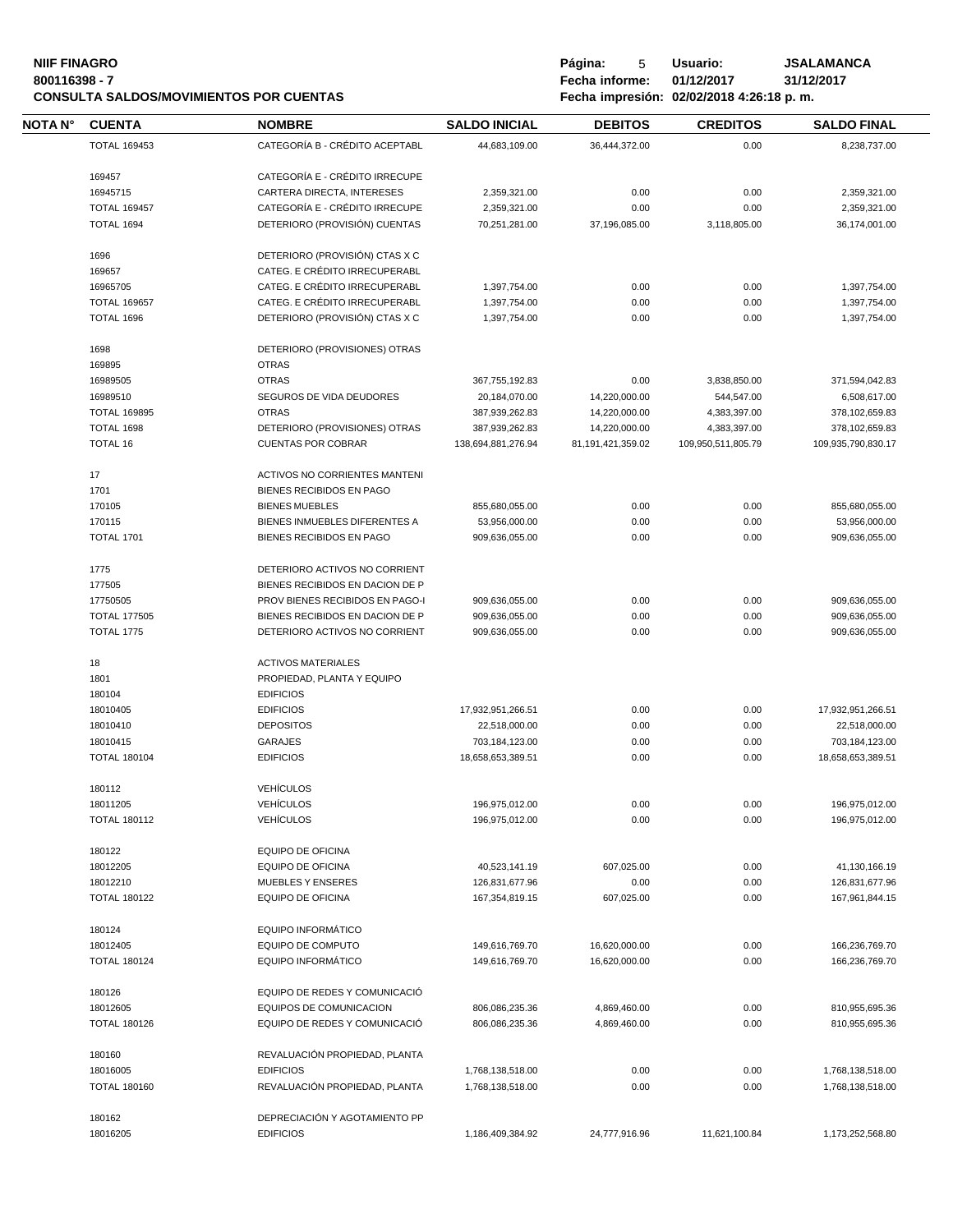## **NIIF FINAGRO P á g i n a :** 5 **U s u a r i o : JSALAMANCA CONSULTA SALDOS/MOVIMIENTOS POR CUENTAS**

| <b>NOTA N°</b> | <b>CUENTA</b>       | <b>NOMBRE</b>                                         | <b>SALDO INICIAL</b> | <b>DEBITOS</b>    | <b>CREDITOS</b>    | <b>SALDO FINAL</b> |
|----------------|---------------------|-------------------------------------------------------|----------------------|-------------------|--------------------|--------------------|
|                | <b>TOTAL 169453</b> | CATEGORÍA B - CRÉDITO ACEPTABL                        | 44,683,109.00        | 36,444,372.00     | 0.00               | 8,238,737.00       |
|                | 169457              | CATEGORÍA E - CRÉDITO IRRECUPE                        |                      |                   |                    |                    |
|                | 16945715            | CARTERA DIRECTA, INTERESES                            | 2,359,321.00         | 0.00              | 0.00               | 2,359,321.00       |
|                | <b>TOTAL 169457</b> | CATEGORÍA E - CRÉDITO IRRECUPE                        | 2,359,321.00         | 0.00              | 0.00               | 2,359,321.00       |
|                |                     |                                                       |                      |                   |                    |                    |
|                | TOTAL 1694          | DETERIORO (PROVISIÓN) CUENTAS                         | 70,251,281.00        | 37,196,085.00     | 3,118,805.00       | 36,174,001.00      |
|                | 1696                | DETERIORO (PROVISIÓN) CTAS X C                        |                      |                   |                    |                    |
|                | 169657              | CATEG. E CRÉDITO IRRECUPERABL                         |                      |                   |                    |                    |
|                | 16965705            | CATEG. E CRÉDITO IRRECUPERABL                         | 1,397,754.00         | 0.00              | 0.00               | 1,397,754.00       |
|                | <b>TOTAL 169657</b> | CATEG. E CRÉDITO IRRECUPERABL                         | 1,397,754.00         | 0.00              | 0.00               | 1,397,754.00       |
|                | TOTAL 1696          | DETERIORO (PROVISIÓN) CTAS X C                        | 1,397,754.00         | 0.00              | 0.00               | 1,397,754.00       |
|                | 1698                | DETERIORO (PROVISIONES) OTRAS                         |                      |                   |                    |                    |
|                | 169895              | <b>OTRAS</b>                                          |                      |                   |                    |                    |
|                | 16989505            | <b>OTRAS</b>                                          | 367,755,192.83       | 0.00              | 3,838,850.00       | 371,594,042.83     |
|                |                     |                                                       |                      |                   |                    |                    |
|                | 16989510            | SEGUROS DE VIDA DEUDORES                              | 20,184,070.00        | 14,220,000.00     | 544,547.00         | 6,508,617.00       |
|                | <b>TOTAL 169895</b> | <b>OTRAS</b>                                          | 387,939,262.83       | 14,220,000.00     | 4,383,397.00       | 378,102,659.83     |
|                | TOTAL 1698          | DETERIORO (PROVISIONES) OTRAS                         | 387,939,262.83       | 14,220,000.00     | 4,383,397.00       | 378,102,659.83     |
|                | <b>TOTAL 16</b>     | <b>CUENTAS POR COBRAR</b>                             | 138,694,881,276.94   | 81,191,421,359.02 | 109,950,511,805.79 | 109,935,790,830.17 |
|                | 17                  | ACTIVOS NO CORRIENTES MANTENI                         |                      |                   |                    |                    |
|                | 1701                | <b>BIENES RECIBIDOS EN PAGO</b>                       |                      |                   |                    |                    |
|                | 170105              | <b>BIENES MUEBLES</b>                                 | 855,680,055.00       | 0.00              | 0.00               | 855,680,055.00     |
|                | 170115              | BIENES INMUEBLES DIFERENTES A                         | 53,956,000.00        | 0.00              | 0.00               | 53,956,000.00      |
|                | <b>TOTAL 1701</b>   | BIENES RECIBIDOS EN PAGO                              | 909,636,055.00       | 0.00              | 0.00               | 909,636,055.00     |
|                | 1775                | DETERIORO ACTIVOS NO CORRIENT                         |                      |                   |                    |                    |
|                |                     |                                                       |                      |                   |                    |                    |
|                | 177505              | BIENES RECIBIDOS EN DACION DE P                       |                      |                   |                    |                    |
|                | 17750505            | PROV BIENES RECIBIDOS EN PAGO-I                       | 909,636,055.00       | 0.00              | 0.00               | 909,636,055.00     |
|                | <b>TOTAL 177505</b> | BIENES RECIBIDOS EN DACION DE P                       | 909,636,055.00       | 0.00              | 0.00               | 909,636,055.00     |
|                | <b>TOTAL 1775</b>   | DETERIORO ACTIVOS NO CORRIENT                         | 909,636,055.00       | 0.00              | 0.00               | 909,636,055.00     |
|                | 18                  | <b>ACTIVOS MATERIALES</b>                             |                      |                   |                    |                    |
|                | 1801                | PROPIEDAD, PLANTA Y EQUIPO                            |                      |                   |                    |                    |
|                | 180104              | <b>EDIFICIOS</b>                                      |                      |                   |                    |                    |
|                | 18010405            | <b>EDIFICIOS</b>                                      | 17,932,951,266.51    | 0.00              | 0.00               | 17,932,951,266.51  |
|                | 18010410            | <b>DEPOSITOS</b>                                      | 22,518,000.00        | 0.00              | 0.00               | 22,518,000.00      |
|                | 18010415            | <b>GARAJES</b>                                        | 703,184,123.00       | 0.00              | 0.00               | 703,184,123.00     |
|                | <b>TOTAL 180104</b> |                                                       |                      |                   |                    |                    |
|                |                     | <b>EDIFICIOS</b>                                      | 18,658,653,389.51    | 0.00              | 0.00               | 18,658,653,389.51  |
|                | 180112              | <b>VEHÍCULOS</b>                                      |                      |                   |                    |                    |
|                | 18011205            | VEHÍCULOS                                             | 196,975,012.00       | 0.00              | 0.00               | 196,975,012.00     |
|                | <b>TOTAL 180112</b> | <b>VEHÍCULOS</b>                                      | 196,975,012.00       | 0.00              | 0.00               | 196,975,012.00     |
|                | 180122              | <b>EQUIPO DE OFICINA</b>                              |                      |                   |                    |                    |
|                | 18012205            | <b>EQUIPO DE OFICINA</b>                              | 40,523,141.19        | 607,025.00        | 0.00               | 41,130,166.19      |
|                | 18012210            | <b>MUEBLES Y ENSERES</b>                              | 126,831,677.96       | 0.00              | 0.00               | 126,831,677.96     |
|                | <b>TOTAL 180122</b> | <b>EQUIPO DE OFICINA</b>                              | 167,354,819.15       | 607,025.00        | 0.00               | 167,961,844.15     |
|                |                     |                                                       |                      |                   |                    |                    |
|                | 180124              | <b>EQUIPO INFORMÁTICO</b><br><b>EQUIPO DE COMPUTO</b> |                      |                   |                    |                    |
|                | 18012405            |                                                       | 149,616,769.70       | 16,620,000.00     | 0.00               | 166,236,769.70     |
|                | <b>TOTAL 180124</b> | <b>EQUIPO INFORMÁTICO</b>                             | 149,616,769.70       | 16,620,000.00     | 0.00               | 166,236,769.70     |
|                | 180126              | EQUIPO DE REDES Y COMUNICACIÓ                         |                      |                   |                    |                    |
|                | 18012605            | <b>EQUIPOS DE COMUNICACION</b>                        | 806,086,235.36       | 4,869,460.00      | 0.00               | 810,955,695.36     |
|                | <b>TOTAL 180126</b> | EQUIPO DE REDES Y COMUNICACIÓ                         | 806,086,235.36       | 4,869,460.00      | 0.00               | 810,955,695.36     |
|                | 180160              | REVALUACIÓN PROPIEDAD, PLANTA                         |                      |                   |                    |                    |
|                | 18016005            | <b>EDIFICIOS</b>                                      | 1,768,138,518.00     | 0.00              | 0.00               | 1,768,138,518.00   |
|                | <b>TOTAL 180160</b> | REVALUACIÓN PROPIEDAD, PLANTA                         | 1,768,138,518.00     | 0.00              | 0.00               | 1,768,138,518.00   |
|                |                     |                                                       |                      |                   |                    |                    |
|                |                     |                                                       |                      |                   |                    |                    |
|                | 180162<br>18016205  | DEPRECIACIÓN Y AGOTAMIENTO PP<br><b>EDIFICIOS</b>     |                      |                   |                    |                    |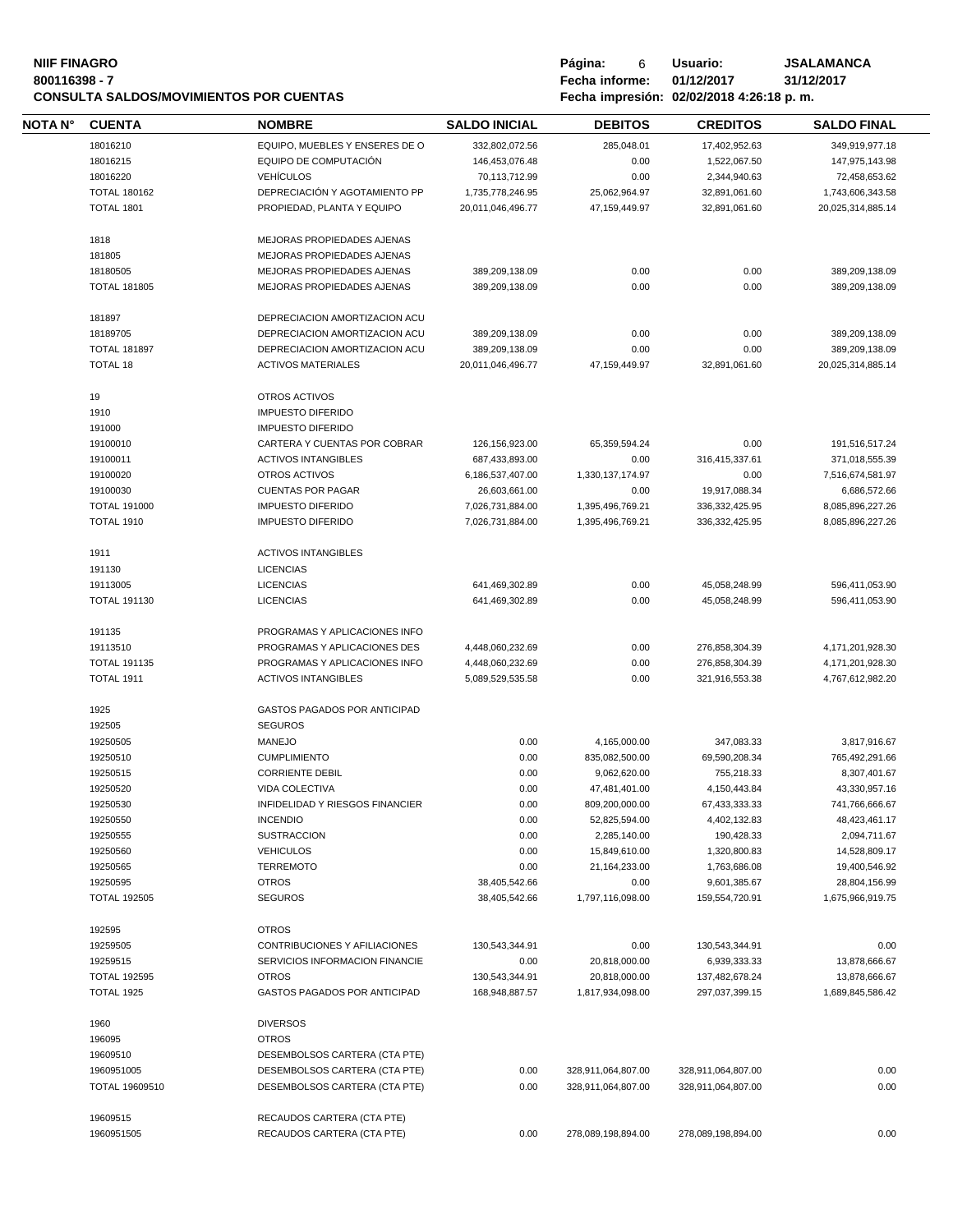## **NIIF FINAGRO P á g i n a :** 6 **U s u a r i o : JSALAMANCA CONSULTA SALDOS/MOVIMIENTOS POR CUENTAS**

| <b>CUENTA</b>                   | <b>NOMBRE</b>                   | <b>SALDO INICIAL</b>           | <b>DEBITOS</b>           | <b>CREDITOS</b>                | <b>SALDO FINAL</b>                |
|---------------------------------|---------------------------------|--------------------------------|--------------------------|--------------------------------|-----------------------------------|
| 18016210                        | EQUIPO. MUEBLES Y ENSERES DE O  | 332,802,072.56                 | 285,048.01               | 17,402,952.63                  | 349,919,977.18                    |
| 18016215                        | EQUIPO DE COMPUTACIÓN           | 146,453,076.48                 | 0.00                     | 1,522,067.50                   | 147,975,143.98                    |
| 18016220                        | <b>VEHÍCULOS</b>                | 70,113,712.99                  | 0.00                     | 2,344,940.63                   | 72,458,653.62                     |
| <b>TOTAL 180162</b>             | DEPRECIACIÓN Y AGOTAMIENTO PP   | 1,735,778,246.95               | 25,062,964.97            | 32,891,061.60                  | 1,743,606,343.58                  |
| <b>TOTAL 1801</b>               | PROPIEDAD, PLANTA Y EQUIPO      | 20,011,046,496.77              | 47, 159, 449. 97         | 32,891,061.60                  | 20,025,314,885.14                 |
|                                 |                                 |                                |                          |                                |                                   |
| 1818                            | MEJORAS PROPIEDADES AJENAS      |                                |                          |                                |                                   |
| 181805                          | MEJORAS PROPIEDADES AJENAS      |                                |                          |                                |                                   |
| 18180505                        | MEJORAS PROPIEDADES AJENAS      | 389,209,138.09                 | 0.00                     | 0.00                           | 389,209,138.09                    |
| <b>TOTAL 181805</b>             | MEJORAS PROPIEDADES AJENAS      | 389,209,138.09                 | 0.00                     | 0.00                           | 389,209,138.09                    |
| 181897                          | DEPRECIACION AMORTIZACION ACU   |                                |                          |                                |                                   |
| 18189705                        | DEPRECIACION AMORTIZACION ACU   | 389,209,138.09                 | 0.00                     | 0.00                           | 389,209,138.09                    |
| <b>TOTAL 181897</b>             | DEPRECIACION AMORTIZACION ACU   | 389,209,138.09                 | 0.00                     | 0.00                           | 389,209,138.09                    |
| <b>TOTAL 18</b>                 | <b>ACTIVOS MATERIALES</b>       | 20,011,046,496.77              | 47,159,449.97            | 32,891,061.60                  | 20,025,314,885.14                 |
|                                 |                                 |                                |                          |                                |                                   |
| 19                              | OTROS ACTIVOS                   |                                |                          |                                |                                   |
| 1910                            | <b>IMPUESTO DIFERIDO</b>        |                                |                          |                                |                                   |
| 191000                          | <b>IMPUESTO DIFERIDO</b>        |                                |                          |                                |                                   |
| 19100010                        | CARTERA Y CUENTAS POR COBRAR    | 126,156,923.00                 | 65,359,594.24            | 0.00                           | 191,516,517.24                    |
| 19100011                        | <b>ACTIVOS INTANGIBLES</b>      | 687,433,893.00                 | 0.00                     | 316,415,337.61                 | 371,018,555.39                    |
| 19100020                        | OTROS ACTIVOS                   | 6,186,537,407.00               | 1,330,137,174.97         | 0.00                           | 7,516,674,581.97                  |
| 19100030                        | <b>CUENTAS POR PAGAR</b>        | 26,603,661.00                  | 0.00                     | 19,917,088.34                  | 6,686,572.66                      |
| <b>TOTAL 191000</b>             | <b>IMPUESTO DIFERIDO</b>        | 7,026,731,884.00               | 1,395,496,769.21         | 336, 332, 425. 95              | 8,085,896,227.26                  |
| <b>TOTAL 1910</b>               | <b>IMPUESTO DIFERIDO</b>        | 7,026,731,884.00               | 1,395,496,769.21         | 336,332,425.95                 | 8,085,896,227.26                  |
| 1911                            | <b>ACTIVOS INTANGIBLES</b>      |                                |                          |                                |                                   |
| 191130                          | <b>LICENCIAS</b>                |                                |                          |                                |                                   |
| 19113005                        | <b>LICENCIAS</b>                | 641,469,302.89                 | 0.00                     | 45,058,248.99                  | 596,411,053.90                    |
| <b>TOTAL 191130</b>             | <b>LICENCIAS</b>                | 641,469,302.89                 | 0.00                     | 45,058,248.99                  | 596,411,053.90                    |
|                                 |                                 |                                |                          |                                |                                   |
| 191135                          | PROGRAMAS Y APLICACIONES INFO   |                                |                          |                                |                                   |
| 19113510                        | PROGRAMAS Y APLICACIONES DES    | 4,448,060,232.69               | 0.00                     | 276,858,304.39                 | 4,171,201,928.30                  |
| <b>TOTAL 191135</b>             | PROGRAMAS Y APLICACIONES INFO   | 4,448,060,232.69               | 0.00                     | 276,858,304.39                 | 4,171,201,928.30                  |
| <b>TOTAL 1911</b>               | <b>ACTIVOS INTANGIBLES</b>      | 5,089,529,535.58               | 0.00                     | 321,916,553.38                 | 4,767,612,982.20                  |
| 1925                            | GASTOS PAGADOS POR ANTICIPAD    |                                |                          |                                |                                   |
| 192505                          | <b>SEGUROS</b>                  |                                |                          |                                |                                   |
| 19250505                        | <b>MANEJO</b>                   | 0.00                           | 4,165,000.00             | 347,083.33                     | 3,817,916.67                      |
| 19250510                        | <b>CUMPLIMIENTO</b>             | 0.00                           | 835,082,500.00           | 69,590,208.34                  | 765,492,291.66                    |
| 19250515                        | <b>CORRIENTE DEBIL</b>          | 0.00                           | 9,062,620.00             | 755,218.33                     | 8,307,401.67                      |
| 19250520                        | VIDA COLECTIVA                  | 0.00                           | 47,481,401.00            | 4,150,443.84                   | 43,330,957.16                     |
| 19250530                        | INFIDELIDAD Y RIESGOS FINANCIER | 0.00                           | 809,200,000.00           | 67,433,333.33                  | 741,766,666.67                    |
| 19250550                        | <b>INCENDIO</b>                 | 0.00                           | 52,825,594.00            | 4,402,132.83                   | 48,423,461.17                     |
| 19250555                        | <b>SUSTRACCION</b>              | 0.00                           | 2,285,140.00             | 190,428.33                     | 2,094,711.67                      |
| 19250560                        | <b>VEHICULOS</b>                | 0.00                           | 15,849,610.00            | 1,320,800.83                   | 14,528,809.17                     |
|                                 |                                 |                                |                          |                                | 19,400,546.92                     |
| 19250565                        | <b>TERREMOTO</b>                | 0.00                           | 21,164,233.00            | 1,763,686.08                   |                                   |
| 19250595<br><b>TOTAL 192505</b> | <b>OTROS</b><br><b>SEGUROS</b>  | 38,405,542.66<br>38,405,542.66 | 0.00<br>1,797,116,098.00 | 9,601,385.67<br>159,554,720.91 | 28,804,156.99<br>1,675,966,919.75 |
|                                 |                                 |                                |                          |                                |                                   |
| 192595                          | <b>OTROS</b>                    |                                |                          |                                |                                   |
| 19259505                        | CONTRIBUCIONES Y AFILIACIONES   | 130,543,344.91                 | 0.00                     | 130,543,344.91                 | 0.00                              |
| 19259515                        | SERVICIOS INFORMACION FINANCIE  | 0.00                           | 20,818,000.00            | 6,939,333.33                   | 13,878,666.67                     |
| <b>TOTAL 192595</b>             | <b>OTROS</b>                    | 130,543,344.91                 | 20,818,000.00            | 137,482,678.24                 | 13,878,666.67                     |
| TOTAL 1925                      | GASTOS PAGADOS POR ANTICIPAD    | 168,948,887.57                 | 1,817,934,098.00         | 297,037,399.15                 | 1,689,845,586.42                  |
| 1960                            | <b>DIVERSOS</b>                 |                                |                          |                                |                                   |
| 196095                          | <b>OTROS</b>                    |                                |                          |                                |                                   |
| 19609510                        | DESEMBOLSOS CARTERA (CTA PTE)   |                                |                          |                                |                                   |
|                                 |                                 | 0.00                           | 328,911,064,807.00       | 328,911,064,807.00             | 0.00                              |
| 1960951005                      | DESEMBOLSOS CARTERA (CTA PTE)   |                                |                          |                                |                                   |
| TOTAL 19609510                  | DESEMBOLSOS CARTERA (CTA PTE)   | 0.00                           | 328,911,064,807.00       | 328,911,064,807.00             | 0.00                              |
| 19609515                        | RECAUDOS CARTERA (CTA PTE)      |                                |                          |                                |                                   |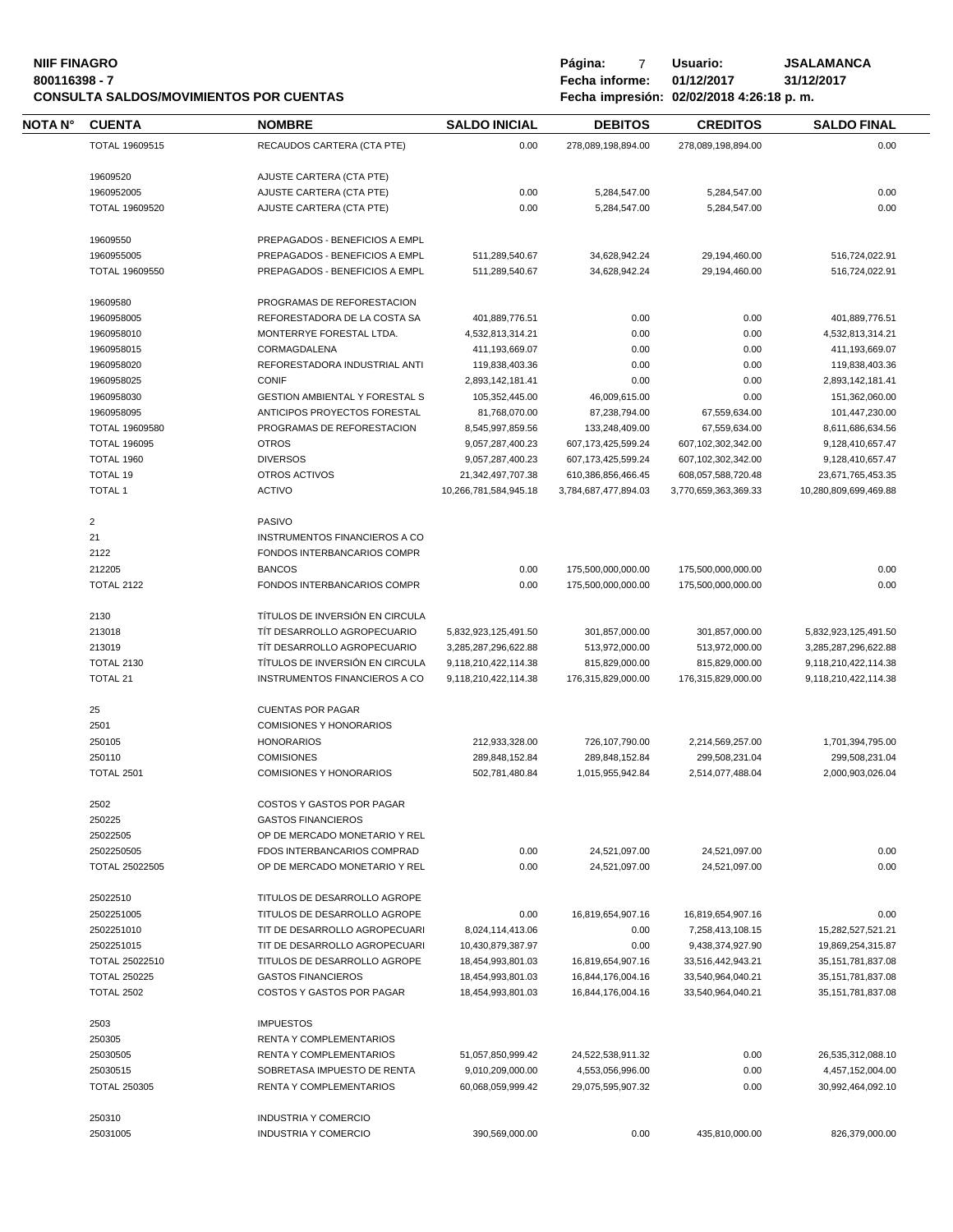### **NIIF FINAGRO P á g i n a :** 7 **U s u a r i o : JSALAMANCA 800116398 - 7 Fecha informe: 01/12/2017 31/12/2017**

|         |                     | <b>CONSULTA SALDOS/MOVIMIENTOS POR CUENTAS</b> | Fecha impresión: 02/02/2018 4:26:18 p.m. |                        |                      |                       |  |
|---------|---------------------|------------------------------------------------|------------------------------------------|------------------------|----------------------|-----------------------|--|
| NOTA N° | <b>CUENTA</b>       | <b>NOMBRE</b>                                  | <b>SALDO INICIAL</b>                     | <b>DEBITOS</b>         | <b>CREDITOS</b>      | <b>SALDO FINAL</b>    |  |
|         | TOTAL 19609515      | RECAUDOS CARTERA (CTA PTE)                     | 0.00                                     | 278,089,198,894.00     | 278,089,198,894.00   | 0.00                  |  |
|         | 19609520            | AJUSTE CARTERA (CTA PTE)                       |                                          |                        |                      |                       |  |
|         | 1960952005          | AJUSTE CARTERA (CTA PTE)                       | 0.00                                     | 5,284,547.00           | 5,284,547.00         | 0.00                  |  |
|         | TOTAL 19609520      | AJUSTE CARTERA (CTA PTE)                       | 0.00                                     | 5,284,547.00           | 5,284,547.00         | 0.00                  |  |
|         |                     |                                                |                                          |                        |                      |                       |  |
|         | 19609550            | PREPAGADOS - BENEFICIOS A EMPL                 |                                          |                        |                      |                       |  |
|         | 1960955005          | PREPAGADOS - BENEFICIOS A EMPL                 | 511,289,540.67                           | 34,628,942.24          | 29,194,460.00        | 516,724,022.91        |  |
|         | TOTAL 19609550      | PREPAGADOS - BENEFICIOS A EMPL                 | 511,289,540.67                           | 34,628,942.24          | 29,194,460.00        | 516,724,022.91        |  |
|         | 19609580            | PROGRAMAS DE REFORESTACION                     |                                          |                        |                      |                       |  |
|         | 1960958005          | REFORESTADORA DE LA COSTA SA                   | 401,889,776.51                           | 0.00                   | 0.00                 | 401,889,776.51        |  |
|         | 1960958010          | MONTERRYE FORESTAL LTDA.                       | 4,532,813,314.21                         | 0.00                   | 0.00                 | 4,532,813,314.21      |  |
|         | 1960958015          | CORMAGDALENA                                   | 411,193,669.07                           | 0.00                   | 0.00                 | 411,193,669.07        |  |
|         | 1960958020          | REFORESTADORA INDUSTRIAL ANTI                  | 119,838,403.36                           | 0.00                   | 0.00                 | 119,838,403.36        |  |
|         | 1960958025          | <b>CONIF</b>                                   | 2,893,142,181.41                         | 0.00                   | 0.00                 | 2,893,142,181.41      |  |
|         | 1960958030          | <b>GESTION AMBIENTAL Y FORESTAL S</b>          | 105,352,445.00                           | 46,009,615.00          | 0.00                 | 151,362,060.00        |  |
|         |                     |                                                |                                          |                        |                      | 101,447,230.00        |  |
|         | 1960958095          | ANTICIPOS PROYECTOS FORESTAL                   | 81,768,070.00                            | 87,238,794.00          | 67,559,634.00        |                       |  |
|         | TOTAL 19609580      | PROGRAMAS DE REFORESTACION                     | 8,545,997,859.56                         | 133,248,409.00         | 67,559,634.00        | 8,611,686,634.56      |  |
|         | <b>TOTAL 196095</b> | <b>OTROS</b>                                   | 9,057,287,400.23                         | 607, 173, 425, 599. 24 | 607,102,302,342.00   | 9,128,410,657.47      |  |
|         | TOTAL 1960          | <b>DIVERSOS</b>                                | 9,057,287,400.23                         | 607, 173, 425, 599. 24 | 607,102,302,342.00   | 9,128,410,657.47      |  |
|         | <b>TOTAL 19</b>     | OTROS ACTIVOS                                  | 21,342,497,707.38                        | 610,386,856,466.45     | 608,057,588,720.48   | 23,671,765,453.35     |  |
|         | <b>TOTAL 1</b>      | <b>ACTIVO</b>                                  | 10,266,781,584,945.18                    | 3,784,687,477,894.03   | 3,770,659,363,369.33 | 10,280,809,699,469.88 |  |
|         | $\sqrt{2}$          | PASIVO                                         |                                          |                        |                      |                       |  |
|         | 21                  | <b>INSTRUMENTOS FINANCIEROS A CO</b>           |                                          |                        |                      |                       |  |
|         | 2122                | FONDOS INTERBANCARIOS COMPR                    |                                          |                        |                      |                       |  |
|         | 212205              | <b>BANCOS</b>                                  | 0.00                                     | 175,500,000,000.00     | 175,500,000,000.00   | 0.00                  |  |
|         | <b>TOTAL 2122</b>   | FONDOS INTERBANCARIOS COMPR                    | 0.00                                     | 175,500,000,000.00     | 175,500,000,000.00   | 0.00                  |  |
|         | 2130                | TÍTULOS DE INVERSIÓN EN CIRCULA                |                                          |                        |                      |                       |  |
|         | 213018              | TIT DESARROLLO AGROPECUARIO                    |                                          |                        |                      |                       |  |
|         |                     |                                                | 5,832,923,125,491.50                     | 301,857,000.00         | 301,857,000.00       | 5,832,923,125,491.50  |  |
|         | 213019              | TIT DESARROLLO AGROPECUARIO                    | 3,285,287,296,622.88                     | 513,972,000.00         | 513,972,000.00       | 3,285,287,296,622.88  |  |
|         | <b>TOTAL 2130</b>   | TÍTULOS DE INVERSIÓN EN CIRCULA                | 9,118,210,422,114.38                     | 815,829,000.00         | 815,829,000.00       | 9,118,210,422,114.38  |  |
|         | <b>TOTAL 21</b>     | INSTRUMENTOS FINANCIEROS A CO                  | 9,118,210,422,114.38                     | 176,315,829,000.00     | 176,315,829,000.00   | 9,118,210,422,114.38  |  |
|         | 25                  | <b>CUENTAS POR PAGAR</b>                       |                                          |                        |                      |                       |  |
|         | 2501                | <b>COMISIONES Y HONORARIOS</b>                 |                                          |                        |                      |                       |  |
|         | 250105              | <b>HONORARIOS</b>                              | 212,933,328.00                           | 726,107,790.00         | 2,214,569,257.00     | 1,701,394,795.00      |  |
|         | 250110              | <b>COMISIONES</b>                              | 289,848,152.84                           | 289,848,152.84         | 299,508,231.04       | 299,508,231.04        |  |
|         | <b>TOTAL 2501</b>   | <b>COMISIONES Y HONORARIOS</b>                 | 502,781,480.84                           | 1,015,955,942.84       | 2,514,077,488.04     | 2,000,903,026.04      |  |
|         | 2502                | COSTOS Y GASTOS POR PAGAR                      |                                          |                        |                      |                       |  |
|         | 250225              | <b>GASTOS FINANCIEROS</b>                      |                                          |                        |                      |                       |  |
|         | 25022505            | OP DE MERCADO MONETARIO Y REL                  |                                          |                        |                      |                       |  |
|         | 2502250505          | FDOS INTERBANCARIOS COMPRAD                    | 0.00                                     | 24,521,097.00          | 24,521,097.00        | 0.00                  |  |
|         | TOTAL 25022505      | OP DE MERCADO MONETARIO Y REL                  | 0.00                                     | 24,521,097.00          | 24,521,097.00        | 0.00                  |  |
|         | 25022510            | TITULOS DE DESARROLLO AGROPE                   |                                          |                        |                      |                       |  |
|         |                     |                                                |                                          |                        |                      |                       |  |
|         | 2502251005          | TITULOS DE DESARROLLO AGROPE                   | 0.00                                     | 16,819,654,907.16      | 16,819,654,907.16    | 0.00                  |  |
|         | 2502251010          | TIT DE DESARROLLO AGROPECUARI                  | 8,024,114,413.06                         | 0.00                   | 7,258,413,108.15     | 15,282,527,521.21     |  |
|         | 2502251015          | TIT DE DESARROLLO AGROPECUARI                  | 10,430,879,387.97                        | 0.00                   | 9,438,374,927.90     | 19,869,254,315.87     |  |
|         | TOTAL 25022510      | TITULOS DE DESARROLLO AGROPE                   | 18,454,993,801.03                        | 16,819,654,907.16      | 33,516,442,943.21    | 35, 151, 781, 837.08  |  |
|         | <b>TOTAL 250225</b> | <b>GASTOS FINANCIEROS</b>                      | 18,454,993,801.03                        | 16,844,176,004.16      | 33,540,964,040.21    | 35, 151, 781, 837.08  |  |
|         | <b>TOTAL 2502</b>   | COSTOS Y GASTOS POR PAGAR                      | 18,454,993,801.03                        | 16,844,176,004.16      | 33,540,964,040.21    | 35, 151, 781, 837.08  |  |
|         | 2503                | <b>IMPUESTOS</b>                               |                                          |                        |                      |                       |  |
|         | 250305              | RENTA Y COMPLEMENTARIOS                        |                                          |                        |                      |                       |  |
|         | 25030505            | <b>RENTA Y COMPLEMENTARIOS</b>                 | 51,057,850,999.42                        | 24,522,538,911.32      | 0.00                 | 26,535,312,088.10     |  |
|         | 25030515            | SOBRETASA IMPUESTO DE RENTA                    | 9,010,209,000.00                         | 4,553,056,996.00       | 0.00                 | 4,457,152,004.00      |  |
|         | <b>TOTAL 250305</b> | RENTA Y COMPLEMENTARIOS                        | 60,068,059,999.42                        | 29,075,595,907.32      | 0.00                 | 30,992,464,092.10     |  |
|         | 250310              | <b>INDUSTRIA Y COMERCIO</b>                    |                                          |                        |                      |                       |  |
|         |                     |                                                |                                          |                        |                      |                       |  |
|         | 25031005            | INDUSTRIA Y COMERCIO                           | 390,569,000.00                           | 0.00                   | 435,810,000.00       | 826,379,000.00        |  |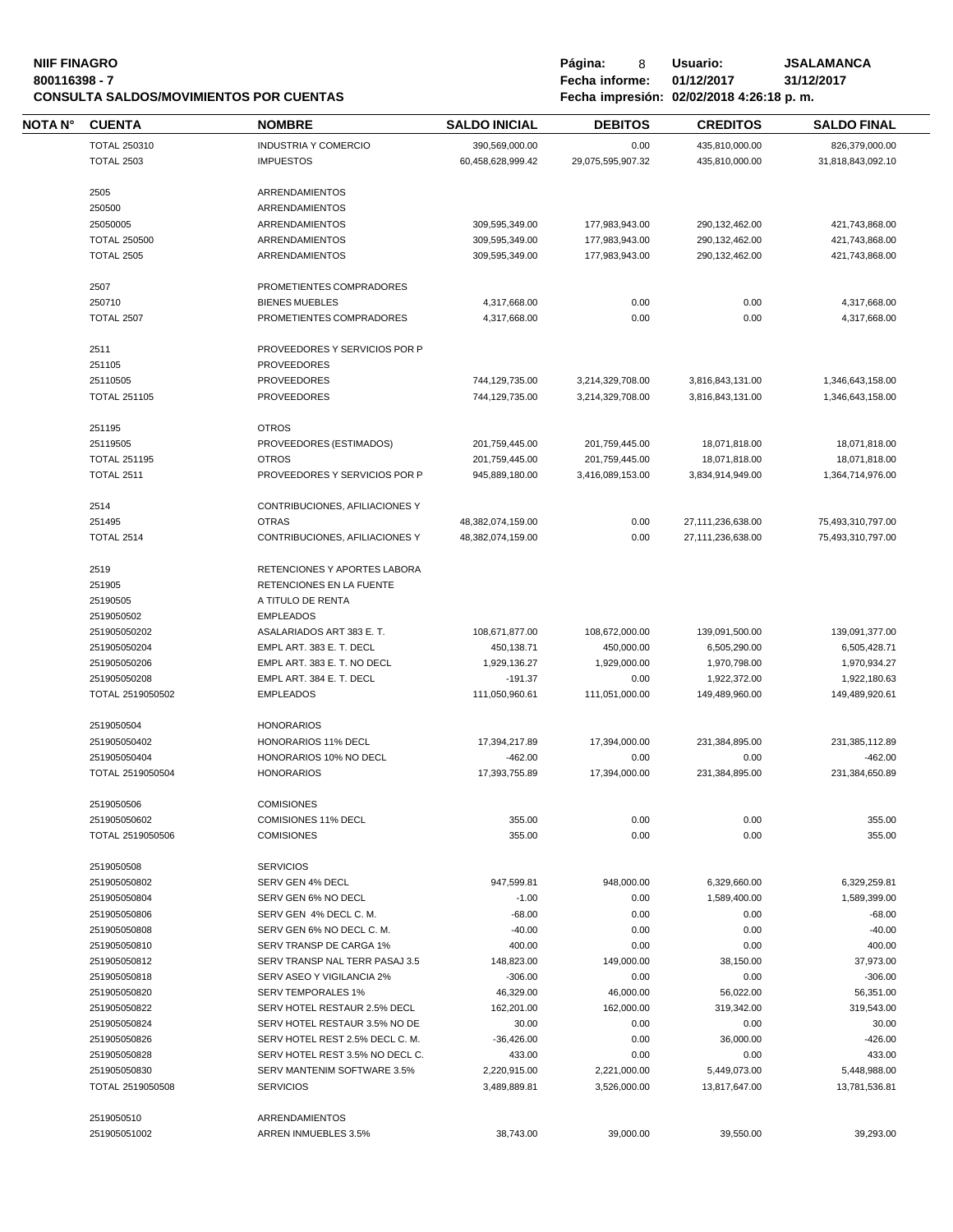#### **NIIF FINAGRO P á g i n a :** 8 **U s u a r i o : JSALAMANCA 800116398 - 7 Fecha informe: 01/12/2017 31/12/2017 CONSULTA SALDOS/MOVIMIENTOS POR CUENTAS Fecha impresión: 02/02/2018 4:26:18 p. m.**

| Página:        | 8 | Usuario:                         |
|----------------|---|----------------------------------|
| Fecha informe: |   | 01/12/2017                       |
|                |   | Fecha impresión: 02/02/2018 4:26 |

| NOTA N° | <b>CUENTA</b>              | <b>NOMBRE</b>                          | <b>SALDO INICIAL</b> | <b>DEBITOS</b>    | <b>CREDITOS</b>   | <b>SALDO FINAL</b> |
|---------|----------------------------|----------------------------------------|----------------------|-------------------|-------------------|--------------------|
|         | <b>TOTAL 250310</b>        | <b>INDUSTRIA Y COMERCIO</b>            | 390,569,000.00       | 0.00              | 435,810,000.00    | 826,379,000.00     |
|         | <b>TOTAL 2503</b>          | <b>IMPUESTOS</b>                       | 60,458,628,999.42    | 29,075,595,907.32 | 435,810,000.00    | 31,818,843,092.10  |
|         |                            |                                        |                      |                   |                   |                    |
|         | 2505                       | <b>ARRENDAMIENTOS</b>                  |                      |                   |                   |                    |
|         | 250500                     | ARRENDAMIENTOS                         |                      |                   |                   |                    |
|         | 25050005                   | <b>ARRENDAMIENTOS</b>                  | 309,595,349.00       | 177,983,943.00    | 290,132,462.00    | 421,743,868.00     |
|         | <b>TOTAL 250500</b>        | ARRENDAMIENTOS                         | 309,595,349.00       | 177,983,943.00    | 290,132,462.00    | 421,743,868.00     |
|         | <b>TOTAL 2505</b>          | ARRENDAMIENTOS                         | 309,595,349.00       | 177,983,943.00    | 290,132,462.00    | 421,743,868.00     |
|         | 2507                       | PROMETIENTES COMPRADORES               |                      |                   |                   |                    |
|         | 250710                     | <b>BIENES MUEBLES</b>                  | 4,317,668.00         | 0.00              | 0.00              | 4,317,668.00       |
|         | <b>TOTAL 2507</b>          | PROMETIENTES COMPRADORES               | 4,317,668.00         | 0.00              | 0.00              | 4,317,668.00       |
|         | 2511                       | PROVEEDORES Y SERVICIOS POR P          |                      |                   |                   |                    |
|         | 251105                     | <b>PROVEEDORES</b>                     |                      |                   |                   |                    |
|         | 25110505                   | <b>PROVEEDORES</b>                     | 744,129,735.00       | 3,214,329,708.00  | 3,816,843,131.00  | 1,346,643,158.00   |
|         | <b>TOTAL 251105</b>        | <b>PROVEEDORES</b>                     | 744,129,735.00       | 3,214,329,708.00  | 3,816,843,131.00  | 1,346,643,158.00   |
|         |                            |                                        |                      |                   |                   |                    |
|         | 251195                     | <b>OTROS</b>                           |                      |                   |                   |                    |
|         | 25119505                   | PROVEEDORES (ESTIMADOS)                | 201,759,445.00       | 201,759,445.00    | 18,071,818.00     | 18,071,818.00      |
|         | <b>TOTAL 251195</b>        | <b>OTROS</b>                           | 201,759,445.00       | 201,759,445.00    | 18,071,818.00     | 18,071,818.00      |
|         | <b>TOTAL 2511</b>          | PROVEEDORES Y SERVICIOS POR P          | 945,889,180.00       | 3,416,089,153.00  | 3,834,914,949.00  | 1,364,714,976.00   |
|         | 2514                       | CONTRIBUCIONES, AFILIACIONES Y         |                      |                   |                   |                    |
|         | 251495                     | <b>OTRAS</b>                           | 48,382,074,159.00    | 0.00              | 27,111,236,638.00 | 75,493,310,797.00  |
|         | <b>TOTAL 2514</b>          | CONTRIBUCIONES, AFILIACIONES Y         | 48,382,074,159.00    | 0.00              | 27,111,236,638.00 | 75,493,310,797.00  |
|         | 2519                       | RETENCIONES Y APORTES LABORA           |                      |                   |                   |                    |
|         | 251905                     | RETENCIONES EN LA FUENTE               |                      |                   |                   |                    |
|         | 25190505                   | A TITULO DE RENTA                      |                      |                   |                   |                    |
|         | 2519050502                 | <b>EMPLEADOS</b>                       |                      |                   |                   |                    |
|         | 251905050202               | ASALARIADOS ART 383 E. T.              | 108,671,877.00       | 108,672,000.00    | 139,091,500.00    | 139,091,377.00     |
|         | 251905050204               | EMPL ART. 383 E. T. DECL               | 450,138.71           | 450,000.00        | 6,505,290.00      | 6,505,428.71       |
|         | 251905050206               | EMPL ART. 383 E. T. NO DECL            | 1,929,136.27         | 1,929,000.00      | 1,970,798.00      | 1,970,934.27       |
|         | 251905050208               | EMPL ART. 384 E. T. DECL               | $-191.37$            | 0.00              | 1,922,372.00      | 1,922,180.63       |
|         | TOTAL 2519050502           | <b>EMPLEADOS</b>                       | 111,050,960.61       | 111,051,000.00    | 149,489,960.00    | 149,489,920.61     |
|         |                            |                                        |                      |                   |                   |                    |
|         | 2519050504                 | <b>HONORARIOS</b>                      |                      |                   |                   |                    |
|         | 251905050402               | HONORARIOS 11% DECL                    | 17,394,217.89        | 17,394,000.00     | 231,384,895.00    | 231,385,112.89     |
|         | 251905050404               | HONORARIOS 10% NO DECL                 | $-462.00$            | 0.00              | 0.00              | $-462.00$          |
|         | TOTAL 2519050504           | <b>HONORARIOS</b>                      | 17,393,755.89        | 17,394,000.00     | 231,384,895.00    | 231,384,650.89     |
|         | 2519050506                 | <b>COMISIONES</b>                      |                      |                   |                   |                    |
|         | 251905050602               | COMISIONES 11% DECL                    | 355.00               | 0.00              | 0.00              | 355.00             |
|         | TOTAL 2519050506           | <b>COMISIONES</b>                      | 355.00               | 0.00              | 0.00              | 355.00             |
|         | 2519050508                 | <b>SERVICIOS</b>                       |                      |                   |                   |                    |
|         | 251905050802               | SERV GEN 4% DECL                       | 947,599.81           | 948,000.00        | 6,329,660.00      | 6,329,259.81       |
|         | 251905050804               | SERV GEN 6% NO DECL                    | $-1.00$              | 0.00              | 1,589,400.00      | 1,589,399.00       |
|         | 251905050806               | SERV GEN 4% DECL C. M.                 | $-68.00$             | 0.00              | 0.00              | $-68.00$           |
|         | 251905050808               | SERV GEN 6% NO DECL C. M.              | -40.00               | 0.00              | 0.00              | $-40.00$           |
|         | 251905050810               | SERV TRANSP DE CARGA 1%                | 400.00               | 0.00              | 0.00              | 400.00             |
|         | 251905050812               | SERV TRANSP NAL TERR PASAJ 3.5         | 148,823.00           | 149,000.00        | 38,150.00         | 37,973.00          |
|         | 251905050818               | SERV ASEO Y VIGILANCIA 2%              | $-306.00$            | 0.00              | 0.00              | $-306.00$          |
|         | 251905050820               | <b>SERV TEMPORALES 1%</b>              | 46,329.00            | 46,000.00         | 56,022.00         | 56,351.00          |
|         | 251905050822               | SERV HOTEL RESTAUR 2.5% DECL           | 162,201.00           | 162,000.00        | 319,342.00        | 319,543.00         |
|         | 251905050824               | SERV HOTEL RESTAUR 3.5% NO DE          | 30.00                | 0.00              | 0.00              | 30.00              |
|         | 251905050826               | SERV HOTEL REST 2.5% DECL C. M.        | $-36,426.00$         | 0.00              | 36,000.00         | $-426.00$          |
|         | 251905050828               | SERV HOTEL REST 3.5% NO DECL C.        | 433.00               | 0.00              | 0.00              | 433.00             |
|         | 251905050830               | SERV MANTENIM SOFTWARE 3.5%            | 2,220,915.00         | 2,221,000.00      | 5,449,073.00      | 5,448,988.00       |
|         | TOTAL 2519050508           | <b>SERVICIOS</b>                       | 3,489,889.81         | 3,526,000.00      | 13,817,647.00     | 13,781,536.81      |
|         |                            |                                        |                      |                   |                   |                    |
|         | 2519050510<br>251905051002 | ARRENDAMIENTOS<br>ARREN INMUEBLES 3.5% | 38,743.00            | 39,000.00         | 39,550.00         | 39,293.00          |
|         |                            |                                        |                      |                   |                   |                    |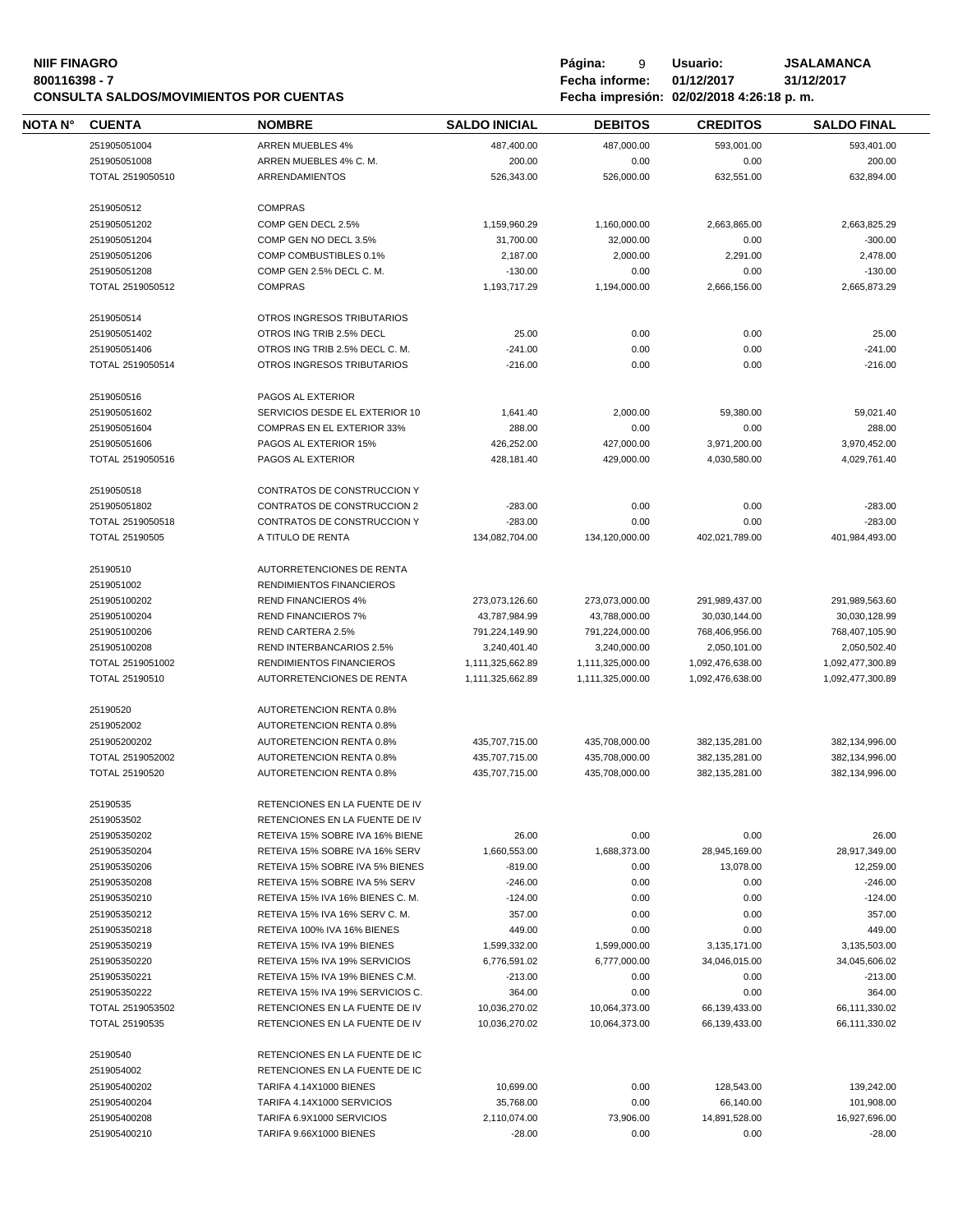## **NIIF FINAGRO P á g i n a :** 9 **U s u a r i o : JSALAMANCA CONSULTA SALDOS/MOVIMIENTOS POR CUENTAS**

**80011639 - Fecha informe: 01/12/2017** - **81/12/**<br>**8001184:26:18 p.m.** 

| NOTA N° | <b>CUENTA</b>    | <b>NOMBRE</b>                     | <b>SALDO INICIAL</b> | <b>DEBITOS</b>   | <b>CREDITOS</b>  | <b>SALDO FINAL</b> |
|---------|------------------|-----------------------------------|----------------------|------------------|------------------|--------------------|
|         | 251905051004     | <b>ARREN MUEBLES 4%</b>           | 487,400.00           | 487,000.00       | 593,001.00       | 593,401.00         |
|         | 251905051008     | ARREN MUEBLES 4% C.M.             | 200.00               | 0.00             | 0.00             | 200.00             |
|         | TOTAL 2519050510 | ARRENDAMIENTOS                    | 526,343.00           | 526,000.00       | 632,551.00       | 632,894.00         |
|         | 2519050512       | <b>COMPRAS</b>                    |                      |                  |                  |                    |
|         | 251905051202     | COMP GEN DECL 2.5%                | 1,159,960.29         | 1,160,000.00     | 2,663,865.00     | 2,663,825.29       |
|         | 251905051204     | COMP GEN NO DECL 3.5%             | 31,700.00            | 32,000.00        | 0.00             | $-300.00$          |
|         | 251905051206     | COMP COMBUSTIBLES 0.1%            | 2,187.00             | 2,000.00         | 2,291.00         | 2,478.00           |
|         | 251905051208     | COMP GEN 2.5% DECL C. M.          | $-130.00$            | 0.00             | 0.00             | $-130.00$          |
|         | TOTAL 2519050512 | <b>COMPRAS</b>                    | 1,193,717.29         | 1,194,000.00     | 2,666,156.00     | 2,665,873.29       |
|         | 2519050514       | OTROS INGRESOS TRIBUTARIOS        |                      |                  |                  |                    |
|         | 251905051402     | OTROS ING TRIB 2.5% DECL          | 25.00                | 0.00             | 0.00             | 25.00              |
|         | 251905051406     | OTROS ING TRIB 2.5% DECL C. M.    | $-241.00$            | 0.00             | 0.00             | $-241.00$          |
|         | TOTAL 2519050514 | OTROS INGRESOS TRIBUTARIOS        | $-216.00$            | 0.00             | 0.00             | $-216.00$          |
|         | 2519050516       | PAGOS AL EXTERIOR                 |                      |                  |                  |                    |
|         | 251905051602     | SERVICIOS DESDE EL EXTERIOR 10    | 1,641.40             | 2,000.00         | 59,380.00        | 59,021.40          |
|         | 251905051604     | <b>COMPRAS EN EL EXTERIOR 33%</b> | 288.00               | 0.00             | 0.00             | 288.00             |
|         | 251905051606     | PAGOS AL EXTERIOR 15%             | 426,252.00           | 427,000.00       | 3,971,200.00     | 3,970,452.00       |
|         | TOTAL 2519050516 | PAGOS AL EXTERIOR                 | 428,181.40           | 429.000.00       | 4,030,580.00     | 4,029,761.40       |
|         |                  |                                   |                      |                  |                  |                    |
|         | 2519050518       | CONTRATOS DE CONSTRUCCION Y       |                      |                  |                  |                    |
|         | 251905051802     | CONTRATOS DE CONSTRUCCION 2       | $-283.00$            | 0.00             | 0.00             | $-283.00$          |
|         | TOTAL 2519050518 | CONTRATOS DE CONSTRUCCION Y       | $-283.00$            | 0.00             | 0.00             | $-283.00$          |
|         | TOTAL 25190505   | A TITULO DE RENTA                 | 134,082,704.00       | 134,120,000.00   | 402,021,789.00   | 401,984,493.00     |
|         | 25190510         | AUTORRETENCIONES DE RENTA         |                      |                  |                  |                    |
|         | 2519051002       | <b>RENDIMIENTOS FINANCIEROS</b>   |                      |                  |                  |                    |
|         | 251905100202     | <b>REND FINANCIEROS 4%</b>        | 273,073,126.60       | 273,073,000.00   | 291,989,437.00   | 291,989,563.60     |
|         | 251905100204     | <b>REND FINANCIEROS 7%</b>        | 43,787,984.99        | 43,788,000.00    | 30,030,144.00    | 30,030,128.99      |
|         | 251905100206     | REND CARTERA 2.5%                 | 791,224,149.90       | 791,224,000.00   | 768,406,956.00   | 768,407,105.90     |
|         | 251905100208     | REND INTERBANCARIOS 2.5%          | 3,240,401.40         | 3,240,000.00     | 2,050,101.00     | 2,050,502.40       |
|         | TOTAL 2519051002 | RENDIMIENTOS FINANCIEROS          | 1,111,325,662.89     | 1,111,325,000.00 | 1,092,476,638.00 | 1,092,477,300.89   |
|         | TOTAL 25190510   | AUTORRETENCIONES DE RENTA         | 1,111,325,662.89     | 1,111,325,000.00 | 1,092,476,638.00 | 1,092,477,300.89   |
|         | 25190520         | AUTORETENCION RENTA 0.8%          |                      |                  |                  |                    |
|         | 2519052002       | AUTORETENCION RENTA 0.8%          |                      |                  |                  |                    |
|         | 251905200202     | AUTORETENCION RENTA 0.8%          | 435,707,715.00       | 435,708,000.00   | 382,135,281.00   | 382,134,996.00     |
|         | TOTAL 2519052002 | AUTORETENCION RENTA 0.8%          | 435,707,715.00       | 435,708,000.00   | 382,135,281.00   | 382,134,996.00     |
|         | TOTAL 25190520   | AUTORETENCION RENTA 0.8%          | 435.707.715.00       | 435,708,000.00   | 382,135,281.00   | 382,134,996.00     |
|         | 25190535         | RETENCIONES EN LA FUENTE DE IV    |                      |                  |                  |                    |
|         | 2519053502       | RETENCIONES EN LA FUENTE DE IV    |                      |                  |                  |                    |
|         | 251905350202     | RETEIVA 15% SOBRE IVA 16% BIENE   | 26.00                | 0.00             | 0.00             | 26.00              |
|         | 251905350204     | RETEIVA 15% SOBRE IVA 16% SERV    | 1,660,553.00         | 1,688,373.00     | 28,945,169.00    | 28,917,349.00      |
|         | 251905350206     | RETEIVA 15% SOBRE IVA 5% BIENES   | $-819.00$            | 0.00             | 13,078.00        | 12,259.00          |
|         | 251905350208     | RETEIVA 15% SOBRE IVA 5% SERV     | $-246.00$            | 0.00             | 0.00             | $-246.00$          |
|         | 251905350210     | RETEIVA 15% IVA 16% BIENES C.M.   | $-124.00$            | 0.00             | 0.00             | $-124.00$          |
|         | 251905350212     | RETEIVA 15% IVA 16% SERV C.M.     | 357.00               | 0.00             | 0.00             | 357.00             |
|         | 251905350218     | RETEIVA 100% IVA 16% BIENES       | 449.00               | 0.00             | 0.00             | 449.00             |
|         | 251905350219     | RETEIVA 15% IVA 19% BIENES        | 1,599,332.00         | 1,599,000.00     | 3,135,171.00     | 3,135,503.00       |
|         | 251905350220     | RETEIVA 15% IVA 19% SERVICIOS     | 6,776,591.02         | 6,777,000.00     | 34,046,015.00    | 34,045,606.02      |
|         | 251905350221     | RETEIVA 15% IVA 19% BIENES C.M.   | $-213.00$            | 0.00             | 0.00             | $-213.00$          |
|         | 251905350222     | RETEIVA 15% IVA 19% SERVICIOS C.  | 364.00               | 0.00             | 0.00             | 364.00             |
|         | TOTAL 2519053502 | RETENCIONES EN LA FUENTE DE IV    | 10,036,270.02        | 10,064,373.00    | 66,139,433.00    | 66,111,330.02      |
|         | TOTAL 25190535   | RETENCIONES EN LA FUENTE DE IV    | 10,036,270.02        | 10,064,373.00    | 66,139,433.00    | 66,111,330.02      |
|         |                  |                                   |                      |                  |                  |                    |
|         | 25190540         | RETENCIONES EN LA FUENTE DE IC    |                      |                  |                  |                    |
|         | 2519054002       | RETENCIONES EN LA FUENTE DE IC    |                      |                  |                  |                    |
|         | 251905400202     | TARIFA 4.14X1000 BIENES           | 10,699.00            | 0.00             | 128,543.00       | 139,242.00         |
|         | 251905400204     | TARIFA 4.14X1000 SERVICIOS        | 35,768.00            | 0.00             | 66,140.00        | 101,908.00         |
|         | 251905400208     | TARIFA 6.9X1000 SERVICIOS         | 2,110,074.00         | 73,906.00        | 14,891,528.00    | 16,927,696.00      |
|         | 251905400210     | TARIFA 9.66X1000 BIENES           | $-28.00$             | 0.00             | 0.00             | $-28.00$           |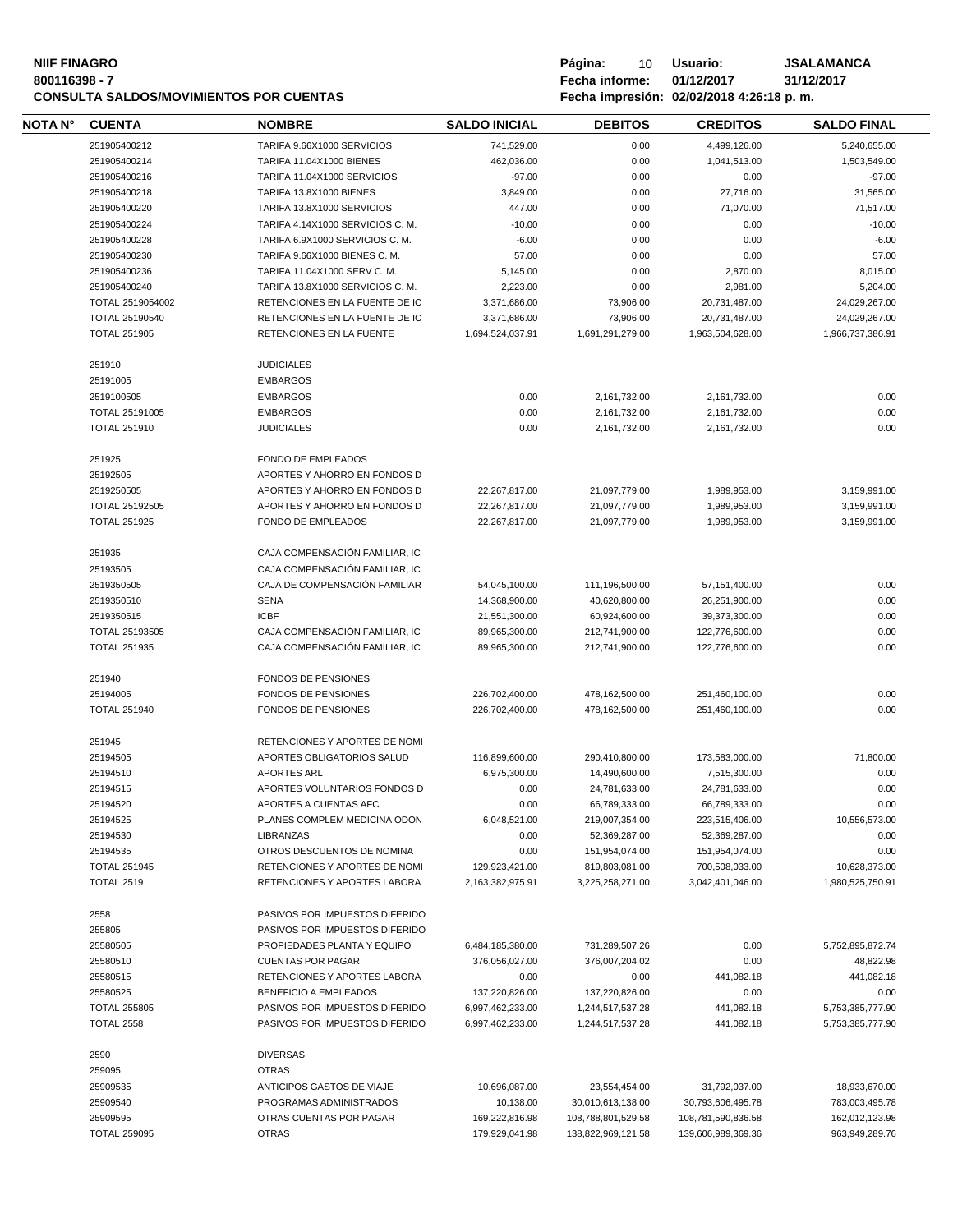## **NIIF FINAGRO P á g i n a :** 10 **U s u a r i o : JSALAMANCA CONSULTA SALDOS/MOVIMIENTOS POR CUENTAS**

| NOTA N° | <b>CUENTA</b>                   | <b>NOMBRE</b>                           | <b>SALDO INICIAL</b>             | <b>DEBITOS</b>                           | <b>CREDITOS</b>                          | <b>SALDO FINAL</b>               |
|---------|---------------------------------|-----------------------------------------|----------------------------------|------------------------------------------|------------------------------------------|----------------------------------|
|         | 251905400212                    | TARIFA 9.66X1000 SERVICIOS              | 741,529.00                       | 0.00                                     | 4,499,126.00                             | 5,240,655.00                     |
|         | 251905400214                    | TARIFA 11.04X1000 BIENES                | 462,036.00                       | 0.00                                     | 1,041,513.00                             | 1,503,549.00                     |
|         | 251905400216                    | TARIFA 11.04X1000 SERVICIOS             | $-97.00$                         | 0.00                                     | 0.00                                     | $-97.00$                         |
|         | 251905400218                    | TARIFA 13.8X1000 BIENES                 | 3,849.00                         | 0.00                                     | 27,716.00                                | 31,565.00                        |
|         | 251905400220                    | TARIFA 13.8X1000 SERVICIOS              | 447.00                           | 0.00                                     | 71,070.00                                | 71,517.00                        |
|         | 251905400224                    | TARIFA 4.14X1000 SERVICIOS C. M.        | $-10.00$                         | 0.00                                     | 0.00                                     | $-10.00$                         |
|         | 251905400228                    | TARIFA 6.9X1000 SERVICIOS C. M.         | $-6.00$                          | 0.00                                     | 0.00                                     | $-6.00$                          |
|         | 251905400230                    |                                         |                                  |                                          | 0.00                                     |                                  |
|         |                                 | TARIFA 9.66X1000 BIENES C. M.           | 57.00                            | 0.00                                     |                                          | 57.00                            |
|         | 251905400236                    | TARIFA 11.04X1000 SERV C. M.            | 5,145.00                         | 0.00                                     | 2,870.00                                 | 8,015.00                         |
|         | 251905400240                    | TARIFA 13.8X1000 SERVICIOS C. M.        | 2,223.00                         | 0.00                                     | 2,981.00                                 | 5,204.00                         |
|         | TOTAL 2519054002                | RETENCIONES EN LA FUENTE DE IC          | 3,371,686.00                     | 73,906.00                                | 20,731,487.00                            | 24,029,267.00                    |
|         | TOTAL 25190540                  | RETENCIONES EN LA FUENTE DE IC          | 3,371,686.00                     | 73,906.00                                | 20,731,487.00                            | 24,029,267.00                    |
|         | <b>TOTAL 251905</b>             | RETENCIONES EN LA FUENTE                | 1,694,524,037.91                 | 1,691,291,279.00                         | 1,963,504,628.00                         | 1,966,737,386.91                 |
|         | 251910                          | <b>JUDICIALES</b>                       |                                  |                                          |                                          |                                  |
|         | 25191005                        | <b>EMBARGOS</b>                         |                                  |                                          |                                          |                                  |
|         | 2519100505                      | <b>EMBARGOS</b>                         | 0.00                             | 2,161,732.00                             | 2,161,732.00                             | 0.00                             |
|         | <b>TOTAL 25191005</b>           | <b>EMBARGOS</b>                         | 0.00                             | 2,161,732.00                             | 2,161,732.00                             | 0.00                             |
|         | <b>TOTAL 251910</b>             | <b>JUDICIALES</b>                       |                                  |                                          |                                          | 0.00                             |
|         |                                 |                                         | 0.00                             | 2,161,732.00                             | 2,161,732.00                             |                                  |
|         | 251925                          | <b>FONDO DE EMPLEADOS</b>               |                                  |                                          |                                          |                                  |
|         | 25192505                        | APORTES Y AHORRO EN FONDOS D            |                                  |                                          |                                          |                                  |
|         | 2519250505                      | APORTES Y AHORRO EN FONDOS D            | 22,267,817.00                    | 21,097,779.00                            | 1,989,953.00                             | 3,159,991.00                     |
|         | <b>TOTAL 25192505</b>           | APORTES Y AHORRO EN FONDOS D            | 22,267,817.00                    | 21,097,779.00                            | 1,989,953.00                             | 3,159,991.00                     |
|         | <b>TOTAL 251925</b>             | <b>FONDO DE EMPLEADOS</b>               | 22,267,817.00                    | 21.097.779.00                            | 1,989,953.00                             | 3,159,991.00                     |
|         |                                 |                                         |                                  |                                          |                                          |                                  |
|         | 251935                          | CAJA COMPENSACIÓN FAMILIAR, IC          |                                  |                                          |                                          |                                  |
|         | 25193505                        | CAJA COMPENSACIÓN FAMILIAR, IC          |                                  |                                          |                                          |                                  |
|         | 2519350505                      | CAJA DE COMPENSACIÓN FAMILIAR           | 54,045,100.00                    | 111,196,500.00                           | 57,151,400.00                            | 0.00                             |
|         | 2519350510                      | <b>SENA</b>                             | 14,368,900.00                    | 40,620,800.00                            | 26,251,900.00                            | 0.00                             |
|         | 2519350515                      | <b>ICBF</b>                             | 21,551,300.00                    | 60,924,600.00                            | 39,373,300.00                            | 0.00                             |
|         | TOTAL 25193505                  | CAJA COMPENSACIÓN FAMILIAR, IC          | 89,965,300.00                    | 212,741,900.00                           | 122,776,600.00                           | 0.00                             |
|         | <b>TOTAL 251935</b>             | CAJA COMPENSACIÓN FAMILIAR, IC          | 89,965,300.00                    | 212,741,900.00                           | 122,776,600.00                           | 0.00                             |
|         |                                 |                                         |                                  |                                          |                                          |                                  |
|         | 251940                          | <b>FONDOS DE PENSIONES</b>              |                                  |                                          |                                          |                                  |
|         | 25194005                        | <b>FONDOS DE PENSIONES</b>              | 226,702,400.00                   | 478,162,500.00                           | 251,460,100.00                           | 0.00                             |
|         | <b>TOTAL 251940</b>             | <b>FONDOS DE PENSIONES</b>              | 226,702,400.00                   | 478,162,500.00                           | 251,460,100.00                           | 0.00                             |
|         | 251945                          | RETENCIONES Y APORTES DE NOMI           |                                  |                                          |                                          |                                  |
|         | 25194505                        | APORTES OBLIGATORIOS SALUD              | 116,899,600.00                   |                                          |                                          |                                  |
|         |                                 |                                         |                                  | 290,410,800.00                           | 173,583,000.00                           | 71,800.00                        |
|         | 25194510                        | <b>APORTES ARL</b>                      | 6,975,300.00                     | 14,490,600.00                            | 7,515,300.00                             | 0.00                             |
|         | 25194515                        | APORTES VOLUNTARIOS FONDOS D            | 0.00                             | 24,781,633.00                            | 24,781,633.00                            | 0.00                             |
|         | 25194520                        | APORTES A CUENTAS AFC                   | 0.00                             | 66,789,333.00                            | 66,789,333.00                            | 0.00                             |
|         | 25194525                        | PLANES COMPLEM MEDICINA ODON            | 6,048,521.00                     | 219,007,354.00                           | 223,515,406.00                           | 10,556,573.00                    |
|         | 25194530                        | <b>LIBRANZAS</b>                        | 0.00                             | 52,369,287.00                            | 52,369,287.00                            | 0.00                             |
|         | 25194535                        | OTROS DESCUENTOS DE NOMINA              | 0.00                             | 151,954,074.00                           | 151,954,074.00                           | 0.00                             |
|         | <b>TOTAL 251945</b>             | RETENCIONES Y APORTES DE NOMI           | 129,923,421.00                   | 819,803,081.00                           | 700,508,033.00                           | 10,628,373.00                    |
|         | <b>TOTAL 2519</b>               | RETENCIONES Y APORTES LABORA            | 2,163,382,975.91                 | 3,225,258,271.00                         | 3,042,401,046.00                         | 1,980,525,750.91                 |
|         | 2558                            | PASIVOS POR IMPUESTOS DIFERIDO          |                                  |                                          |                                          |                                  |
|         | 255805                          | PASIVOS POR IMPUESTOS DIFERIDO          |                                  |                                          |                                          |                                  |
|         | 25580505                        | PROPIEDADES PLANTA Y EQUIPO             | 6,484,185,380.00                 | 731,289,507.26                           | 0.00                                     | 5,752,895,872.74                 |
|         | 25580510                        | <b>CUENTAS POR PAGAR</b>                |                                  |                                          |                                          | 48,822.98                        |
|         |                                 |                                         | 376,056,027.00                   | 376,007,204.02                           | 0.00                                     |                                  |
|         | 25580515                        | RETENCIONES Y APORTES LABORA            | 0.00                             | 0.00                                     | 441,082.18                               | 441,082.18                       |
|         | 25580525                        | BENEFICIO A EMPLEADOS                   | 137,220,826.00                   | 137,220,826.00                           | 0.00                                     | 0.00                             |
|         | <b>TOTAL 255805</b>             | PASIVOS POR IMPUESTOS DIFERIDO          | 6,997,462,233.00                 | 1,244,517,537.28                         | 441,082.18                               | 5,753,385,777.90                 |
|         | <b>TOTAL 2558</b>               | PASIVOS POR IMPUESTOS DIFERIDO          | 6,997,462,233.00                 | 1,244,517,537.28                         | 441,082.18                               | 5,753,385,777.90                 |
|         | 2590                            | <b>DIVERSAS</b>                         |                                  |                                          |                                          |                                  |
|         | 259095                          | <b>OTRAS</b>                            |                                  |                                          |                                          |                                  |
|         | 25909535                        |                                         |                                  |                                          |                                          |                                  |
|         |                                 | ANTICIPOS GASTOS DE VIAJE               | 10,696,087.00                    | 23,554,454.00                            | 31,792,037.00                            | 18,933,670.00                    |
|         | 25909540                        | PROGRAMAS ADMINISTRADOS                 | 10,138.00                        | 30,010,613,138.00                        | 30,793,606,495.78                        | 783,003,495.78                   |
|         |                                 |                                         |                                  |                                          |                                          |                                  |
|         | 25909595<br><b>TOTAL 259095</b> | OTRAS CUENTAS POR PAGAR<br><b>OTRAS</b> | 169,222,816.98<br>179,929,041.98 | 108,788,801,529.58<br>138,822,969,121.58 | 108,781,590,836.58<br>139,606,989,369.36 | 162,012,123.98<br>963,949,289.76 |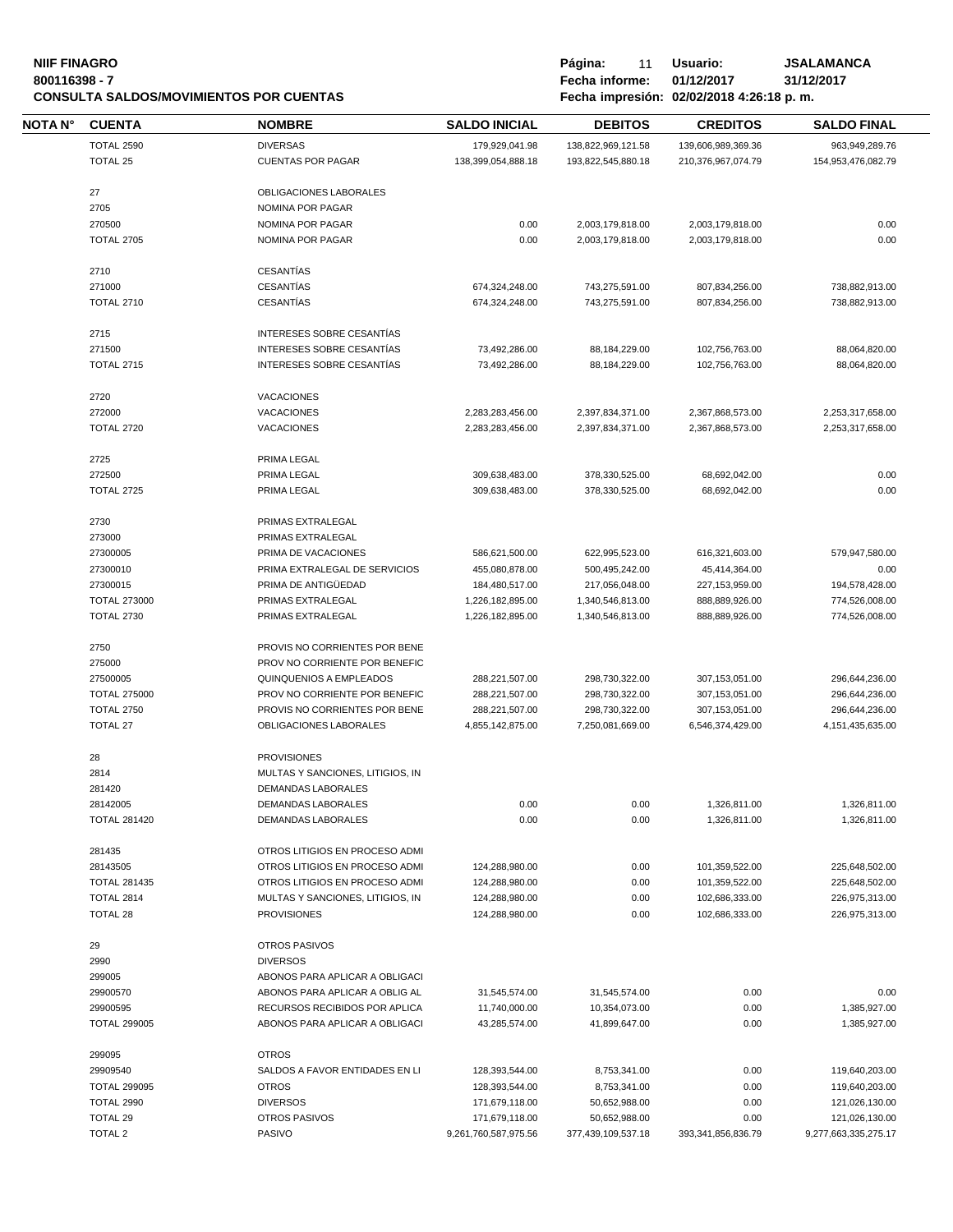### **NIIF FINAGRO**<br> **Página:** 11 Usuario: JSALAMANCA<br>
Pecha informe: 01/12/2017 31/12/2017 **800116398 - 7 Fecha informe: 01/12/2017 31/12/2017 CONSULTA SALDOS/MOVIMIENTOS POR CUENTAS**

| Pagina:        | 11 | Usı |
|----------------|----|-----|
| Fecha informe: |    | 01/ |

| NOTA N° | <b>CUENTA</b>                            | <b>NOMBRE</b>                                  | <b>SALDO INICIAL</b>             | <b>DEBITOS</b>                | <b>CREDITOS</b>    | <b>SALDO FINAL</b>               |
|---------|------------------------------------------|------------------------------------------------|----------------------------------|-------------------------------|--------------------|----------------------------------|
|         | <b>TOTAL 2590</b>                        | <b>DIVERSAS</b>                                | 179,929,041.98                   | 138,822,969,121.58            | 139,606,989,369.36 | 963,949,289.76                   |
|         | <b>TOTAL 25</b>                          | <b>CUENTAS POR PAGAR</b>                       | 138,399,054,888.18               | 193,822,545,880.18            | 210,376,967,074.79 | 154,953,476,082.79               |
|         | 27                                       | OBLIGACIONES LABORALES                         |                                  |                               |                    |                                  |
|         | 2705                                     | NOMINA POR PAGAR                               |                                  |                               |                    |                                  |
|         | 270500                                   | NOMINA POR PAGAR                               | 0.00                             | 2,003,179,818.00              | 2,003,179,818.00   | 0.00                             |
|         | <b>TOTAL 2705</b>                        | NOMINA POR PAGAR                               | 0.00                             | 2,003,179,818.00              | 2,003,179,818.00   | 0.00                             |
|         |                                          |                                                |                                  |                               |                    |                                  |
|         | 2710                                     | <b>CESANTÍAS</b>                               |                                  |                               |                    |                                  |
|         | 271000                                   | <b>CESANTÍAS</b>                               | 674,324,248.00                   | 743,275,591.00                | 807,834,256.00     | 738,882,913.00                   |
|         | <b>TOTAL 2710</b>                        | <b>CESANTÍAS</b>                               | 674,324,248.00                   | 743,275,591.00                | 807,834,256.00     | 738,882,913.00                   |
|         | 2715                                     | INTERESES SOBRE CESANTIAS                      |                                  |                               |                    |                                  |
|         | 271500                                   | INTERESES SOBRE CESANTIAS                      | 73,492,286.00                    | 88,184,229.00                 | 102,756,763.00     | 88,064,820.00                    |
|         | <b>TOTAL 2715</b>                        | INTERESES SOBRE CESANTIAS                      | 73,492,286.00                    | 88,184,229.00                 | 102,756,763.00     | 88,064,820.00                    |
|         |                                          |                                                |                                  |                               |                    |                                  |
|         | 2720<br>272000                           | <b>VACACIONES</b><br><b>VACACIONES</b>         | 2,283,283,456.00                 | 2,397,834,371.00              | 2,367,868,573.00   | 2,253,317,658.00                 |
|         | <b>TOTAL 2720</b>                        | <b>VACACIONES</b>                              |                                  |                               |                    |                                  |
|         |                                          |                                                | 2,283,283,456.00                 | 2,397,834,371.00              | 2,367,868,573.00   | 2,253,317,658.00                 |
|         | 2725                                     | PRIMA LEGAL                                    |                                  |                               |                    |                                  |
|         | 272500                                   | PRIMA LEGAL                                    | 309,638,483.00                   | 378,330,525.00                | 68,692,042.00      | 0.00                             |
|         | <b>TOTAL 2725</b>                        | PRIMA LEGAL                                    | 309,638,483.00                   | 378,330,525.00                | 68,692,042.00      | 0.00                             |
|         | 2730                                     | PRIMAS EXTRALEGAL                              |                                  |                               |                    |                                  |
|         | 273000                                   | PRIMAS EXTRALEGAL                              |                                  |                               |                    |                                  |
|         | 27300005                                 | PRIMA DE VACACIONES                            | 586,621,500.00                   | 622,995,523.00                | 616,321,603.00     | 579,947,580.00                   |
|         | 27300010                                 | PRIMA EXTRALEGAL DE SERVICIOS                  | 455,080,878.00                   | 500,495,242.00                | 45,414,364.00      | 0.00                             |
|         | 27300015                                 | PRIMA DE ANTIGÜEDAD                            | 184,480,517.00                   | 217,056,048.00                | 227,153,959.00     | 194,578,428.00                   |
|         | <b>TOTAL 273000</b>                      | PRIMAS EXTRALEGAL                              | 1,226,182,895.00                 | 1,340,546,813.00              | 888,889,926.00     | 774,526,008.00                   |
|         | <b>TOTAL 2730</b>                        | PRIMAS EXTRALEGAL                              | 1,226,182,895.00                 | 1,340,546,813.00              | 888,889,926.00     | 774,526,008.00                   |
|         | 2750                                     | PROVIS NO CORRIENTES POR BENE                  |                                  |                               |                    |                                  |
|         | 275000                                   | PROV NO CORRIENTE POR BENEFIC                  |                                  |                               |                    |                                  |
|         | 27500005                                 | QUINQUENIOS A EMPLEADOS                        | 288,221,507.00                   | 298,730,322.00                | 307,153,051.00     | 296,644,236.00                   |
|         | <b>TOTAL 275000</b>                      | PROV NO CORRIENTE POR BENEFIC                  | 288,221,507.00                   | 298,730,322.00                | 307,153,051.00     | 296,644,236.00                   |
|         | <b>TOTAL 2750</b>                        | PROVIS NO CORRIENTES POR BENE                  | 288,221,507.00                   | 298.730.322.00                | 307.153.051.00     | 296,644,236.00                   |
|         | <b>TOTAL 27</b>                          | OBLIGACIONES LABORALES                         | 4,855,142,875.00                 | 7,250,081,669.00              | 6,546,374,429.00   | 4,151,435,635.00                 |
|         |                                          |                                                |                                  |                               |                    |                                  |
|         | 28                                       | <b>PROVISIONES</b>                             |                                  |                               |                    |                                  |
|         | 2814                                     | MULTAS Y SANCIONES, LITIGIOS, IN               |                                  |                               |                    |                                  |
|         | 281420                                   | DEMANDAS LABORALES                             |                                  |                               |                    |                                  |
|         | 28142005                                 | <b>DEMANDAS LABORALES</b>                      | 0.00                             | 0.00                          | 1,326,811.00       | 1,326,811.00                     |
|         | <b>TOTAL 281420</b>                      | <b>DEMANDAS LABORALES</b>                      | 0.00                             | 0.00                          | 1,326,811.00       | 1,326,811.00                     |
|         | 281435                                   | OTROS LITIGIOS EN PROCESO ADMI                 |                                  |                               |                    |                                  |
|         | 28143505                                 | OTROS LITIGIOS EN PROCESO ADMI                 | 124,288,980.00                   | 0.00                          | 101,359,522.00     | 225,648,502.00                   |
|         | <b>TOTAL 281435</b>                      | OTROS LITIGIOS EN PROCESO ADMI                 | 124,288,980.00                   | 0.00                          | 101,359,522.00     | 225,648,502.00                   |
|         | <b>TOTAL 2814</b>                        | MULTAS Y SANCIONES, LITIGIOS, IN               | 124,288,980.00                   | 0.00                          | 102,686,333.00     | 226,975,313.00                   |
|         | <b>TOTAL 28</b>                          | <b>PROVISIONES</b>                             | 124,288,980.00                   | 0.00                          | 102,686,333.00     | 226,975,313.00                   |
|         | 29                                       | <b>OTROS PASIVOS</b>                           |                                  |                               |                    |                                  |
|         | 2990                                     | <b>DIVERSOS</b>                                |                                  |                               |                    |                                  |
|         | 299005                                   | ABONOS PARA APLICAR A OBLIGACI                 |                                  |                               |                    |                                  |
|         | 29900570                                 | ABONOS PARA APLICAR A OBLIG AL                 | 31,545,574.00                    | 31,545,574.00                 | 0.00               | 0.00                             |
|         | 29900595                                 | RECURSOS RECIBIDOS POR APLICA                  | 11,740,000.00                    | 10,354,073.00                 | 0.00               | 1,385,927.00                     |
|         | <b>TOTAL 299005</b>                      | ABONOS PARA APLICAR A OBLIGACI                 | 43,285,574.00                    | 41,899,647.00                 | 0.00               | 1,385,927.00                     |
|         |                                          |                                                |                                  |                               |                    |                                  |
|         | 299095                                   | <b>OTROS</b>                                   |                                  |                               |                    |                                  |
|         | 29909540                                 | SALDOS A FAVOR ENTIDADES EN LI<br><b>OTROS</b> | 128,393,544.00                   | 8,753,341.00                  | 0.00               | 119,640,203.00                   |
|         | <b>TOTAL 299095</b><br><b>TOTAL 2990</b> | <b>DIVERSOS</b>                                | 128,393,544.00<br>171,679,118.00 | 8,753,341.00<br>50,652,988.00 | 0.00<br>0.00       | 119,640,203.00                   |
|         | <b>TOTAL 29</b>                          | <b>OTROS PASIVOS</b>                           | 171,679,118.00                   | 50,652,988.00                 | 0.00               | 121,026,130.00<br>121,026,130.00 |
|         | <b>TOTAL 2</b>                           | PASIVO                                         | 9,261,760,587,975.56             | 377,439,109,537.18            | 393,341,856,836.79 | 9,277,663,335,275.17             |
|         |                                          |                                                |                                  |                               |                    |                                  |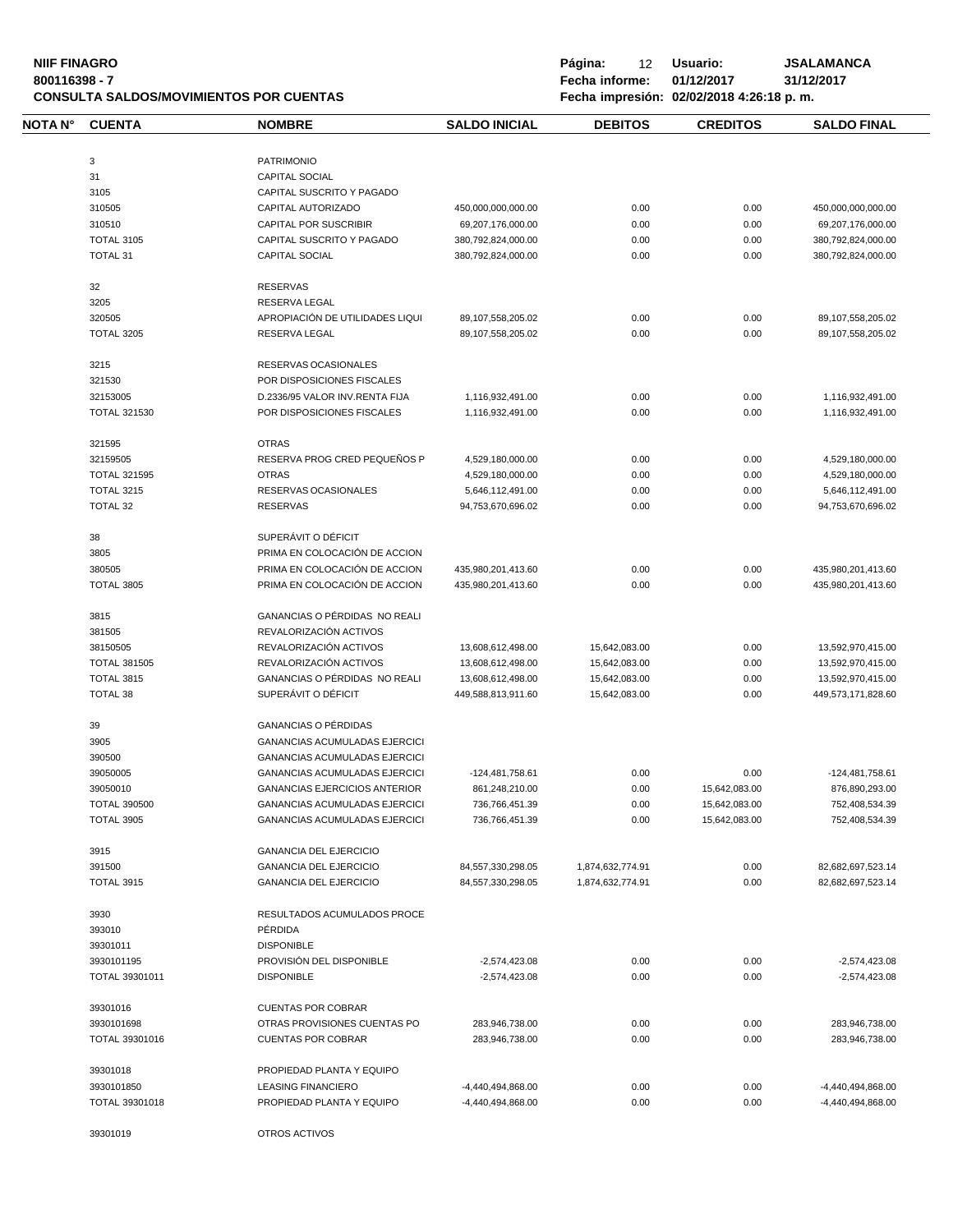| <b>NIIF FINAGRO</b><br>800116398 - 7 |                     | <b>CONSULTA SALDOS/MOVIMIENTOS POR CUENTAS</b> |                      | Página:<br>12<br>Fecha informe: | Usuario:<br>01/12/2017<br>Fecha impresión: 02/02/2018 4:26:18 p.m. | <b>JSALAMANCA</b><br>31/12/2017 |
|--------------------------------------|---------------------|------------------------------------------------|----------------------|---------------------------------|--------------------------------------------------------------------|---------------------------------|
| <b>NOTA N°</b>                       | <b>CUENTA</b>       | <b>NOMBRE</b>                                  | <b>SALDO INICIAL</b> | <b>DEBITOS</b>                  | <b>CREDITOS</b>                                                    | <b>SALDO FINAL</b>              |
|                                      |                     |                                                |                      |                                 |                                                                    |                                 |
|                                      | 3                   | <b>PATRIMONIO</b>                              |                      |                                 |                                                                    |                                 |
|                                      | 31                  | <b>CAPITAL SOCIAL</b>                          |                      |                                 |                                                                    |                                 |
|                                      | 3105                | CAPITAL SUSCRITO Y PAGADO                      |                      |                                 |                                                                    |                                 |
|                                      | 310505              | CAPITAL AUTORIZADO                             | 450,000,000,000.00   | 0.00                            | 0.00                                                               | 450,000,000,000.00              |
|                                      | 310510              | CAPITAL POR SUSCRIBIR                          | 69,207,176,000.00    | 0.00                            | 0.00                                                               | 69,207,176,000.00               |
|                                      | <b>TOTAL 3105</b>   | CAPITAL SUSCRITO Y PAGADO                      | 380,792,824,000.00   | 0.00                            | 0.00                                                               | 380,792,824,000.00              |
|                                      | <b>TOTAL 31</b>     | <b>CAPITAL SOCIAL</b>                          | 380,792,824,000.00   | 0.00                            | 0.00                                                               | 380,792,824,000.00              |
|                                      | 32                  | <b>RESERVAS</b>                                |                      |                                 |                                                                    |                                 |
|                                      | 3205                | RESERVA LEGAL                                  |                      |                                 |                                                                    |                                 |
|                                      | 320505              | APROPIACIÓN DE UTILIDADES LIQUI                | 89,107,558,205.02    | 0.00                            | 0.00                                                               | 89,107,558,205.02               |
|                                      | <b>TOTAL 3205</b>   | RESERVA LEGAL                                  | 89,107,558,205.02    | 0.00                            | 0.00                                                               | 89,107,558,205.02               |
|                                      | 3215                | RESERVAS OCASIONALES                           |                      |                                 |                                                                    |                                 |
|                                      | 321530              | POR DISPOSICIONES FISCALES                     |                      |                                 |                                                                    |                                 |
|                                      | 32153005            | D.2336/95 VALOR INV.RENTA FIJA                 | 1,116,932,491.00     | 0.00                            | 0.00                                                               | 1,116,932,491.00                |
|                                      | <b>TOTAL 321530</b> | POR DISPOSICIONES FISCALES                     | 1,116,932,491.00     | 0.00                            | 0.00                                                               | 1,116,932,491.00                |
|                                      | 321595              | <b>OTRAS</b>                                   |                      |                                 |                                                                    |                                 |
|                                      | 32159505            | RESERVA PROG CRED PEQUEÑOS P                   | 4,529,180,000.00     | 0.00                            | 0.00                                                               | 4,529,180,000.00                |
|                                      | <b>TOTAL 321595</b> | <b>OTRAS</b>                                   | 4,529,180,000.00     | 0.00                            | 0.00                                                               | 4,529,180,000.00                |
|                                      | TOTAL 3215          | RESERVAS OCASIONALES                           | 5,646,112,491.00     | 0.00                            | 0.00                                                               | 5,646,112,491.00                |
|                                      | TOTAL 32            | <b>RESERVAS</b>                                | 94,753,670,696.02    | 0.00                            | 0.00                                                               | 94,753,670,696.02               |
|                                      | 38                  | SUPERÁVIT O DÉFICIT                            |                      |                                 |                                                                    |                                 |
|                                      | 3805                | PRIMA EN COLOCACIÓN DE ACCION                  |                      |                                 |                                                                    |                                 |
|                                      | 380505              | PRIMA EN COLOCACIÓN DE ACCION                  | 435,980,201,413.60   | 0.00                            | 0.00                                                               | 435,980,201,413.60              |
|                                      | <b>TOTAL 3805</b>   | PRIMA EN COLOCACIÓN DE ACCION                  | 435,980,201,413.60   | 0.00                            | 0.00                                                               | 435,980,201,413.60              |
|                                      | 3815                | GANANCIAS O PÉRDIDAS NO REALI                  |                      |                                 |                                                                    |                                 |
|                                      | 381505              | REVALORIZACIÓN ACTIVOS                         |                      |                                 |                                                                    |                                 |
|                                      | 38150505            | REVALORIZACIÓN ACTIVOS                         | 13,608,612,498.00    | 15,642,083.00                   | 0.00                                                               | 13,592,970,415.00               |
|                                      | <b>TOTAL 381505</b> | REVALORIZACIÓN ACTIVOS                         | 13,608,612,498.00    | 15,642,083.00                   | 0.00                                                               | 13,592,970,415.00               |
|                                      | <b>TOTAL 3815</b>   | GANANCIAS O PÉRDIDAS NO REALI                  | 13,608,612,498.00    | 15,642,083.00                   | 0.00                                                               | 13,592,970,415.00               |
|                                      | TOTAL 38            | SUPERÁVIT O DÉFICIT                            | 449,588,813,911.60   | 15,642,083.00                   | 0.00                                                               | 449,573,171,828.60              |
|                                      | 39                  | <b>GANANCIAS O PÉRDIDAS</b>                    |                      |                                 |                                                                    |                                 |
|                                      | 3905                | <b>GANANCIAS ACUMULADAS EJERCICI</b>           |                      |                                 |                                                                    |                                 |
|                                      | 390500              | <b>GANANCIAS ACUMULADAS EJERCICI</b>           |                      |                                 |                                                                    |                                 |
|                                      | 39050005            | <b>GANANCIAS ACUMULADAS EJERCICI</b>           | -124,481,758.61      | 0.00                            | 0.00                                                               | -124,481,758.61                 |
|                                      | 39050010            | <b>GANANCIAS EJERCICIOS ANTERIOR</b>           | 861,248,210.00       | 0.00                            | 15,642,083.00                                                      | 876,890,293.00                  |
|                                      | <b>TOTAL 390500</b> | GANANCIAS ACUMULADAS EJERCICI                  | 736,766,451.39       | 0.00                            | 15,642,083.00                                                      | 752,408,534.39                  |
|                                      | <b>TOTAL 3905</b>   | <b>GANANCIAS ACUMULADAS EJERCICI</b>           | 736,766,451.39       | 0.00                            | 15,642,083.00                                                      | 752,408,534.39                  |
|                                      | 3915                | <b>GANANCIA DEL EJERCICIO</b>                  |                      |                                 |                                                                    |                                 |
|                                      | 391500              | <b>GANANCIA DEL EJERCICIO</b>                  | 84,557,330,298.05    | 1,874,632,774.91                | 0.00                                                               | 82,682,697,523.14               |
|                                      | TOTAL 3915          | <b>GANANCIA DEL EJERCICIO</b>                  | 84,557,330,298.05    | 1,874,632,774.91                | 0.00                                                               | 82,682,697,523.14               |
|                                      | 3930                | RESULTADOS ACUMULADOS PROCE                    |                      |                                 |                                                                    |                                 |
|                                      | 393010              | PÉRDIDA                                        |                      |                                 |                                                                    |                                 |
|                                      | 39301011            | <b>DISPONIBLE</b>                              |                      |                                 |                                                                    |                                 |
|                                      | 3930101195          | PROVISIÓN DEL DISPONIBLE                       | $-2,574,423.08$      | 0.00                            | 0.00                                                               | $-2,574,423.08$                 |
|                                      | TOTAL 39301011      | <b>DISPONIBLE</b>                              | $-2,574,423.08$      | 0.00                            | 0.00                                                               | $-2,574,423.08$                 |
|                                      | 39301016            | <b>CUENTAS POR COBRAR</b>                      |                      |                                 |                                                                    |                                 |
|                                      | 3930101698          | OTRAS PROVISIONES CUENTAS PO                   | 283,946,738.00       | 0.00                            | 0.00                                                               | 283,946,738.00                  |
|                                      | TOTAL 39301016      | <b>CUENTAS POR COBRAR</b>                      | 283,946,738.00       | 0.00                            | 0.00                                                               | 283,946,738.00                  |
|                                      | 39301018            | PROPIEDAD PLANTA Y EQUIPO                      |                      |                                 |                                                                    |                                 |
|                                      | 3930101850          | <b>LEASING FINANCIERO</b>                      | -4,440,494,868.00    | 0.00                            | 0.00                                                               | -4,440,494,868.00               |
|                                      | TOTAL 39301018      | PROPIEDAD PLANTA Y EQUIPO                      | -4,440,494,868.00    | 0.00                            | 0.00                                                               | -4,440,494,868.00               |
|                                      | 39301019            | OTROS ACTIVOS                                  |                      |                                 |                                                                    |                                 |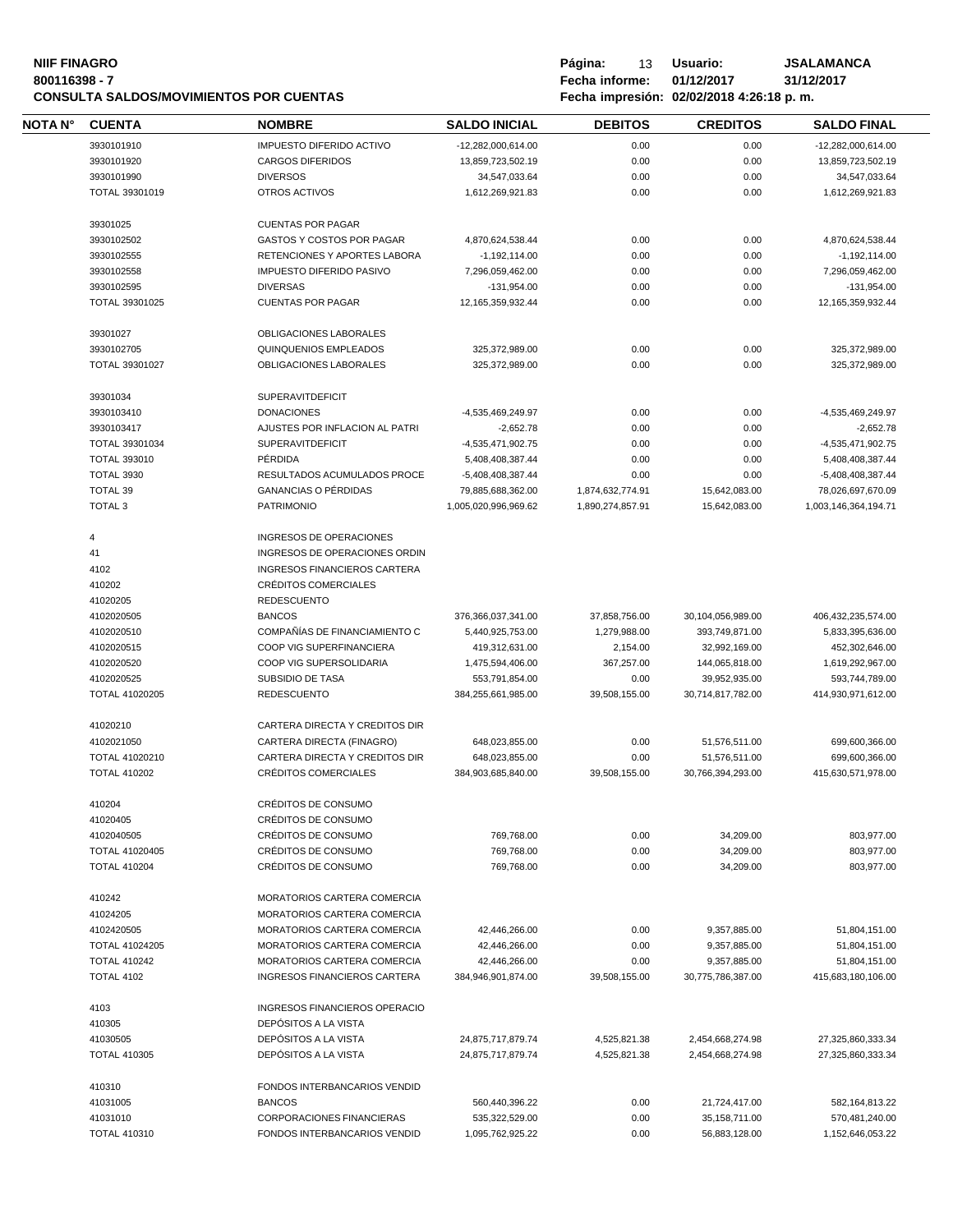# **NIIF FINAGRO P á g i n a :** 13 **U s u a r i o : JSALAMANCA CONSULTA SALDOS/MOVIMIENTOS POR CUENTAS**

| Pagina:        | 13. | Usuario:                                  | JSALAMAN   |
|----------------|-----|-------------------------------------------|------------|
| Fecha informe: |     | 01/12/2017                                | 31/12/2017 |
|                |     | Fecha impresión: 02/02/2018 4:26:18 p. m. |            |

| NOTA N° | <b>CUENTA</b>       | <b>NOMBRE</b>                       | <b>SALDO INICIAL</b>  | <b>DEBITOS</b>   | <b>CREDITOS</b>   | <b>SALDO FINAL</b>   |
|---------|---------------------|-------------------------------------|-----------------------|------------------|-------------------|----------------------|
|         | 3930101910          | <b>IMPUESTO DIFERIDO ACTIVO</b>     | -12,282,000,614.00    | 0.00             | 0.00              | -12,282,000,614.00   |
|         | 3930101920          | <b>CARGOS DIFERIDOS</b>             | 13,859,723,502.19     | 0.00             | 0.00              | 13,859,723,502.19    |
|         | 3930101990          | <b>DIVERSOS</b>                     | 34,547,033.64         | 0.00             | 0.00              | 34,547,033.64        |
|         | TOTAL 39301019      | OTROS ACTIVOS                       | 1,612,269,921.83      | 0.00             | 0.00              | 1,612,269,921.83     |
|         |                     |                                     |                       |                  |                   |                      |
|         | 39301025            | <b>CUENTAS POR PAGAR</b>            |                       |                  |                   |                      |
|         | 3930102502          | GASTOS Y COSTOS POR PAGAR           | 4,870,624,538.44      | 0.00             | 0.00              | 4,870,624,538.44     |
|         | 3930102555          | RETENCIONES Y APORTES LABORA        | $-1,192,114.00$       | 0.00             | 0.00              | $-1,192,114.00$      |
|         | 3930102558          | <b>IMPUESTO DIFERIDO PASIVO</b>     | 7,296,059,462.00      | 0.00             | 0.00              | 7,296,059,462.00     |
|         | 3930102595          | <b>DIVERSAS</b>                     | $-131,954.00$         | 0.00             | 0.00              | $-131,954.00$        |
|         | TOTAL 39301025      | <b>CUENTAS POR PAGAR</b>            | 12, 165, 359, 932. 44 | 0.00             | 0.00              | 12,165,359,932.44    |
|         |                     |                                     |                       |                  |                   |                      |
|         | 39301027            | OBLIGACIONES LABORALES              |                       |                  |                   |                      |
|         | 3930102705          | <b>QUINQUENIOS EMPLEADOS</b>        | 325,372,989.00        | 0.00             | 0.00              | 325,372,989.00       |
|         | TOTAL 39301027      | OBLIGACIONES LABORALES              | 325,372,989.00        | 0.00             | 0.00              | 325,372,989.00       |
|         | 39301034            | <b>SUPERAVITDEFICIT</b>             |                       |                  |                   |                      |
|         | 3930103410          | <b>DONACIONES</b>                   | -4,535,469,249.97     | 0.00             | 0.00              | -4,535,469,249.97    |
|         | 3930103417          | AJUSTES POR INFLACION AL PATRI      | $-2,652.78$           | 0.00             | 0.00              | $-2,652.78$          |
|         |                     | <b>SUPERAVITDEFICIT</b>             |                       |                  |                   |                      |
|         | TOTAL 39301034      |                                     | -4,535,471,902.75     | 0.00             | 0.00              | -4,535,471,902.75    |
|         | <b>TOTAL 393010</b> | PÉRDIDA                             | 5,408,408,387.44      | 0.00             | 0.00              | 5,408,408,387.44     |
|         | <b>TOTAL 3930</b>   | RESULTADOS ACUMULADOS PROCE         | -5,408,408,387.44     | 0.00             | 0.00              | -5,408,408,387.44    |
|         | <b>TOTAL 39</b>     | <b>GANANCIAS O PÉRDIDAS</b>         | 79,885,688,362.00     | 1,874,632,774.91 | 15,642,083.00     | 78,026,697,670.09    |
|         | <b>TOTAL 3</b>      | <b>PATRIMONIO</b>                   | 1,005,020,996,969.62  | 1,890,274,857.91 | 15,642,083.00     | 1,003,146,364,194.71 |
|         | 4                   | INGRESOS DE OPERACIONES             |                       |                  |                   |                      |
|         | 41                  | INGRESOS DE OPERACIONES ORDIN       |                       |                  |                   |                      |
|         |                     |                                     |                       |                  |                   |                      |
|         | 4102                | <b>INGRESOS FINANCIEROS CARTERA</b> |                       |                  |                   |                      |
|         | 410202              | CRÉDITOS COMERCIALES                |                       |                  |                   |                      |
|         | 41020205            | <b>REDESCUENTO</b>                  |                       |                  |                   |                      |
|         | 4102020505          | <b>BANCOS</b>                       | 376,366,037,341.00    | 37,858,756.00    | 30,104,056,989.00 | 406,432,235,574.00   |
|         | 4102020510          | COMPAÑÍAS DE FINANCIAMIENTO C       | 5,440,925,753.00      | 1,279,988.00     | 393,749,871.00    | 5,833,395,636.00     |
|         | 4102020515          | COOP VIG SUPERFINANCIERA            | 419,312,631.00        | 2,154.00         | 32,992,169.00     | 452,302,646.00       |
|         | 4102020520          | COOP VIG SUPERSOLIDARIA             | 1,475,594,406.00      | 367,257.00       | 144,065,818.00    | 1,619,292,967.00     |
|         | 4102020525          | SUBSIDIO DE TASA                    | 553,791,854.00        | 0.00             | 39,952,935.00     | 593,744,789.00       |
|         | TOTAL 41020205      | <b>REDESCUENTO</b>                  | 384,255,661,985.00    | 39,508,155.00    | 30,714,817,782.00 | 414,930,971,612.00   |
|         |                     |                                     |                       |                  |                   |                      |
|         | 41020210            | CARTERA DIRECTA Y CREDITOS DIR      |                       |                  |                   |                      |
|         | 4102021050          | CARTERA DIRECTA (FINAGRO)           | 648,023,855.00        | 0.00             | 51,576,511.00     | 699,600,366.00       |
|         | TOTAL 41020210      | CARTERA DIRECTA Y CREDITOS DIR      | 648,023,855.00        | 0.00             | 51,576,511.00     | 699,600,366.00       |
|         | <b>TOTAL 410202</b> | CRÉDITOS COMERCIALES                | 384,903,685,840.00    | 39,508,155.00    | 30,766,394,293.00 | 415,630,571,978.00   |
|         | 410204              | CRÉDITOS DE CONSUMO                 |                       |                  |                   |                      |
|         |                     | CRÉDITOS DE CONSUMO                 |                       |                  |                   |                      |
|         | 41020405            |                                     |                       |                  |                   |                      |
|         | 4102040505          | CRÉDITOS DE CONSUMO                 | 769,768.00            | 0.00             | 34,209.00         | 803,977.00           |
|         | TOTAL 41020405      | CRÉDITOS DE CONSUMO                 | 769,768.00            | 0.00             | 34,209.00         | 803,977.00           |
|         | <b>TOTAL 410204</b> | CRÉDITOS DE CONSUMO                 | 769,768.00            | 0.00             | 34,209.00         | 803,977.00           |
|         | 410242              | MORATORIOS CARTERA COMERCIA         |                       |                  |                   |                      |
|         | 41024205            | MORATORIOS CARTERA COMERCIA         |                       |                  |                   |                      |
|         | 4102420505          | MORATORIOS CARTERA COMERCIA         | 42,446,266.00         | 0.00             | 9,357,885.00      | 51,804,151.00        |
|         | TOTAL 41024205      | MORATORIOS CARTERA COMERCIA         | 42,446,266.00         | 0.00             | 9,357,885.00      | 51,804,151.00        |
|         |                     |                                     |                       |                  |                   |                      |
|         | <b>TOTAL 410242</b> | MORATORIOS CARTERA COMERCIA         | 42,446,266.00         | 0.00             | 9,357,885.00      | 51,804,151.00        |
|         | <b>TOTAL 4102</b>   | INGRESOS FINANCIEROS CARTERA        | 384,946,901,874.00    | 39,508,155.00    | 30,775,786,387.00 | 415,683,180,106.00   |
|         | 4103                | INGRESOS FINANCIEROS OPERACIO       |                       |                  |                   |                      |
|         | 410305              | DEPÓSITOS A LA VISTA                |                       |                  |                   |                      |
|         | 41030505            | DEPÓSITOS A LA VISTA                | 24,875,717,879.74     | 4,525,821.38     | 2,454,668,274.98  | 27,325,860,333.34    |
|         | <b>TOTAL 410305</b> | DEPÓSITOS A LA VISTA                | 24,875,717,879.74     | 4,525,821.38     | 2,454,668,274.98  | 27,325,860,333.34    |
|         |                     |                                     |                       |                  |                   |                      |
|         | 410310              | FONDOS INTERBANCARIOS VENDID        |                       |                  |                   |                      |
|         | 41031005            | <b>BANCOS</b>                       | 560,440,396.22        | 0.00             | 21,724,417.00     | 582,164,813.22       |
|         | 41031010            | CORPORACIONES FINANCIERAS           | 535,322,529.00        | 0.00             | 35, 158, 711.00   | 570,481,240.00       |
|         | <b>TOTAL 410310</b> | FONDOS INTERBANCARIOS VENDID        | 1,095,762,925.22      | 0.00             | 56,883,128.00     | 1,152,646,053.22     |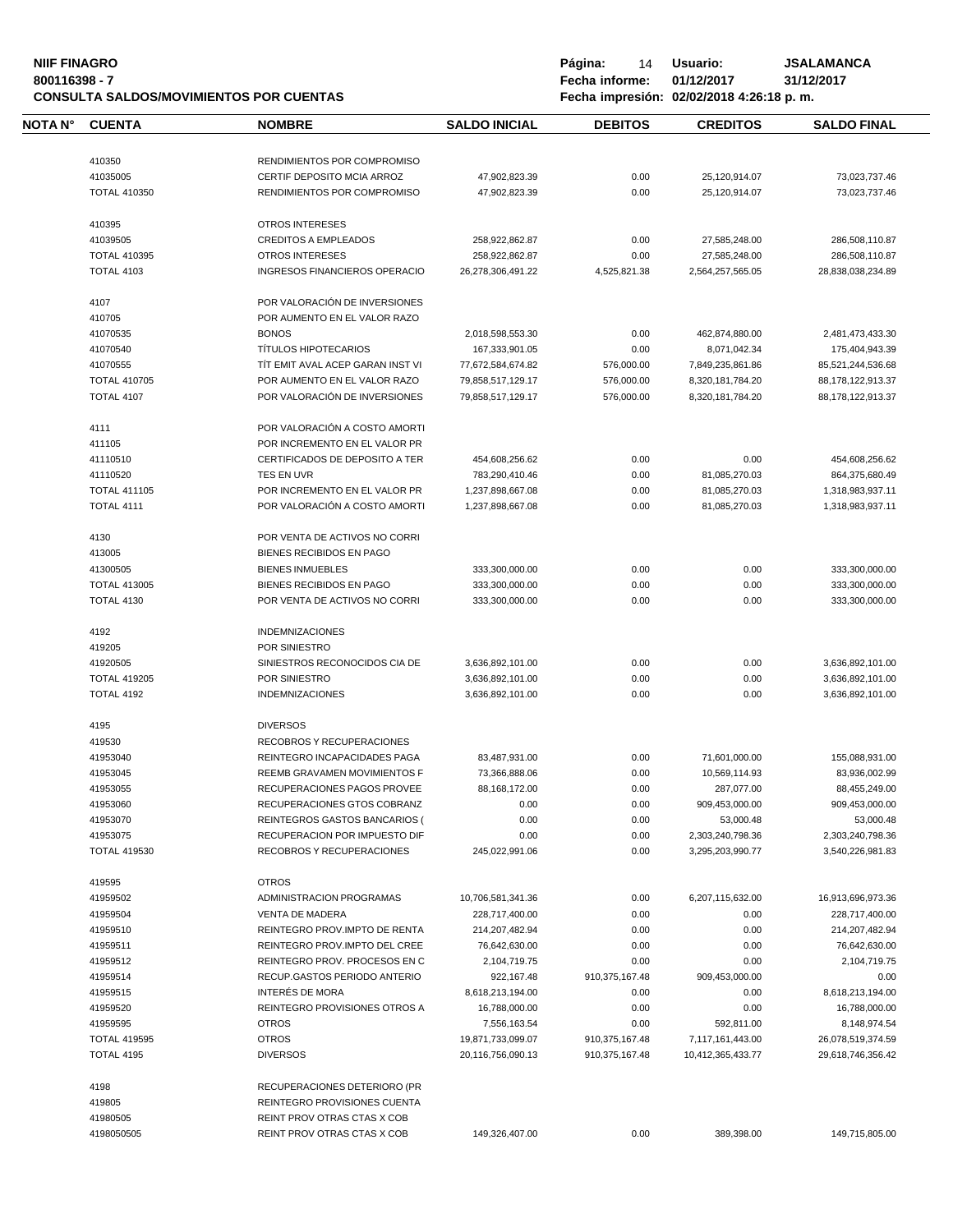## **NIIF FINAGRO P á g i n a :** 14 **U s u a r i o : JSALAMANCA CONSULTA SALDOS/MOVIMIENTOS POR CUENTAS**

| NOTA N° | <b>CUENTA</b>                            | <b>NOMBRE</b>                        | <b>SALDO INICIAL</b>                   | <b>DEBITOS</b>                   | <b>CREDITOS</b>                       | <b>SALDO FINAL</b>                     |
|---------|------------------------------------------|--------------------------------------|----------------------------------------|----------------------------------|---------------------------------------|----------------------------------------|
|         |                                          |                                      |                                        |                                  |                                       |                                        |
|         | 410350                                   | RENDIMIENTOS POR COMPROMISO          |                                        |                                  |                                       |                                        |
|         | 41035005                                 | CERTIF DEPOSITO MCIA ARROZ           | 47,902,823.39                          | 0.00                             | 25,120,914.07                         | 73,023,737.46                          |
|         | <b>TOTAL 410350</b>                      | RENDIMIENTOS POR COMPROMISO          | 47,902,823.39                          | 0.00                             | 25,120,914.07                         | 73,023,737.46                          |
|         | 410395                                   | <b>OTROS INTERESES</b>               |                                        |                                  |                                       |                                        |
|         | 41039505                                 | <b>CREDITOS A EMPLEADOS</b>          | 258,922,862.87                         | 0.00                             | 27,585,248.00                         | 286,508,110.87                         |
|         | <b>TOTAL 410395</b>                      | <b>OTROS INTERESES</b>               | 258,922,862.87                         | 0.00                             | 27,585,248.00                         | 286,508,110.87                         |
|         | <b>TOTAL 4103</b>                        | <b>INGRESOS FINANCIEROS OPERACIO</b> | 26,278,306,491.22                      | 4,525,821.38                     | 2,564,257,565.05                      | 28,838,038,234.89                      |
|         | 4107                                     | POR VALORACIÓN DE INVERSIONES        |                                        |                                  |                                       |                                        |
|         | 410705                                   | POR AUMENTO EN EL VALOR RAZO         |                                        |                                  |                                       |                                        |
|         | 41070535                                 | <b>BONOS</b>                         | 2,018,598,553.30                       | 0.00                             | 462,874,880.00                        | 2,481,473,433.30                       |
|         | 41070540                                 | <b>TÍTULOS HIPOTECARIOS</b>          | 167,333,901.05                         | 0.00                             | 8,071,042.34                          | 175,404,943.39                         |
|         | 41070555                                 | TIT EMIT AVAL ACEP GARAN INST VI     | 77,672,584,674.82                      | 576,000.00                       | 7,849,235,861.86                      | 85,521,244,536.68                      |
|         | <b>TOTAL 410705</b>                      | POR AUMENTO EN EL VALOR RAZO         | 79,858,517,129.17                      | 576,000.00                       | 8,320,181,784.20                      | 88,178,122,913.37                      |
|         | <b>TOTAL 4107</b>                        | POR VALORACIÓN DE INVERSIONES        | 79,858,517,129.17                      | 576,000.00                       | 8,320,181,784.20                      | 88,178,122,913.37                      |
|         | 4111                                     | POR VALORACIÓN A COSTO AMORTI        |                                        |                                  |                                       |                                        |
|         | 411105                                   | POR INCREMENTO EN EL VALOR PR        |                                        |                                  |                                       |                                        |
|         | 41110510                                 | CERTIFICADOS DE DEPOSITO A TER       | 454,608,256.62                         | 0.00                             | 0.00                                  | 454,608,256.62                         |
|         | 41110520                                 | TES EN UVR                           | 783,290,410.46                         | 0.00                             | 81,085,270.03                         | 864,375,680.49                         |
|         | <b>TOTAL 411105</b>                      | POR INCREMENTO EN EL VALOR PR        |                                        |                                  |                                       | 1,318,983,937.11                       |
|         | TOTAL 4111                               | POR VALORACIÓN A COSTO AMORTI        | 1,237,898,667.08<br>1.237.898.667.08   | 0.00<br>0.00                     | 81,085,270.03<br>81,085,270.03        | 1,318,983,937.11                       |
|         |                                          |                                      |                                        |                                  |                                       |                                        |
|         | 4130                                     | POR VENTA DE ACTIVOS NO CORRI        |                                        |                                  |                                       |                                        |
|         | 413005                                   | BIENES RECIBIDOS EN PAGO             |                                        |                                  |                                       |                                        |
|         | 41300505                                 | <b>BIENES INMUEBLES</b>              | 333,300,000.00                         | 0.00                             | 0.00                                  | 333,300,000.00                         |
|         | <b>TOTAL 413005</b>                      | BIENES RECIBIDOS EN PAGO             | 333,300,000.00                         | 0.00                             | 0.00                                  | 333,300,000.00                         |
|         | <b>TOTAL 4130</b>                        | POR VENTA DE ACTIVOS NO CORRI        | 333,300,000.00                         | 0.00                             | 0.00                                  | 333,300,000.00                         |
|         |                                          |                                      |                                        |                                  |                                       |                                        |
|         | 4192                                     | <b>INDEMNIZACIONES</b>               |                                        |                                  |                                       |                                        |
|         | 419205                                   | POR SINIESTRO                        |                                        |                                  |                                       |                                        |
|         | 41920505                                 | SINIESTROS RECONOCIDOS CIA DE        | 3,636,892,101.00                       | 0.00                             | 0.00                                  | 3,636,892,101.00                       |
|         | <b>TOTAL 419205</b>                      | POR SINIESTRO                        | 3,636,892,101.00                       | 0.00                             | 0.00                                  | 3,636,892,101.00                       |
|         | TOTAL 4192                               | <b>INDEMNIZACIONES</b>               | 3,636,892,101.00                       | 0.00                             | 0.00                                  | 3,636,892,101.00                       |
|         | 4195                                     | <b>DIVERSOS</b>                      |                                        |                                  |                                       |                                        |
|         | 419530                                   | RECOBROS Y RECUPERACIONES            |                                        |                                  |                                       |                                        |
|         | 41953040                                 | REINTEGRO INCAPACIDADES PAGA         | 83,487,931.00                          | 0.00                             | 71,601,000.00                         | 155,088,931.00                         |
|         | 41953045                                 | REEMB GRAVAMEN MOVIMIENTOS F         | 73,366,888.06                          | 0.00                             | 10,569,114.93                         | 83,936,002.99                          |
|         | 41953055                                 | RECUPERACIONES PAGOS PROVEE          | 88,168,172.00                          | 0.00                             | 287,077.00                            | 88,455,249.00                          |
|         | 41953060                                 | RECUPERACIONES GTOS COBRANZ          | 0.00                                   | 0.00                             | 909,453,000.00                        | 909,453,000.00                         |
|         | 41953070                                 | REINTEGROS GASTOS BANCARIOS (        | 0.00                                   | 0.00                             | 53,000.48                             | 53,000.48                              |
|         | 41953075                                 | RECUPERACION POR IMPUESTO DIF        | 0.00                                   | 0.00                             | 2,303,240,798.36                      | 2,303,240,798.36                       |
|         | <b>TOTAL 419530</b>                      | RECOBROS Y RECUPERACIONES            | 245,022,991.06                         | 0.00                             | 3,295,203,990.77                      | 3,540,226,981.83                       |
|         | 419595                                   | <b>OTROS</b>                         |                                        |                                  |                                       |                                        |
|         | 41959502                                 | ADMINISTRACION PROGRAMAS             | 10,706,581,341.36                      | 0.00                             | 6,207,115,632.00                      | 16,913,696,973.36                      |
|         | 41959504                                 | <b>VENTA DE MADERA</b>               | 228,717,400.00                         | 0.00                             | 0.00                                  | 228,717,400.00                         |
|         | 41959510                                 | REINTEGRO PROV. IMPTO DE RENTA       | 214,207,482.94                         | 0.00                             | 0.00                                  | 214,207,482.94                         |
|         | 41959511                                 | REINTEGRO PROV.IMPTO DEL CREE        | 76,642,630.00                          | 0.00                             | 0.00                                  | 76,642,630.00                          |
|         | 41959512                                 | REINTEGRO PROV. PROCESOS EN C        | 2,104,719.75                           | 0.00                             | 0.00                                  | 2,104,719.75                           |
|         | 41959514                                 | RECUP.GASTOS PERIODO ANTERIO         | 922,167.48                             | 910,375,167.48                   | 909,453,000.00                        | 0.00                                   |
|         | 41959515                                 | INTERÉS DE MORA                      |                                        |                                  |                                       |                                        |
|         |                                          |                                      | 8,618,213,194.00                       | 0.00                             | 0.00                                  | 8,618,213,194.00                       |
|         | 41959520                                 | REINTEGRO PROVISIONES OTROS A        | 16,788,000.00                          | 0.00                             | 0.00                                  | 16,788,000.00                          |
|         | 41959595                                 | <b>OTROS</b>                         | 7,556,163.54                           | 0.00                             | 592,811.00                            | 8,148,974.54                           |
|         | <b>TOTAL 419595</b><br><b>TOTAL 4195</b> | <b>OTROS</b><br><b>DIVERSOS</b>      | 19,871,733,099.07<br>20,116,756,090.13 | 910,375,167.48<br>910,375,167.48 | 7,117,161,443.00<br>10,412,365,433.77 | 26,078,519,374.59<br>29,618,746,356.42 |
|         |                                          |                                      |                                        |                                  |                                       |                                        |
|         | 4198                                     | RECUPERACIONES DETERIORO (PR         |                                        |                                  |                                       |                                        |
|         | 419805                                   | REINTEGRO PROVISIONES CUENTA         |                                        |                                  |                                       |                                        |
|         | 41980505                                 | REINT PROV OTRAS CTAS X COB          |                                        |                                  |                                       |                                        |
|         | 4198050505                               | REINT PROV OTRAS CTAS X COB          | 149,326,407.00                         | 0.00                             | 389,398.00                            | 149,715,805.00                         |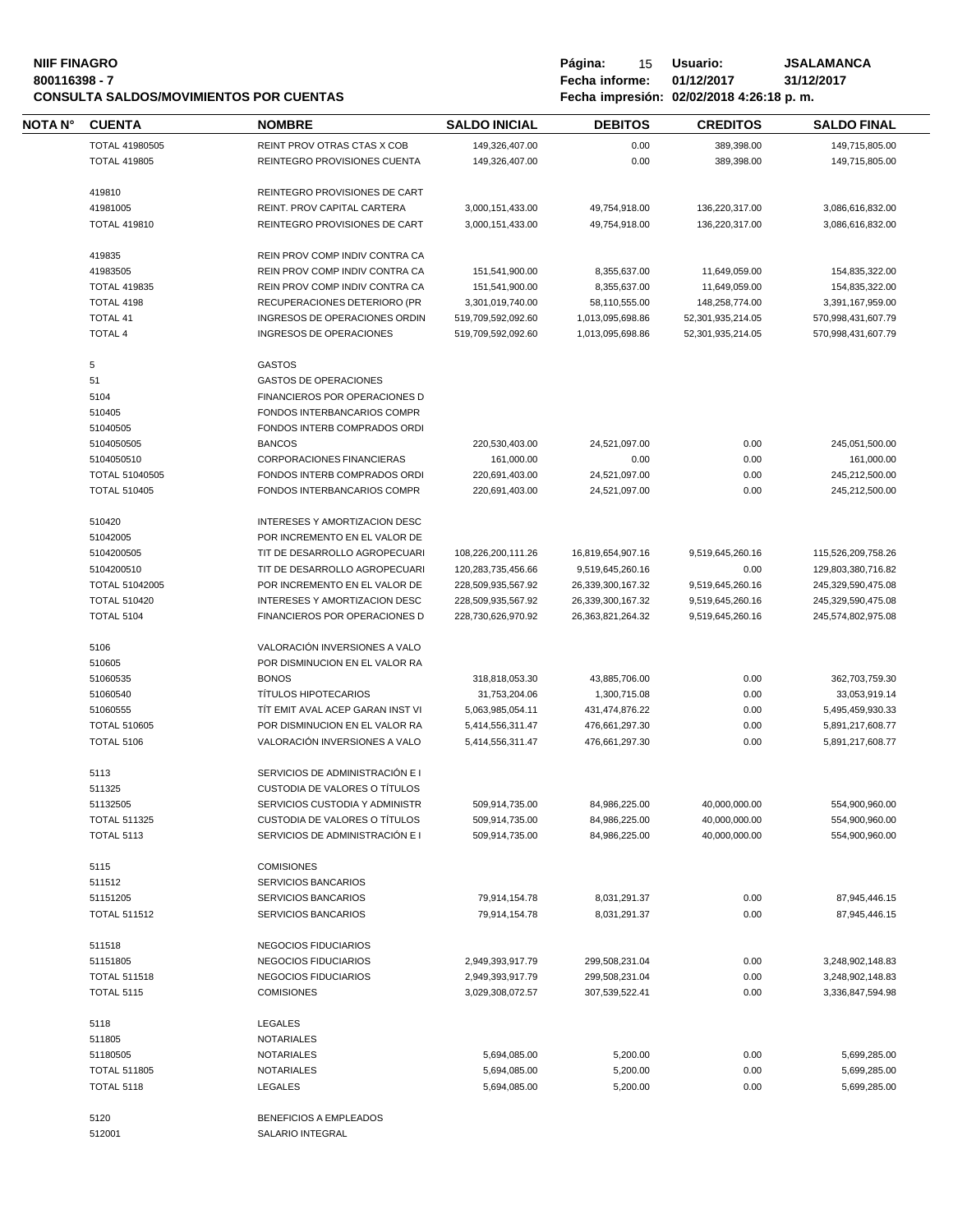#### **NIIF FINAGRO P á g i n a :** 15 **U s u a r i o : JSALAMANCA 800116398 - 7 Fecha informe: 01/12/2017 31/12/2017 CONSULTA SALDOS/MOVIMIENTOS POR CUENTAS Fecha impresión: 02/02/2018 4:26:18 p. m.**

| Página:        | 15 | Usuario:                                              | J |
|----------------|----|-------------------------------------------------------|---|
| Fecha informe: |    | 01/12/2017                                            | 3 |
|                |    | $F_{\alpha\alpha}$ ka impresión: 00/00/0040 4:00:40 m |   |

| <b>NOTA N°</b> | <b>CUENTA</b>                            | <b>NOMBRE</b>                                                    | <b>SALDO INICIAL</b>                 | <b>DEBITOS</b>                   | <b>CREDITOS</b>                | <b>SALDO FINAL</b>                   |
|----------------|------------------------------------------|------------------------------------------------------------------|--------------------------------------|----------------------------------|--------------------------------|--------------------------------------|
|                | TOTAL 41980505                           | REINT PROV OTRAS CTAS X COB                                      | 149,326,407.00                       | 0.00                             | 389,398.00                     | 149,715,805.00                       |
|                | <b>TOTAL 419805</b>                      | REINTEGRO PROVISIONES CUENTA                                     | 149,326,407.00                       | 0.00                             | 389,398.00                     | 149,715,805.00                       |
|                | 419810                                   | REINTEGRO PROVISIONES DE CART                                    |                                      |                                  |                                |                                      |
|                | 41981005                                 | REINT. PROV CAPITAL CARTERA                                      | 3,000,151,433.00                     | 49,754,918.00                    | 136,220,317.00                 | 3,086,616,832.00                     |
|                | <b>TOTAL 419810</b>                      | REINTEGRO PROVISIONES DE CART                                    | 3,000,151,433.00                     | 49,754,918.00                    | 136,220,317.00                 | 3,086,616,832.00                     |
|                | 419835                                   | REIN PROV COMP INDIV CONTRA CA                                   |                                      |                                  |                                |                                      |
|                | 41983505                                 | REIN PROV COMP INDIV CONTRA CA                                   | 151,541,900.00                       | 8,355,637.00                     | 11,649,059.00                  | 154,835,322.00                       |
|                | <b>TOTAL 419835</b>                      | REIN PROV COMP INDIV CONTRA CA                                   | 151,541,900.00                       | 8,355,637.00                     | 11,649,059.00                  | 154,835,322.00                       |
|                | TOTAL 4198                               | RECUPERACIONES DETERIORO (PR                                     | 3,301,019,740.00                     | 58,110,555.00                    | 148,258,774.00                 | 3,391,167,959.00                     |
|                | <b>TOTAL 41</b>                          | INGRESOS DE OPERACIONES ORDIN                                    | 519,709,592,092.60                   | 1,013,095,698.86                 | 52,301,935,214.05              | 570,998,431,607.79                   |
|                | <b>TOTAL 4</b>                           | <b>INGRESOS DE OPERACIONES</b>                                   | 519,709,592,092.60                   | 1,013,095,698.86                 | 52,301,935,214.05              | 570,998,431,607.79                   |
|                | 5                                        | <b>GASTOS</b>                                                    |                                      |                                  |                                |                                      |
|                | 51                                       | <b>GASTOS DE OPERACIONES</b>                                     |                                      |                                  |                                |                                      |
|                | 5104                                     | <b>FINANCIEROS POR OPERACIONES D</b>                             |                                      |                                  |                                |                                      |
|                | 510405                                   | FONDOS INTERBANCARIOS COMPR                                      |                                      |                                  |                                |                                      |
|                | 51040505                                 | FONDOS INTERB COMPRADOS ORDI                                     |                                      |                                  |                                |                                      |
|                | 5104050505                               | <b>BANCOS</b>                                                    | 220,530,403.00                       | 24,521,097.00                    | 0.00                           | 245,051,500.00                       |
|                | 5104050510                               | CORPORACIONES FINANCIERAS                                        | 161,000.00                           | 0.00                             | 0.00                           | 161,000.00                           |
|                | TOTAL 51040505                           | FONDOS INTERB COMPRADOS ORDI                                     | 220,691,403.00                       | 24,521,097.00                    | 0.00                           | 245,212,500.00                       |
|                | <b>TOTAL 510405</b>                      | FONDOS INTERBANCARIOS COMPR                                      | 220,691,403.00                       | 24,521,097.00                    | 0.00                           | 245,212,500.00                       |
|                | 510420                                   | INTERESES Y AMORTIZACION DESC                                    |                                      |                                  |                                |                                      |
|                | 51042005                                 | POR INCREMENTO EN EL VALOR DE                                    |                                      |                                  |                                |                                      |
|                | 5104200505                               | TIT DE DESARROLLO AGROPECUARI                                    | 108,226,200,111.26                   | 16,819,654,907.16                | 9,519,645,260.16               | 115,526,209,758.26                   |
|                | 5104200510                               | TIT DE DESARROLLO AGROPECUARI                                    | 120,283,735,456.66                   | 9,519,645,260.16                 | 0.00                           | 129,803,380,716.82                   |
|                | TOTAL 51042005                           | POR INCREMENTO EN EL VALOR DE                                    | 228,509,935,567.92                   | 26,339,300,167.32                | 9,519,645,260.16               | 245,329,590,475.08                   |
|                | <b>TOTAL 510420</b>                      | INTERESES Y AMORTIZACION DESC                                    | 228,509,935,567.92                   | 26,339,300,167.32                | 9,519,645,260.16               | 245,329,590,475.08                   |
|                | <b>TOTAL 5104</b>                        | FINANCIEROS POR OPERACIONES D                                    | 228,730,626,970.92                   | 26, 363, 821, 264. 32            | 9,519,645,260.16               | 245,574,802,975.08                   |
|                | 5106                                     | VALORACIÓN INVERSIONES A VALO                                    |                                      |                                  |                                |                                      |
|                | 510605                                   | POR DISMINUCION EN EL VALOR RA                                   |                                      |                                  |                                |                                      |
|                |                                          | <b>BONOS</b>                                                     |                                      |                                  |                                |                                      |
|                | 51060535<br>51060540                     | <b>TÍTULOS HIPOTECARIOS</b>                                      | 318,818,053.30                       | 43,885,706.00                    | 0.00<br>0.00                   | 362,703,759.30                       |
|                | 51060555                                 | TIT EMIT AVAL ACEP GARAN INST VI                                 | 31,753,204.06                        | 1,300,715.08                     |                                | 33,053,919.14                        |
|                | <b>TOTAL 510605</b>                      | POR DISMINUCION EN EL VALOR RA                                   | 5,063,985,054.11                     | 431,474,876.22                   | 0.00                           | 5,495,459,930.33                     |
|                | TOTAL 5106                               | VALORACIÓN INVERSIONES A VALO                                    | 5,414,556,311.47<br>5,414,556,311.47 | 476,661,297.30<br>476,661,297.30 | 0.00<br>0.00                   | 5,891,217,608.77<br>5,891,217,608.77 |
|                |                                          |                                                                  |                                      |                                  |                                |                                      |
|                | 5113<br>511325                           | SERVICIOS DE ADMINISTRACIÓN E I<br>CUSTODIA DE VALORES O TÍTULOS |                                      |                                  |                                |                                      |
|                |                                          |                                                                  |                                      |                                  |                                |                                      |
|                | 51132505                                 | SERVICIOS CUSTODIA Y ADMINISTR                                   | 509,914,735.00                       | 84,986,225.00                    | 40,000,000.00                  | 554,900,960.00                       |
|                | <b>TOTAL 511325</b><br><b>TOTAL 5113</b> | CUSTODIA DE VALORES O TÍTULOS<br>SERVICIOS DE ADMINISTRACIÓN E I | 509,914,735.00<br>509,914,735.00     | 84,986,225.00<br>84,986,225.00   | 40,000,000.00<br>40,000,000.00 | 554,900,960.00<br>554,900,960.00     |
|                |                                          | <b>COMISIONES</b>                                                |                                      |                                  |                                |                                      |
|                | 5115                                     |                                                                  |                                      |                                  |                                |                                      |
|                | 511512                                   | SERVICIOS BANCARIOS<br>SERVICIOS BANCARIOS                       |                                      | 8,031,291.37                     |                                |                                      |
|                | 51151205<br><b>TOTAL 511512</b>          | SERVICIOS BANCARIOS                                              | 79,914,154.78<br>79,914,154.78       | 8,031,291.37                     | 0.00<br>0.00                   | 87,945,446.15<br>87,945,446.15       |
|                |                                          |                                                                  |                                      |                                  |                                |                                      |
|                | 511518<br>51151805                       | NEGOCIOS FIDUCIARIOS<br>NEGOCIOS FIDUCIARIOS                     |                                      |                                  |                                |                                      |
|                |                                          |                                                                  | 2,949,393,917.79                     | 299,508,231.04                   | 0.00                           | 3,248,902,148.83                     |
|                | <b>TOTAL 511518</b><br><b>TOTAL 5115</b> | NEGOCIOS FIDUCIARIOS<br><b>COMISIONES</b>                        | 2,949,393,917.79<br>3,029,308,072.57 | 299,508,231.04<br>307,539,522.41 | 0.00<br>0.00                   | 3,248,902,148.83<br>3,336,847,594.98 |
|                |                                          |                                                                  |                                      |                                  |                                |                                      |
|                | 5118<br>511805                           | <b>LEGALES</b><br><b>NOTARIALES</b>                              |                                      |                                  |                                |                                      |
|                | 51180505                                 | <b>NOTARIALES</b>                                                | 5,694,085.00                         | 5,200.00                         | 0.00                           |                                      |
|                | <b>TOTAL 511805</b>                      | <b>NOTARIALES</b>                                                | 5,694,085.00                         | 5,200.00                         | 0.00                           | 5,699,285.00<br>5,699,285.00         |
|                | TOTAL 5118                               | <b>LEGALES</b>                                                   | 5,694,085.00                         | 5,200.00                         | 0.00                           | 5,699,285.00                         |
|                |                                          |                                                                  |                                      |                                  |                                |                                      |
|                | 5120                                     | <b>BENEFICIOS A EMPLEADOS</b>                                    |                                      |                                  |                                |                                      |

512001 SALARIO INTEGRAL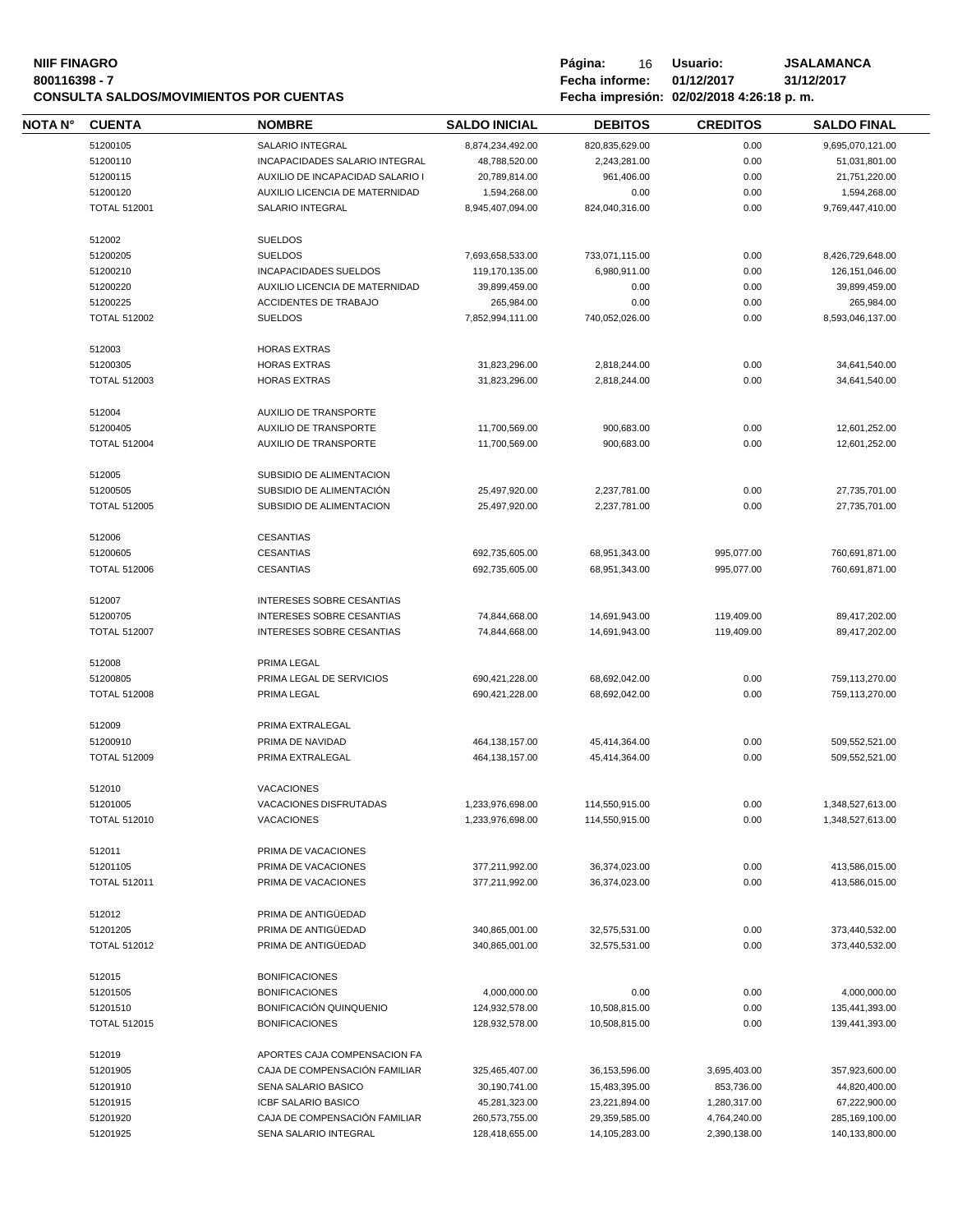## **NIIF FINAGRO P á g i n a :** 16 **U s u a r i o : JSALAMANCA CONSULTA SALDOS/MOVIMIENTOS POR CUENTAS**

**80011639 - Fecha informe: 01/12/2017** - **81/12/**<br>**8001184:26:18 p.m.** 

| NOTA N° | <b>CUENTA</b>       | <b>NOMBRE</b>                                                 | <b>SALDO INICIAL</b> | <b>DEBITOS</b> | <b>CREDITOS</b> | <b>SALDO FINAL</b> |
|---------|---------------------|---------------------------------------------------------------|----------------------|----------------|-----------------|--------------------|
|         | 51200105            | SALARIO INTEGRAL                                              | 8,874,234,492.00     | 820,835,629.00 | 0.00            | 9,695,070,121.00   |
|         | 51200110            | INCAPACIDADES SALARIO INTEGRAL                                | 48,788,520.00        | 2,243,281.00   | 0.00            | 51,031,801.00      |
|         | 51200115            | AUXILIO DE INCAPACIDAD SALARIO I                              | 20,789,814.00        | 961,406.00     | 0.00            | 21,751,220.00      |
|         | 51200120            | AUXILIO LICENCIA DE MATERNIDAD                                | 1,594,268.00         | 0.00           | 0.00            | 1,594,268.00       |
|         | <b>TOTAL 512001</b> | SALARIO INTEGRAL                                              | 8,945,407,094.00     | 824,040,316.00 | 0.00            | 9,769,447,410.00   |
|         |                     |                                                               |                      |                |                 |                    |
|         | 512002              | <b>SUELDOS</b>                                                |                      |                |                 |                    |
|         | 51200205            | <b>SUELDOS</b>                                                | 7,693,658,533.00     | 733,071,115.00 | 0.00            | 8,426,729,648.00   |
|         | 51200210            | <b>INCAPACIDADES SUELDOS</b>                                  | 119,170,135.00       | 6,980,911.00   | 0.00            | 126, 151, 046.00   |
|         | 51200220            | AUXILIO LICENCIA DE MATERNIDAD                                | 39,899,459.00        | 0.00           | 0.00            | 39,899,459.00      |
|         | 51200225            | <b>ACCIDENTES DE TRABAJO</b>                                  | 265,984.00           | 0.00           | 0.00            | 265,984.00         |
|         | <b>TOTAL 512002</b> | <b>SUELDOS</b>                                                | 7,852,994,111.00     | 740,052,026.00 | 0.00            | 8,593,046,137.00   |
|         | 512003              | <b>HORAS EXTRAS</b>                                           |                      |                |                 |                    |
|         | 51200305            | <b>HORAS EXTRAS</b>                                           | 31,823,296.00        | 2,818,244.00   | 0.00            | 34,641,540.00      |
|         | <b>TOTAL 512003</b> | <b>HORAS EXTRAS</b>                                           | 31,823,296.00        | 2,818,244.00   | 0.00            | 34,641,540.00      |
|         |                     |                                                               |                      |                |                 |                    |
|         | 512004              | AUXILIO DE TRANSPORTE                                         |                      |                |                 |                    |
|         | 51200405            | AUXILIO DE TRANSPORTE                                         | 11,700,569.00        | 900,683.00     | 0.00            | 12,601,252.00      |
|         | <b>TOTAL 512004</b> | <b>AUXILIO DE TRANSPORTE</b>                                  | 11,700,569.00        | 900,683.00     | 0.00            | 12,601,252.00      |
|         | 512005              | SUBSIDIO DE ALIMENTACION                                      |                      |                |                 |                    |
|         | 51200505            | SUBSIDIO DE ALIMENTACIÓN                                      | 25,497,920.00        | 2,237,781.00   | 0.00            | 27,735,701.00      |
|         | <b>TOTAL 512005</b> | SUBSIDIO DE ALIMENTACION                                      | 25,497,920.00        | 2,237,781.00   | 0.00            | 27,735,701.00      |
|         |                     |                                                               |                      |                |                 |                    |
|         | 512006              | <b>CESANTIAS</b>                                              |                      |                |                 |                    |
|         | 51200605            | <b>CESANTIAS</b>                                              | 692,735,605.00       | 68,951,343.00  | 995,077.00      | 760,691,871.00     |
|         | <b>TOTAL 512006</b> | <b>CESANTIAS</b>                                              | 692,735,605.00       | 68,951,343.00  | 995,077.00      | 760,691,871.00     |
|         | 512007              | <b>INTERESES SOBRE CESANTIAS</b>                              |                      |                |                 |                    |
|         | 51200705            | <b>INTERESES SOBRE CESANTIAS</b>                              | 74,844,668.00        | 14,691,943.00  | 119,409.00      | 89,417,202.00      |
|         | <b>TOTAL 512007</b> | INTERESES SOBRE CESANTIAS                                     | 74,844,668.00        | 14,691,943.00  | 119,409.00      | 89,417,202.00      |
|         |                     |                                                               |                      |                |                 |                    |
|         | 512008              | PRIMA LEGAL                                                   |                      |                |                 |                    |
|         | 51200805            | PRIMA LEGAL DE SERVICIOS                                      | 690,421,228.00       | 68,692,042.00  | 0.00            | 759,113,270.00     |
|         | <b>TOTAL 512008</b> | PRIMA LEGAL                                                   | 690,421,228.00       | 68,692,042.00  | 0.00            | 759,113,270.00     |
|         | 512009              | PRIMA EXTRALEGAL                                              |                      |                |                 |                    |
|         | 51200910            | PRIMA DE NAVIDAD                                              | 464, 138, 157.00     | 45,414,364.00  | 0.00            | 509,552,521.00     |
|         | <b>TOTAL 512009</b> | PRIMA EXTRALEGAL                                              | 464, 138, 157.00     | 45,414,364.00  | 0.00            | 509,552,521.00     |
|         |                     |                                                               |                      |                |                 |                    |
|         | 512010<br>51201005  | <b>VACACIONES</b><br>VACACIONES DISFRUTADAS                   | 1,233,976,698.00     | 114,550,915.00 | 0.00            | 1,348,527,613.00   |
|         |                     |                                                               |                      | 114,550,915.00 |                 | 1,348,527,613.00   |
|         | <b>TOTAL 512010</b> | <b>VACACIONES</b>                                             | 1,233,976,698.00     |                | 0.00            |                    |
|         | 512011              | PRIMA DE VACACIONES                                           |                      |                |                 |                    |
|         | 51201105            | PRIMA DE VACACIONES                                           | 377,211,992.00       | 36,374,023.00  | 0.00            | 413,586,015.00     |
|         | <b>TOTAL 512011</b> | PRIMA DE VACACIONES                                           | 377,211,992.00       | 36,374,023.00  | 0.00            | 413,586,015.00     |
|         | 512012              | PRIMA DE ANTIGÜEDAD                                           |                      |                |                 |                    |
|         | 51201205            | PRIMA DE ANTIGÜEDAD                                           | 340,865,001.00       | 32,575,531.00  | 0.00            | 373,440,532.00     |
|         | <b>TOTAL 512012</b> | PRIMA DE ANTIGÜEDAD                                           |                      |                | 0.00            | 373,440,532.00     |
|         |                     |                                                               | 340,865,001.00       | 32,575,531.00  |                 |                    |
|         | 512015              | <b>BONIFICACIONES</b>                                         |                      |                |                 |                    |
|         | 51201505            | <b>BONIFICACIONES</b>                                         | 4,000,000.00         | 0.00           | 0.00            | 4,000,000.00       |
|         | 51201510            | <b>BONIFICACIÓN QUINQUENIO</b>                                | 124,932,578.00       | 10,508,815.00  | 0.00            | 135,441,393.00     |
|         | <b>TOTAL 512015</b> | <b>BONIFICACIONES</b>                                         | 128,932,578.00       | 10,508,815.00  | 0.00            | 139,441,393.00     |
|         |                     |                                                               |                      |                |                 |                    |
|         | 512019<br>51201905  | APORTES CAJA COMPENSACION FA<br>CAJA DE COMPENSACIÓN FAMILIAR |                      |                |                 |                    |
|         |                     |                                                               | 325,465,407.00       | 36,153,596.00  | 3,695,403.00    | 357,923,600.00     |
|         | 51201910            | SENA SALARIO BASICO                                           | 30,190,741.00        | 15,483,395.00  | 853,736.00      | 44,820,400.00      |
|         | 51201915            | ICBF SALARIO BASICO                                           | 45,281,323.00        | 23,221,894.00  | 1,280,317.00    | 67,222,900.00      |
|         | 51201920            | CAJA DE COMPENSACIÓN FAMILIAR                                 | 260,573,755.00       | 29,359,585.00  | 4,764,240.00    | 285,169,100.00     |
|         | 51201925            | SENA SALARIO INTEGRAL                                         | 128,418,655.00       | 14,105,283.00  | 2,390,138.00    | 140,133,800.00     |
|         |                     |                                                               |                      |                |                 |                    |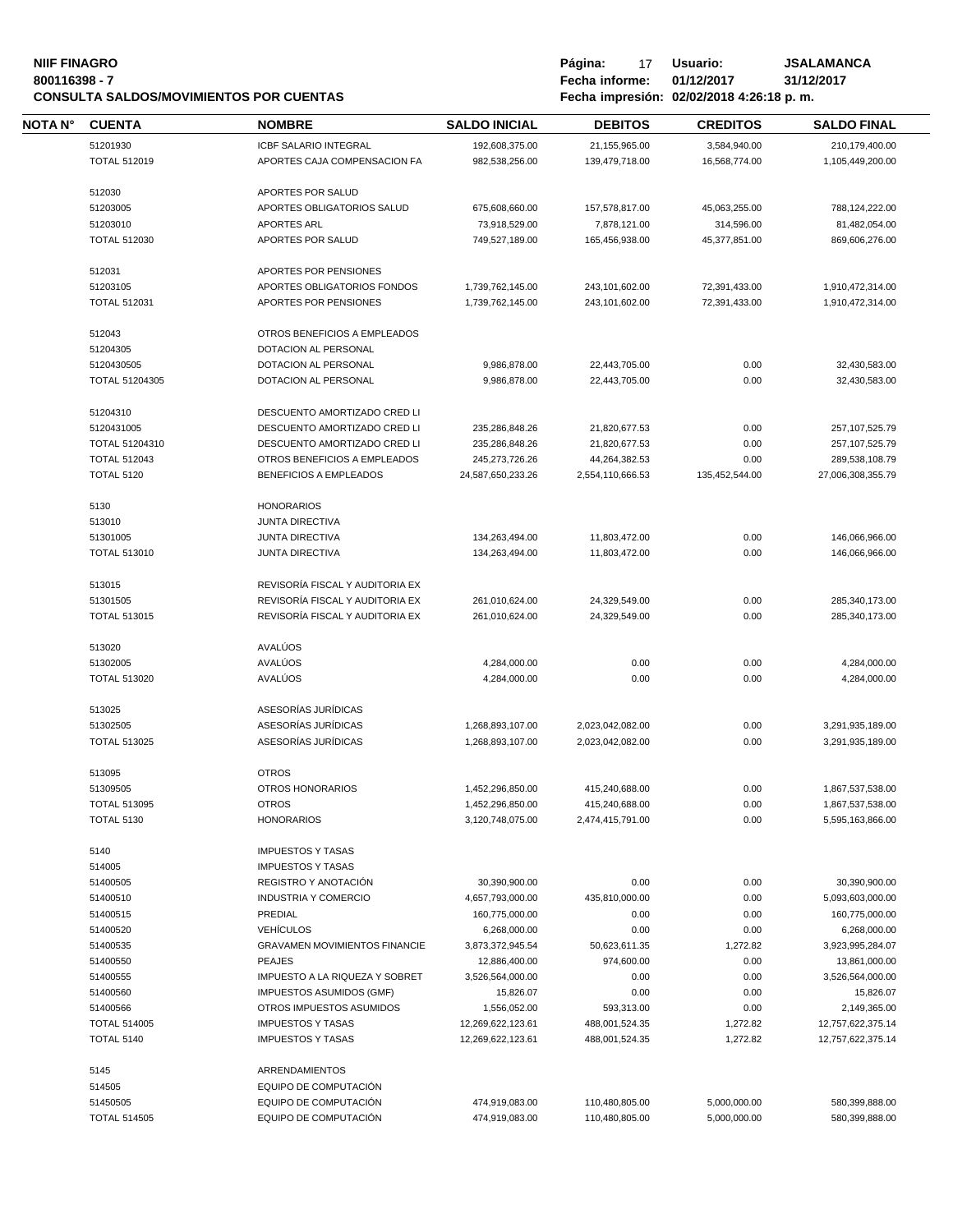## **NIIF FINAGRO Página:** 17 Usuario: JSALAMANCA<br>17 **1998** - 7 **1999 - 1999 - 1999 - 1999 - 1999 - 1999 - 1999 - 1999 - 1999 - 1999 - 1999 - 1999 - 1999 - 1999 - 1 CONSULTA SALDOS/MOVIMIENTOS POR CUENTAS**

**80011639 - Fecha informe: 01/12/2017** - **81/12/**<br>**8001184:26:18 p.m.** 

| NOTA N° | <b>CUENTA</b>        | <b>NOMBRE</b>                                   | <b>SALDO INICIAL</b>            | <b>DEBITOS</b>                 | <b>CREDITOS</b>             | <b>SALDO FINAL</b>              |
|---------|----------------------|-------------------------------------------------|---------------------------------|--------------------------------|-----------------------------|---------------------------------|
|         | 51201930             | <b>ICBF SALARIO INTEGRAL</b>                    | 192,608,375.00                  | 21,155,965.00                  | 3,584,940.00                | 210,179,400.00                  |
|         | <b>TOTAL 512019</b>  | APORTES CAJA COMPENSACION FA                    | 982,538,256.00                  | 139,479,718.00                 | 16,568,774.00               | 1,105,449,200.00                |
|         |                      |                                                 |                                 |                                |                             |                                 |
|         | 512030               | APORTES POR SALUD<br>APORTES OBLIGATORIOS SALUD |                                 |                                |                             |                                 |
|         | 51203005<br>51203010 | <b>APORTES ARL</b>                              | 675,608,660.00<br>73,918,529.00 | 157,578,817.00<br>7,878,121.00 | 45,063,255.00<br>314,596.00 | 788,124,222.00<br>81,482,054.00 |
|         | <b>TOTAL 512030</b>  | APORTES POR SALUD                               | 749,527,189.00                  | 165,456,938.00                 | 45,377,851.00               | 869,606,276.00                  |
|         |                      |                                                 |                                 |                                |                             |                                 |
|         | 512031               | APORTES POR PENSIONES                           |                                 |                                |                             |                                 |
|         | 51203105             | APORTES OBLIGATORIOS FONDOS                     | 1,739,762,145.00                | 243,101,602.00                 | 72,391,433.00               | 1,910,472,314.00                |
|         | <b>TOTAL 512031</b>  | APORTES POR PENSIONES                           | 1,739,762,145.00                | 243,101,602.00                 | 72,391,433.00               | 1,910,472,314.00                |
|         | 512043               | OTROS BENEFICIOS A EMPLEADOS                    |                                 |                                |                             |                                 |
|         | 51204305             | DOTACION AL PERSONAL                            |                                 |                                |                             |                                 |
|         | 5120430505           | DOTACION AL PERSONAL                            | 9,986,878.00                    | 22,443,705.00                  | 0.00                        | 32,430,583.00                   |
|         | TOTAL 51204305       | DOTACION AL PERSONAL                            | 9,986,878.00                    | 22,443,705.00                  | 0.00                        | 32,430,583.00                   |
|         | 51204310             | DESCUENTO AMORTIZADO CRED LI                    |                                 |                                |                             |                                 |
|         | 5120431005           | DESCUENTO AMORTIZADO CRED LI                    | 235,286,848.26                  | 21,820,677.53                  | 0.00                        | 257, 107, 525. 79               |
|         | TOTAL 51204310       | DESCUENTO AMORTIZADO CRED LI                    | 235,286,848.26                  | 21,820,677.53                  | 0.00                        | 257, 107, 525. 79               |
|         | <b>TOTAL 512043</b>  | OTROS BENEFICIOS A EMPLEADOS                    | 245,273,726.26                  | 44,264,382.53                  | 0.00                        | 289,538,108.79                  |
|         | <b>TOTAL 5120</b>    | <b>BENEFICIOS A EMPLEADOS</b>                   | 24.587.650.233.26               | 2,554,110,666.53               | 135,452,544.00              | 27,006,308,355.79               |
|         |                      |                                                 |                                 |                                |                             |                                 |
|         | 5130                 | <b>HONORARIOS</b>                               |                                 |                                |                             |                                 |
|         | 513010               | <b>JUNTA DIRECTIVA</b>                          |                                 |                                |                             |                                 |
|         | 51301005             | <b>JUNTA DIRECTIVA</b>                          | 134,263,494.00                  | 11,803,472.00                  | 0.00                        | 146,066,966.00                  |
|         | <b>TOTAL 513010</b>  | <b>JUNTA DIRECTIVA</b>                          | 134,263,494.00                  | 11,803,472.00                  | 0.00                        | 146,066,966.00                  |
|         | 513015               | REVISORÍA FISCAL Y AUDITORIA EX                 |                                 |                                |                             |                                 |
|         | 51301505             | REVISORÍA FISCAL Y AUDITORIA EX                 | 261,010,624.00                  | 24,329,549.00                  | 0.00                        | 285,340,173.00                  |
|         | <b>TOTAL 513015</b>  | REVISORÍA FISCAL Y AUDITORIA EX                 | 261,010,624.00                  | 24,329,549.00                  | 0.00                        | 285,340,173.00                  |
|         | 513020               | AVALÚOS                                         |                                 |                                |                             |                                 |
|         | 51302005             | AVALÚOS                                         | 4,284,000.00                    | 0.00                           | 0.00                        | 4,284,000.00                    |
|         | <b>TOTAL 513020</b>  | AVALÚOS                                         | 4,284,000.00                    | 0.00                           | 0.00                        | 4,284,000.00                    |
|         |                      |                                                 |                                 |                                |                             |                                 |
|         | 513025               | ASESORÍAS JURÍDICAS                             |                                 |                                |                             |                                 |
|         | 51302505             | ASESORÍAS JURÍDICAS                             | 1,268,893,107.00                | 2,023,042,082.00               | 0.00                        | 3,291,935,189.00                |
|         | <b>TOTAL 513025</b>  | ASESORÍAS JURÍDICAS                             | 1,268,893,107.00                | 2,023,042,082.00               | 0.00                        | 3,291,935,189.00                |
|         | 513095               | <b>OTROS</b>                                    |                                 |                                |                             |                                 |
|         | 51309505             | OTROS HONORARIOS                                | 1,452,296,850.00                | 415,240,688.00                 | 0.00                        | 1,867,537,538.00                |
|         | <b>TOTAL 513095</b>  | <b>OTROS</b>                                    | 1,452,296,850.00                | 415,240,688.00                 | 0.00                        | 1,867,537,538.00                |
|         | <b>TOTAL 5130</b>    | <b>HONORARIOS</b>                               | 3,120,748,075.00                | 2,474,415,791.00               | 0.00                        | 5,595,163,866.00                |
|         | 5140                 | <b>IMPUESTOS Y TASAS</b>                        |                                 |                                |                             |                                 |
|         | 514005               | <b>IMPUESTOS Y TASAS</b>                        |                                 |                                |                             |                                 |
|         | 51400505             | REGISTRO Y ANOTACIÓN                            | 30,390,900.00                   | 0.00                           | 0.00                        | 30,390,900.00                   |
|         | 51400510             | <b>INDUSTRIA Y COMERCIO</b>                     | 4,657,793,000.00                | 435,810,000.00                 | 0.00                        | 5,093,603,000.00                |
|         | 51400515             | PREDIAL                                         | 160,775,000.00                  | 0.00                           | 0.00                        | 160,775,000.00                  |
|         | 51400520             | <b>VEHÍCULOS</b>                                | 6,268,000.00                    | 0.00                           | 0.00                        | 6,268,000.00                    |
|         | 51400535             | <b>GRAVAMEN MOVIMIENTOS FINANCIE</b>            | 3,873,372,945.54                | 50,623,611.35                  | 1,272.82                    | 3,923,995,284.07                |
|         | 51400550             | <b>PEAJES</b>                                   | 12,886,400.00                   | 974,600.00                     | 0.00                        | 13,861,000.00                   |
|         | 51400555             | IMPUESTO A LA RIQUEZA Y SOBRET                  | 3,526,564,000.00                | 0.00                           | 0.00                        | 3,526,564,000.00                |
|         | 51400560             | IMPUESTOS ASUMIDOS (GMF)                        | 15,826.07                       | 0.00                           | 0.00                        | 15,826.07                       |
|         | 51400566             | OTROS IMPUESTOS ASUMIDOS                        | 1,556,052.00                    | 593,313.00                     | 0.00                        | 2,149,365.00                    |
|         | <b>TOTAL 514005</b>  | <b>IMPUESTOS Y TASAS</b>                        | 12,269,622,123.61               | 488,001,524.35                 | 1,272.82                    | 12,757,622,375.14               |
|         | <b>TOTAL 5140</b>    | <b>IMPUESTOS Y TASAS</b>                        | 12,269,622,123.61               | 488,001,524.35                 | 1,272.82                    | 12,757,622,375.14               |
|         | 5145                 | ARRENDAMIENTOS                                  |                                 |                                |                             |                                 |
|         | 514505               | EQUIPO DE COMPUTACIÓN                           |                                 |                                |                             |                                 |
|         | 51450505             | EQUIPO DE COMPUTACIÓN                           | 474,919,083.00                  | 110,480,805.00                 | 5,000,000.00                | 580,399,888.00                  |
|         | <b>TOTAL 514505</b>  | EQUIPO DE COMPUTACIÓN                           | 474,919,083.00                  | 110,480,805.00                 | 5,000,000.00                | 580,399,888.00                  |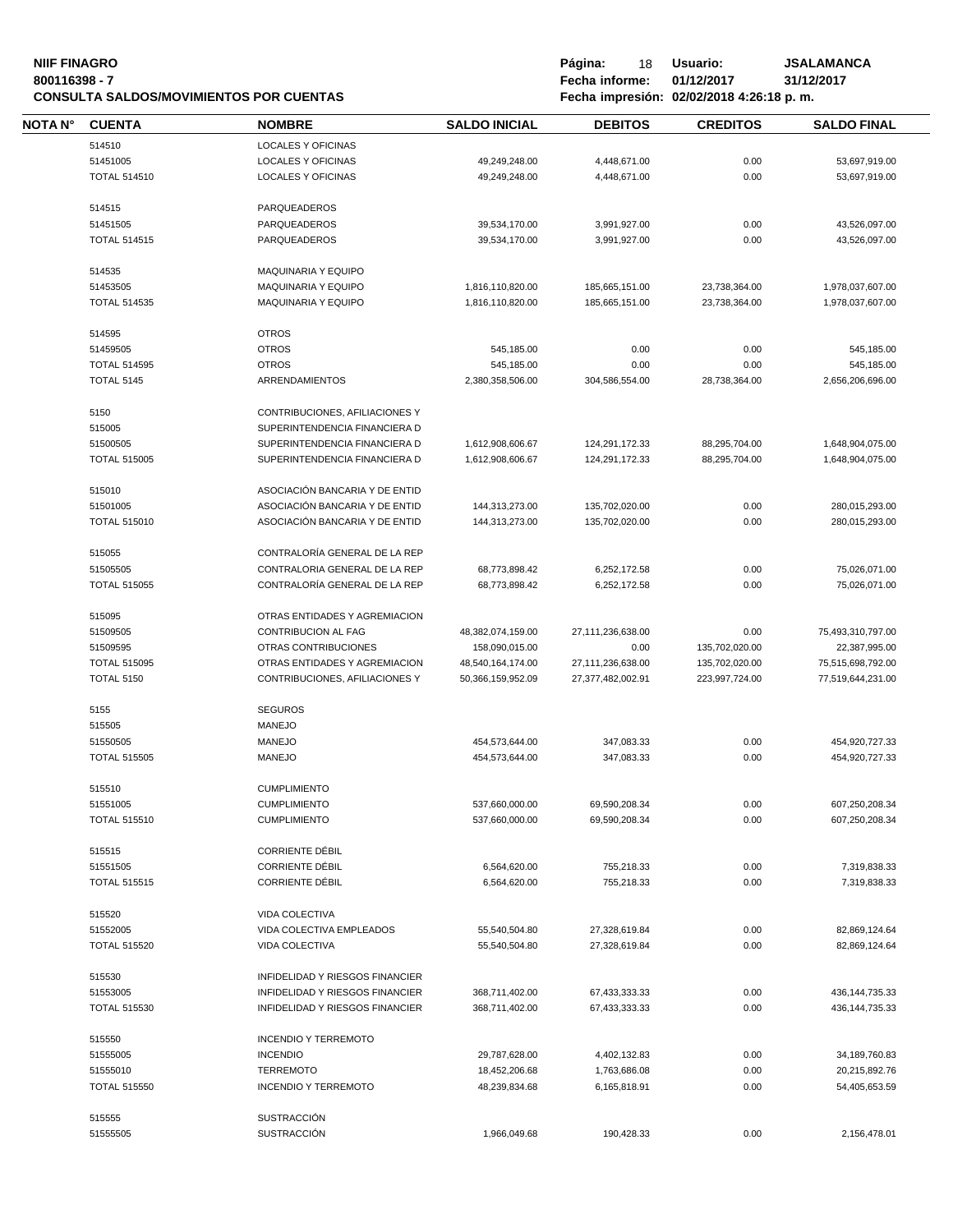## **NIIF FINAGRO P á g i n a :** 18 **U s u a r i o : JSALAMANCA CONSULTA SALDOS/MOVIMIENTOS POR CUENTAS**

| NOTA N° | <b>CUENTA</b>       | <b>NOMBRE</b>                   | <b>SALDO INICIAL</b> | <b>DEBITOS</b>    | <b>CREDITOS</b> | <b>SALDO FINAL</b> |
|---------|---------------------|---------------------------------|----------------------|-------------------|-----------------|--------------------|
|         | 514510              | <b>LOCALES Y OFICINAS</b>       |                      |                   |                 |                    |
|         | 51451005            | LOCALES Y OFICINAS              | 49,249,248.00        | 4,448,671.00      | 0.00            | 53,697,919.00      |
|         | <b>TOTAL 514510</b> | <b>LOCALES Y OFICINAS</b>       | 49,249,248.00        | 4,448,671.00      | 0.00            | 53,697,919.00      |
|         |                     |                                 |                      |                   |                 |                    |
|         | 514515              | PARQUEADEROS                    |                      |                   |                 |                    |
|         | 51451505            | PARQUEADEROS                    | 39,534,170.00        | 3,991,927.00      | 0.00            | 43,526,097.00      |
|         | <b>TOTAL 514515</b> | PARQUEADEROS                    | 39,534,170.00        | 3,991,927.00      | 0.00            | 43,526,097.00      |
|         |                     |                                 |                      |                   |                 |                    |
|         | 514535              | MAQUINARIA Y EQUIPO             |                      |                   |                 |                    |
|         | 51453505            | <b>MAQUINARIA Y EQUIPO</b>      | 1,816,110,820.00     | 185,665,151.00    | 23,738,364.00   | 1,978,037,607.00   |
|         | <b>TOTAL 514535</b> | <b>MAQUINARIA Y EQUIPO</b>      | 1,816,110,820.00     | 185,665,151.00    | 23,738,364.00   | 1,978,037,607.00   |
|         | 514595              | <b>OTROS</b>                    |                      |                   |                 |                    |
|         | 51459505            | <b>OTROS</b>                    | 545,185.00           | 0.00              | 0.00            | 545,185.00         |
|         | <b>TOTAL 514595</b> | <b>OTROS</b>                    | 545,185.00           | 0.00              | 0.00            | 545,185.00         |
|         | <b>TOTAL 5145</b>   | ARRENDAMIENTOS                  | 2,380,358,506.00     | 304,586,554.00    | 28,738,364.00   | 2,656,206,696.00   |
|         |                     |                                 |                      |                   |                 |                    |
|         | 5150                | CONTRIBUCIONES, AFILIACIONES Y  |                      |                   |                 |                    |
|         | 515005              | SUPERINTENDENCIA FINANCIERA D   |                      |                   |                 |                    |
|         | 51500505            | SUPERINTENDENCIA FINANCIERA D   | 1,612,908,606.67     | 124,291,172.33    | 88,295,704.00   | 1,648,904,075.00   |
|         | <b>TOTAL 515005</b> | SUPERINTENDENCIA FINANCIERA D   | 1,612,908,606.67     | 124,291,172.33    | 88,295,704.00   | 1,648,904,075.00   |
|         |                     |                                 |                      |                   |                 |                    |
|         | 515010              | ASOCIACIÓN BANCARIA Y DE ENTID  |                      |                   |                 |                    |
|         | 51501005            | ASOCIACIÓN BANCARIA Y DE ENTID  | 144,313,273.00       | 135,702,020.00    | 0.00            | 280,015,293.00     |
|         | <b>TOTAL 515010</b> | ASOCIACIÓN BANCARIA Y DE ENTID  | 144,313,273.00       | 135,702,020.00    | 0.00            | 280,015,293.00     |
|         | 515055              | CONTRALORÍA GENERAL DE LA REP   |                      |                   |                 |                    |
|         | 51505505            | CONTRALORIA GENERAL DE LA REP   | 68,773,898.42        | 6,252,172.58      | 0.00            | 75,026,071.00      |
|         | <b>TOTAL 515055</b> | CONTRALORÍA GENERAL DE LA REP   | 68,773,898.42        | 6,252,172.58      | 0.00            | 75,026,071.00      |
|         |                     |                                 |                      |                   |                 |                    |
|         | 515095              | OTRAS ENTIDADES Y AGREMIACION   |                      |                   |                 |                    |
|         | 51509505            | <b>CONTRIBUCION AL FAG</b>      | 48,382,074,159.00    | 27,111,236,638.00 | 0.00            | 75,493,310,797.00  |
|         | 51509595            | OTRAS CONTRIBUCIONES            | 158,090,015.00       | 0.00              | 135,702,020.00  | 22,387,995.00      |
|         | <b>TOTAL 515095</b> | OTRAS ENTIDADES Y AGREMIACION   | 48,540,164,174.00    | 27,111,236,638.00 | 135,702,020.00  | 75,515,698,792.00  |
|         | <b>TOTAL 5150</b>   | CONTRIBUCIONES, AFILIACIONES Y  | 50,366,159,952.09    | 27,377,482,002.91 | 223,997,724.00  | 77,519,644,231.00  |
|         |                     |                                 |                      |                   |                 |                    |
|         | 5155                | <b>SEGUROS</b>                  |                      |                   |                 |                    |
|         | 515505              | <b>MANEJO</b>                   |                      |                   |                 |                    |
|         | 51550505            | <b>MANEJO</b>                   | 454,573,644.00       | 347,083.33        | 0.00            | 454,920,727.33     |
|         | <b>TOTAL 515505</b> | <b>MANEJO</b>                   | 454,573,644.00       | 347,083.33        | 0.00            | 454,920,727.33     |
|         | 515510              | <b>CUMPLIMIENTO</b>             |                      |                   |                 |                    |
|         | 51551005            | <b>CUMPLIMIENTO</b>             | 537,660,000.00       | 69,590,208.34     | 0.00            | 607,250,208.34     |
|         | <b>TOTAL 515510</b> | <b>CUMPLIMIENTO</b>             | 537,660,000.00       | 69,590,208.34     | 0.00            | 607,250,208.34     |
|         |                     |                                 |                      |                   |                 |                    |
|         | 515515              | <b>CORRIENTE DÉBIL</b>          |                      |                   |                 |                    |
|         | 51551505            | <b>CORRIENTE DÉBIL</b>          | 6,564,620.00         | 755,218.33        | 0.00            | 7,319,838.33       |
|         | <b>TOTAL 515515</b> | <b>CORRIENTE DÉBIL</b>          | 6,564,620.00         | 755,218.33        | 0.00            | 7,319,838.33       |
|         |                     |                                 |                      |                   |                 |                    |
|         | 515520              | VIDA COLECTIVA                  |                      |                   |                 |                    |
|         | 51552005            | VIDA COLECTIVA EMPLEADOS        | 55,540,504.80        | 27,328,619.84     | 0.00            | 82,869,124.64      |
|         | <b>TOTAL 515520</b> | VIDA COLECTIVA                  | 55,540,504.80        | 27,328,619.84     | 0.00            | 82,869,124.64      |
|         | 515530              | INFIDELIDAD Y RIESGOS FINANCIER |                      |                   |                 |                    |
|         | 51553005            | INFIDELIDAD Y RIESGOS FINANCIER | 368,711,402.00       | 67,433,333.33     | 0.00            | 436, 144, 735. 33  |
|         | <b>TOTAL 515530</b> | INFIDELIDAD Y RIESGOS FINANCIER | 368,711,402.00       | 67,433,333.33     | 0.00            | 436, 144, 735. 33  |
|         |                     |                                 |                      |                   |                 |                    |
|         | 515550              | <b>INCENDIO Y TERREMOTO</b>     |                      |                   |                 |                    |
|         | 51555005            | <b>INCENDIO</b>                 | 29,787,628.00        | 4,402,132.83      | 0.00            | 34,189,760.83      |
|         | 51555010            | <b>TERREMOTO</b>                | 18,452,206.68        | 1,763,686.08      | 0.00            | 20,215,892.76      |
|         | <b>TOTAL 515550</b> | <b>INCENDIO Y TERREMOTO</b>     | 48,239,834.68        | 6,165,818.91      | 0.00            | 54,405,653.59      |
|         | 515555              | <b>SUSTRACCIÓN</b>              |                      |                   |                 |                    |
|         | 51555505            | <b>SUSTRACCIÓN</b>              | 1,966,049.68         | 190,428.33        | 0.00            | 2,156,478.01       |
|         |                     |                                 |                      |                   |                 |                    |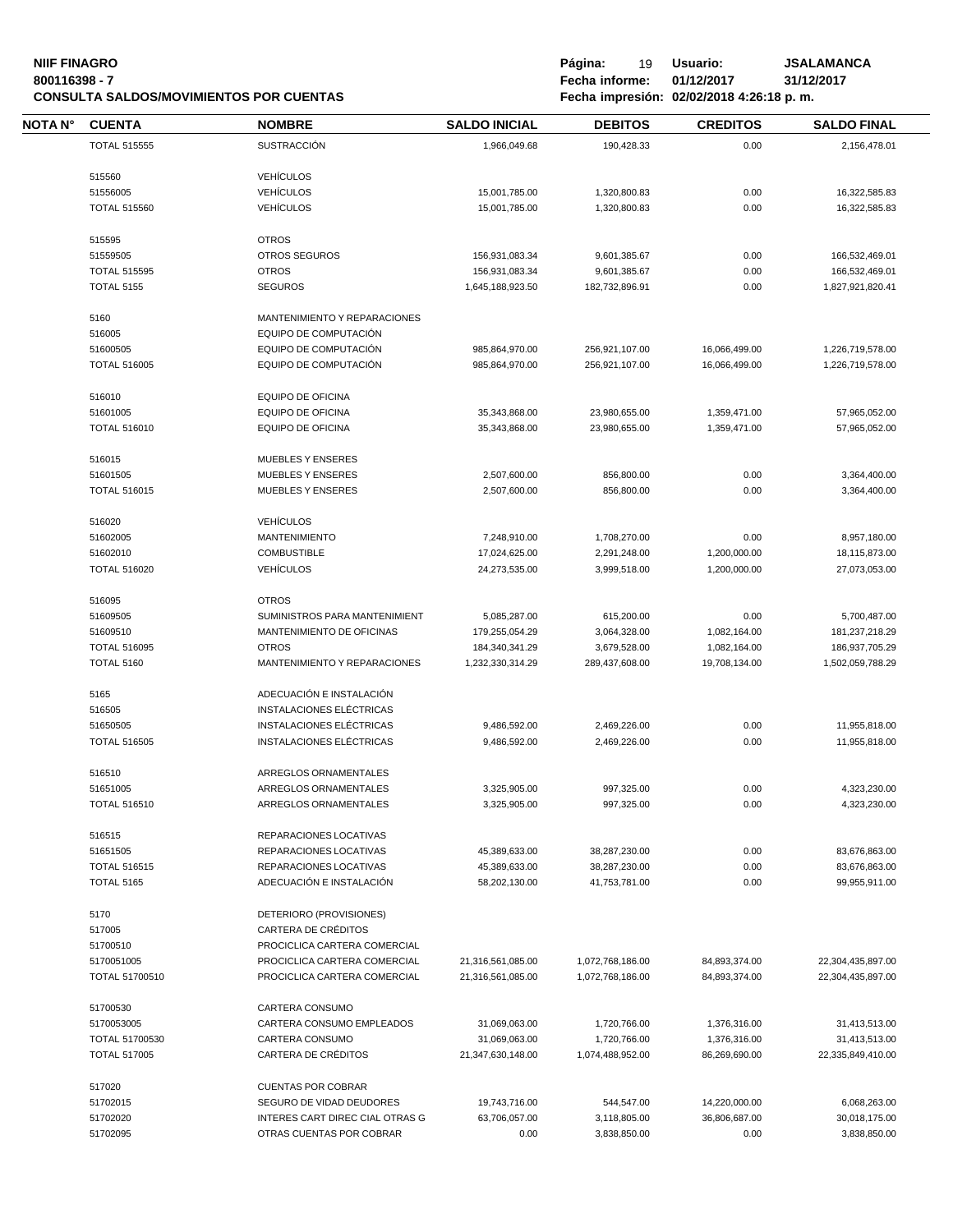## **NIIF FINAGRO Página:** 19 Usuario: JSALAMANCA<br>19 Bourney - The Same Control of the San Fecha informe: 01/12/2017 1/1/2/2017 **CONSULTA SALDOS/MOVIMIENTOS POR CUENTAS**

| NOTA N° | <b>CUENTA</b>                            | <b>NOMBRE</b>                                      | <b>SALDO INICIAL</b>           | <b>DEBITOS</b>                 | <b>CREDITOS</b> | <b>SALDO FINAL</b>             |
|---------|------------------------------------------|----------------------------------------------------|--------------------------------|--------------------------------|-----------------|--------------------------------|
|         | <b>TOTAL 515555</b>                      | <b>SUSTRACCIÓN</b>                                 | 1,966,049.68                   | 190,428.33                     | 0.00            | 2,156,478.01                   |
|         | 515560                                   | <b>VEHÍCULOS</b>                                   |                                |                                |                 |                                |
|         | 51556005                                 | <b>VEHÍCULOS</b>                                   | 15,001,785.00                  | 1,320,800.83                   | 0.00            | 16,322,585.83                  |
|         | <b>TOTAL 515560</b>                      | <b>VEHÍCULOS</b>                                   | 15,001,785.00                  | 1,320,800.83                   | 0.00            | 16,322,585.83                  |
|         |                                          |                                                    |                                |                                |                 |                                |
|         | 515595                                   | <b>OTROS</b>                                       |                                |                                |                 |                                |
|         | 51559505                                 | <b>OTROS SEGUROS</b>                               | 156,931,083.34                 | 9,601,385.67                   | 0.00            | 166,532,469.01                 |
|         | <b>TOTAL 515595</b>                      | <b>OTROS</b>                                       | 156,931,083.34                 | 9,601,385.67                   | 0.00            | 166,532,469.01                 |
|         | <b>TOTAL 5155</b>                        | <b>SEGUROS</b>                                     | 1,645,188,923.50               | 182,732,896.91                 | 0.00            | 1,827,921,820.41               |
|         | 5160                                     | MANTENIMIENTO Y REPARACIONES                       |                                |                                |                 |                                |
|         | 516005                                   | EQUIPO DE COMPUTACIÓN                              |                                |                                |                 |                                |
|         | 51600505                                 | EQUIPO DE COMPUTACIÓN                              | 985,864,970.00                 | 256,921,107.00                 | 16,066,499.00   | 1,226,719,578.00               |
|         | <b>TOTAL 516005</b>                      | EQUIPO DE COMPUTACIÓN                              | 985,864,970.00                 | 256,921,107.00                 | 16,066,499.00   | 1,226,719,578.00               |
|         | 516010                                   | EQUIPO DE OFICINA                                  |                                |                                |                 |                                |
|         |                                          |                                                    |                                |                                |                 |                                |
|         | 51601005                                 | <b>EQUIPO DE OFICINA</b>                           | 35,343,868.00                  | 23,980,655.00                  | 1,359,471.00    | 57,965,052.00                  |
|         | <b>TOTAL 516010</b>                      | <b>EQUIPO DE OFICINA</b>                           | 35,343,868.00                  | 23,980,655.00                  | 1,359,471.00    | 57,965,052.00                  |
|         | 516015                                   | MUEBLES Y ENSERES                                  |                                |                                |                 |                                |
|         | 51601505                                 | <b>MUEBLES Y ENSERES</b>                           | 2,507,600.00                   | 856,800.00                     | 0.00            | 3,364,400.00                   |
|         | <b>TOTAL 516015</b>                      | <b>MUEBLES Y ENSERES</b>                           | 2,507,600.00                   | 856,800.00                     | 0.00            | 3,364,400.00                   |
|         | 516020                                   | <b>VEHÍCULOS</b>                                   |                                |                                |                 |                                |
|         | 51602005                                 | <b>MANTENIMIENTO</b>                               | 7,248,910.00                   | 1,708,270.00                   | 0.00            | 8,957,180.00                   |
|         | 51602010                                 | <b>COMBUSTIBLE</b>                                 | 17,024,625.00                  | 2,291,248.00                   | 1,200,000.00    | 18,115,873.00                  |
|         | <b>TOTAL 516020</b>                      | <b>VEHÍCULOS</b>                                   | 24,273,535.00                  | 3,999,518.00                   | 1,200,000.00    | 27,073,053.00                  |
|         | 516095                                   | <b>OTROS</b>                                       |                                |                                |                 |                                |
|         | 51609505                                 | SUMINISTROS PARA MANTENIMIENT                      | 5,085,287.00                   | 615,200.00                     | 0.00            | 5,700,487.00                   |
|         |                                          |                                                    |                                |                                |                 |                                |
|         | 51609510                                 | MANTENIMIENTO DE OFICINAS                          | 179,255,054.29                 | 3,064,328.00                   | 1,082,164.00    | 181,237,218.29                 |
|         | <b>TOTAL 516095</b>                      | <b>OTROS</b>                                       | 184,340,341.29                 | 3,679,528.00                   | 1,082,164.00    | 186,937,705.29                 |
|         | TOTAL 5160                               | MANTENIMIENTO Y REPARACIONES                       | 1,232,330,314.29               | 289,437,608.00                 | 19,708,134.00   | 1,502,059,788.29               |
|         | 5165                                     | ADECUACIÓN E INSTALACIÓN                           |                                |                                |                 |                                |
|         | 516505                                   | INSTALACIONES ELÉCTRICAS                           |                                |                                |                 |                                |
|         | 51650505                                 | INSTALACIONES ELÉCTRICAS                           | 9,486,592.00                   | 2.469.226.00                   | 0.00            | 11,955,818.00                  |
|         | <b>TOTAL 516505</b>                      | INSTALACIONES ELÉCTRICAS                           | 9,486,592.00                   | 2,469,226.00                   | 0.00            | 11,955,818.00                  |
|         | 516510                                   | ARREGLOS ORNAMENTALES                              |                                |                                |                 |                                |
|         | 51651005                                 | ARREGLOS ORNAMENTALES                              | 3,325,905.00                   | 997,325.00                     | 0.00            | 4,323,230.00                   |
|         | <b>TOTAL 516510</b>                      | ARREGLOS ORNAMENTALES                              | 3,325,905.00                   | 997,325.00                     | 0.00            | 4,323,230.00                   |
|         | 516515                                   | REPARACIONES LOCATIVAS                             |                                |                                |                 |                                |
|         | 51651505                                 | REPARACIONES LOCATIVAS                             | 45,389,633.00                  | 38,287,230.00                  | 0.00            | 83,676,863.00                  |
|         |                                          |                                                    |                                |                                |                 |                                |
|         | <b>TOTAL 516515</b><br><b>TOTAL 5165</b> | REPARACIONES LOCATIVAS<br>ADECUACIÓN E INSTALACIÓN | 45,389,633.00<br>58,202,130.00 | 38,287,230.00<br>41,753,781.00 | 0.00<br>0.00    | 83,676,863.00<br>99,955,911.00 |
|         |                                          |                                                    |                                |                                |                 |                                |
|         | 5170                                     | DETERIORO (PROVISIONES)                            |                                |                                |                 |                                |
|         | 517005                                   | CARTERA DE CRÉDITOS                                |                                |                                |                 |                                |
|         | 51700510                                 | PROCICLICA CARTERA COMERCIAL                       |                                |                                |                 |                                |
|         | 5170051005                               | PROCICLICA CARTERA COMERCIAL                       | 21,316,561,085.00              | 1,072,768,186.00               | 84,893,374.00   | 22,304,435,897.00              |
|         | TOTAL 51700510                           | PROCICLICA CARTERA COMERCIAL                       | 21,316,561,085.00              | 1,072,768,186.00               | 84,893,374.00   | 22,304,435,897.00              |
|         | 51700530                                 | CARTERA CONSUMO                                    |                                |                                |                 |                                |
|         | 5170053005                               | CARTERA CONSUMO EMPLEADOS                          | 31,069,063.00                  | 1,720,766.00                   | 1,376,316.00    | 31,413,513.00                  |
|         | TOTAL 51700530                           | CARTERA CONSUMO                                    | 31,069,063.00                  | 1,720,766.00                   | 1,376,316.00    | 31,413,513.00                  |
|         | <b>TOTAL 517005</b>                      | CARTERA DE CRÉDITOS                                | 21,347,630,148.00              | 1,074,488,952.00               | 86,269,690.00   | 22,335,849,410.00              |
|         | 517020                                   | <b>CUENTAS POR COBRAR</b>                          |                                |                                |                 |                                |
|         | 51702015                                 | SEGURO DE VIDAD DEUDORES                           | 19,743,716.00                  | 544,547.00                     | 14,220,000.00   | 6,068,263.00                   |
|         | 51702020                                 | INTERES CART DIREC CIAL OTRAS G                    |                                |                                | 36,806,687.00   |                                |
|         |                                          |                                                    | 63,706,057.00                  | 3,118,805.00                   |                 | 30,018,175.00                  |
|         | 51702095                                 | OTRAS CUENTAS POR COBRAR                           | 0.00                           | 3,838,850.00                   | 0.00            | 3,838,850.00                   |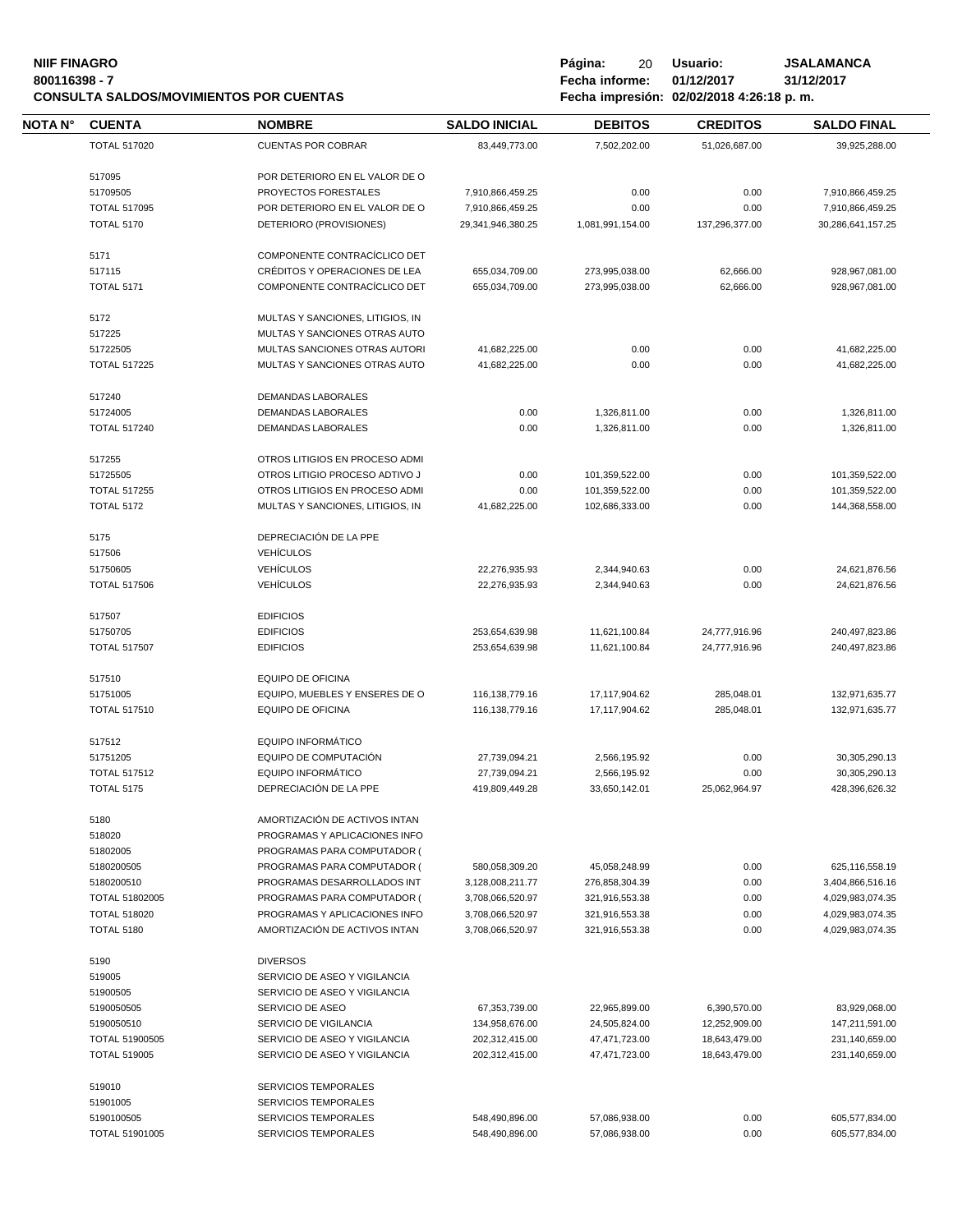## **NIIF FINAGRO P á g i n a :** 20 **U s u a r i o : JSALAMANCA CONSULTA SALDOS/MOVIMIENTOS POR CUENTAS**

| NOTA N° | <b>CUENTA</b>       | <b>NOMBRE</b>                    | <b>SALDO INICIAL</b> | <b>DEBITOS</b>   | <b>CREDITOS</b> | <b>SALDO FINAL</b> |
|---------|---------------------|----------------------------------|----------------------|------------------|-----------------|--------------------|
|         | <b>TOTAL 517020</b> | <b>CUENTAS POR COBRAR</b>        | 83,449,773.00        | 7,502,202.00     | 51,026,687.00   | 39,925,288.00      |
|         |                     |                                  |                      |                  |                 |                    |
|         | 517095              | POR DETERIORO EN EL VALOR DE O   |                      |                  |                 |                    |
|         | 51709505            | PROYECTOS FORESTALES             | 7,910,866,459.25     | 0.00             | 0.00            | 7,910,866,459.25   |
|         | <b>TOTAL 517095</b> | POR DETERIORO EN EL VALOR DE O   | 7,910,866,459.25     | 0.00             | 0.00            | 7,910,866,459.25   |
|         | <b>TOTAL 5170</b>   | DETERIORO (PROVISIONES)          | 29,341,946,380.25    | 1,081,991,154.00 | 137,296,377.00  | 30,286,641,157.25  |
|         |                     |                                  |                      |                  |                 |                    |
|         | 5171                | COMPONENTE CONTRACÍCLICO DET     |                      |                  |                 |                    |
|         | 517115              | CRÉDITOS Y OPERACIONES DE LEA    | 655,034,709.00       | 273,995,038.00   | 62,666.00       | 928,967,081.00     |
|         | <b>TOTAL 5171</b>   | COMPONENTE CONTRACÍCLICO DET     | 655,034,709.00       | 273.995.038.00   | 62,666.00       | 928,967,081.00     |
|         |                     |                                  |                      |                  |                 |                    |
|         | 5172                | MULTAS Y SANCIONES, LITIGIOS, IN |                      |                  |                 |                    |
|         | 517225              | MULTAS Y SANCIONES OTRAS AUTO    |                      |                  |                 |                    |
|         | 51722505            | MULTAS SANCIONES OTRAS AUTORI    | 41,682,225.00        | 0.00             | 0.00            | 41,682,225.00      |
|         | <b>TOTAL 517225</b> | MULTAS Y SANCIONES OTRAS AUTO    | 41,682,225.00        | 0.00             | 0.00            | 41,682,225.00      |
|         |                     |                                  |                      |                  |                 |                    |
|         | 517240              | DEMANDAS LABORALES               |                      |                  |                 |                    |
|         | 51724005            | DEMANDAS LABORALES               | 0.00                 | 1,326,811.00     | 0.00            | 1,326,811.00       |
|         | <b>TOTAL 517240</b> | <b>DEMANDAS LABORALES</b>        | 0.00                 | 1,326,811.00     | 0.00            | 1,326,811.00       |
|         |                     |                                  |                      |                  |                 |                    |
|         | 517255              | OTROS LITIGIOS EN PROCESO ADMI   |                      |                  |                 |                    |
|         | 51725505            | OTROS LITIGIO PROCESO ADTIVO J   | 0.00                 | 101,359,522.00   | 0.00            | 101,359,522.00     |
|         | <b>TOTAL 517255</b> | OTROS LITIGIOS EN PROCESO ADMI   | 0.00                 | 101,359,522.00   | 0.00            | 101,359,522.00     |
|         | <b>TOTAL 5172</b>   | MULTAS Y SANCIONES, LITIGIOS, IN | 41,682,225.00        | 102.686.333.00   | 0.00            | 144,368,558.00     |
|         |                     |                                  |                      |                  |                 |                    |
|         | 5175                | DEPRECIACIÓN DE LA PPE           |                      |                  |                 |                    |
|         | 517506              | <b>VEHÍCULOS</b>                 |                      |                  |                 |                    |
|         | 51750605            | <b>VEHÍCULOS</b>                 | 22,276,935.93        | 2,344,940.63     | 0.00            | 24,621,876.56      |
|         | <b>TOTAL 517506</b> | <b>VEHÍCULOS</b>                 | 22,276,935.93        | 2,344,940.63     | 0.00            | 24,621,876.56      |
|         |                     |                                  |                      |                  |                 |                    |
|         | 517507              | <b>EDIFICIOS</b>                 |                      |                  |                 |                    |
|         | 51750705            | <b>EDIFICIOS</b>                 | 253,654,639.98       | 11,621,100.84    | 24,777,916.96   | 240,497,823.86     |
|         | <b>TOTAL 517507</b> | <b>EDIFICIOS</b>                 | 253,654,639.98       | 11,621,100.84    | 24,777,916.96   | 240,497,823.86     |
|         |                     |                                  |                      |                  |                 |                    |
|         | 517510              | <b>EQUIPO DE OFICINA</b>         |                      |                  |                 |                    |
|         | 51751005            | EQUIPO, MUEBLES Y ENSERES DE O   | 116,138,779.16       | 17,117,904.62    | 285,048.01      | 132,971,635.77     |
|         | <b>TOTAL 517510</b> | <b>EQUIPO DE OFICINA</b>         | 116,138,779.16       | 17,117,904.62    | 285,048.01      | 132,971,635.77     |
|         |                     |                                  |                      |                  |                 |                    |
|         | 517512              | EQUIPO INFORMÁTICO               |                      |                  |                 |                    |
|         | 51751205            | EQUIPO DE COMPUTACIÓN            | 27,739,094.21        | 2,566,195.92     | 0.00            | 30,305,290.13      |
|         | <b>TOTAL 517512</b> | <b>EQUIPO INFORMÁTICO</b>        | 27,739,094.21        | 2,566,195.92     | 0.00            | 30,305,290.13      |
|         | <b>TOTAL 5175</b>   | DEPRECIACIÓN DE LA PPE           | 419.809.449.28       | 33,650,142.01    | 25,062,964.97   | 428,396,626.32     |
|         |                     |                                  |                      |                  |                 |                    |
|         | 5180                | AMORTIZACIÓN DE ACTIVOS INTAN    |                      |                  |                 |                    |
|         | 518020              | PROGRAMAS Y APLICACIONES INFO    |                      |                  |                 |                    |
|         | 51802005            | PROGRAMAS PARA COMPUTADOR (      |                      |                  |                 |                    |
|         | 5180200505          | PROGRAMAS PARA COMPUTADOR (      | 580,058,309.20       | 45,058,248.99    | 0.00            | 625,116,558.19     |
|         | 5180200510          | PROGRAMAS DESARROLLADOS INT      | 3,128,008,211.77     | 276,858,304.39   | 0.00            | 3,404,866,516.16   |
|         | TOTAL 51802005      | PROGRAMAS PARA COMPUTADOR (      | 3,708,066,520.97     | 321.916.553.38   | 0.00            | 4,029,983,074.35   |
|         | <b>TOTAL 518020</b> | PROGRAMAS Y APLICACIONES INFO    | 3,708,066,520.97     | 321,916,553.38   | 0.00            | 4,029,983,074.35   |
|         | <b>TOTAL 5180</b>   | AMORTIZACIÓN DE ACTIVOS INTAN    | 3,708,066,520.97     | 321,916,553.38   | 0.00            | 4,029,983,074.35   |
|         |                     |                                  |                      |                  |                 |                    |
|         | 5190                | <b>DIVERSOS</b>                  |                      |                  |                 |                    |
|         | 519005              | SERVICIO DE ASEO Y VIGILANCIA    |                      |                  |                 |                    |
|         | 51900505            | SERVICIO DE ASEO Y VIGILANCIA    |                      |                  |                 |                    |
|         | 5190050505          | SERVICIO DE ASEO                 | 67,353,739.00        | 22,965,899.00    | 6,390,570.00    | 83,929,068.00      |
|         | 5190050510          | SERVICIO DE VIGILANCIA           | 134,958,676.00       | 24,505,824.00    | 12,252,909.00   | 147,211,591.00     |
|         | TOTAL 51900505      | SERVICIO DE ASEO Y VIGILANCIA    | 202,312,415.00       | 47,471,723.00    | 18,643,479.00   | 231,140,659.00     |
|         | <b>TOTAL 519005</b> | SERVICIO DE ASEO Y VIGILANCIA    | 202,312,415.00       | 47,471,723.00    | 18,643,479.00   | 231,140,659.00     |
|         |                     |                                  |                      |                  |                 |                    |
|         | 519010              | SERVICIOS TEMPORALES             |                      |                  |                 |                    |
|         | 51901005            | <b>SERVICIOS TEMPORALES</b>      |                      |                  |                 |                    |
|         | 5190100505          | <b>SERVICIOS TEMPORALES</b>      | 548,490,896.00       | 57,086,938.00    | 0.00            | 605,577,834.00     |
|         | TOTAL 51901005      | <b>SERVICIOS TEMPORALES</b>      | 548,490,896.00       | 57,086,938.00    | 0.00            | 605,577,834.00     |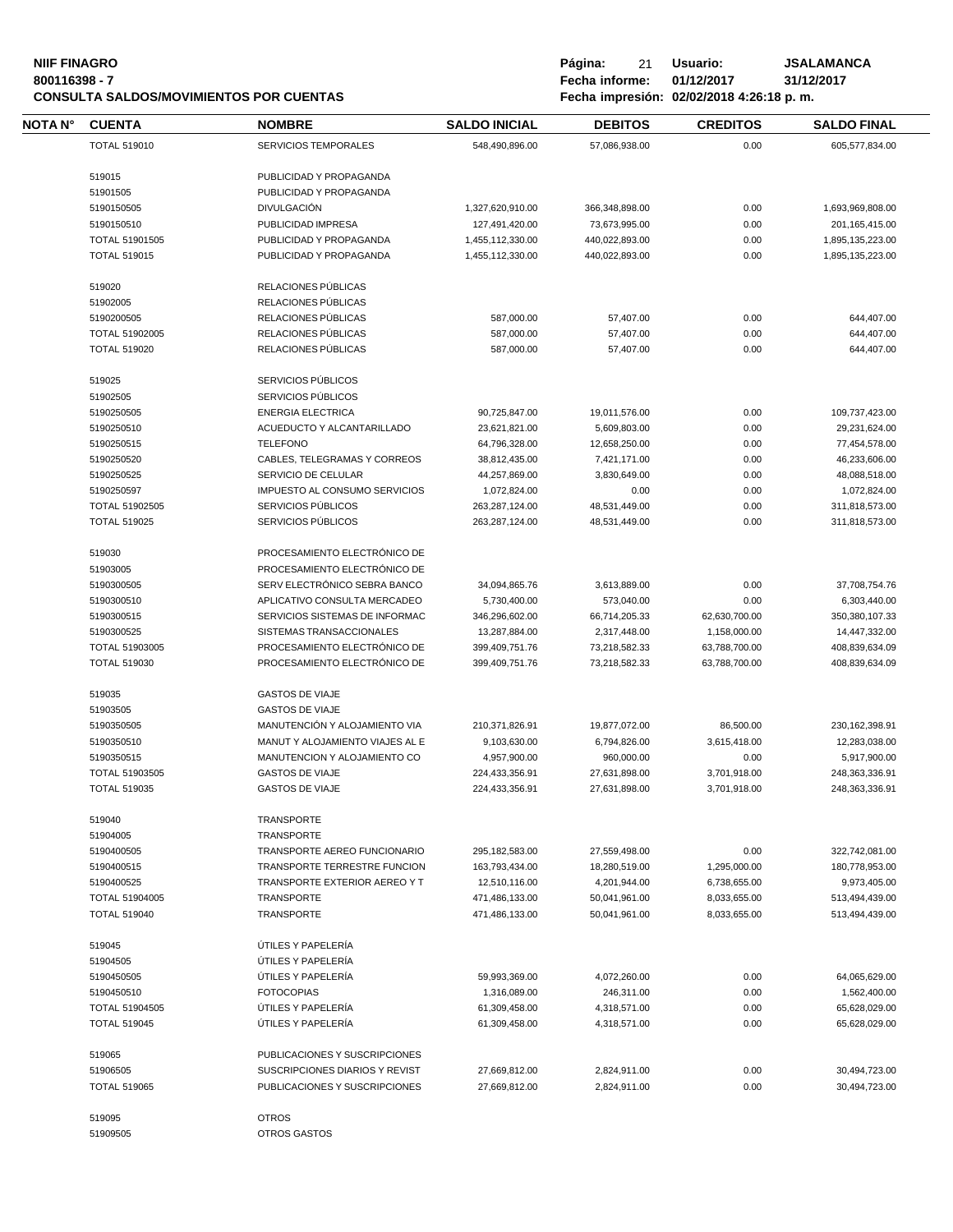| <b>NIIF FINAGRO</b><br>800116398 - 7<br><b>CONSULTA SALDOS/MOVIMIENTOS POR CUENTAS</b> |                                       |                                          | Página:<br>21<br>Fecha informe: | Usuario:<br>01/12/2017<br>Fecha impresión: 02/02/2018 4:26:18 p.m. | <b>JSALAMANCA</b><br>31/12/2017 |                                |
|----------------------------------------------------------------------------------------|---------------------------------------|------------------------------------------|---------------------------------|--------------------------------------------------------------------|---------------------------------|--------------------------------|
| NOTA N°                                                                                | <b>CUENTA</b>                         | <b>NOMBRE</b>                            | <b>SALDO INICIAL</b>            | <b>DEBITOS</b>                                                     | <b>CREDITOS</b>                 | <b>SALDO FINAL</b>             |
|                                                                                        | <b>TOTAL 519010</b>                   | <b>SERVICIOS TEMPORALES</b>              | 548,490,896.00                  | 57,086,938.00                                                      | 0.00                            | 605,577,834.00                 |
|                                                                                        | 519015                                | PUBLICIDAD Y PROPAGANDA                  |                                 |                                                                    |                                 |                                |
|                                                                                        | 51901505                              | PUBLICIDAD Y PROPAGANDA                  |                                 |                                                                    |                                 |                                |
|                                                                                        | 5190150505                            | <b>DIVULGACIÓN</b>                       | 1,327,620,910.00                | 366,348,898.00                                                     | 0.00                            | 1,693,969,808.00               |
|                                                                                        | 5190150510                            | PUBLICIDAD IMPRESA                       | 127,491,420.00                  | 73,673,995.00                                                      | 0.00                            | 201, 165, 415.00               |
|                                                                                        | TOTAL 51901505                        | PUBLICIDAD Y PROPAGANDA                  | 1,455,112,330.00                | 440,022,893.00                                                     | 0.00                            | 1,895,135,223.00               |
|                                                                                        | <b>TOTAL 519015</b>                   | PUBLICIDAD Y PROPAGANDA                  | 1,455,112,330.00                | 440,022,893.00                                                     | 0.00                            | 1,895,135,223.00               |
|                                                                                        | 519020                                | RELACIONES PÚBLICAS                      |                                 |                                                                    |                                 |                                |
|                                                                                        | 51902005                              | RELACIONES PÚBLICAS                      |                                 |                                                                    |                                 |                                |
|                                                                                        | 5190200505                            | RELACIONES PÚBLICAS                      | 587,000.00                      | 57,407.00                                                          | 0.00                            | 644,407.00                     |
|                                                                                        | TOTAL 51902005                        | RELACIONES PÚBLICAS                      | 587,000.00                      | 57,407.00                                                          | 0.00                            | 644,407.00                     |
|                                                                                        | <b>TOTAL 519020</b>                   | RELACIONES PÚBLICAS                      | 587,000.00                      | 57,407.00                                                          | 0.00                            | 644,407.00                     |
|                                                                                        | 519025                                | SERVICIOS PÚBLICOS                       |                                 |                                                                    |                                 |                                |
|                                                                                        | 51902505                              | SERVICIOS PÚBLICOS                       |                                 |                                                                    |                                 |                                |
|                                                                                        | 5190250505                            | <b>ENERGIA ELECTRICA</b>                 | 90,725,847.00                   | 19,011,576.00                                                      | 0.00                            | 109,737,423.00                 |
|                                                                                        | 5190250510                            | ACUEDUCTO Y ALCANTARILLADO               | 23,621,821.00                   | 5,609,803.00                                                       | 0.00                            | 29,231,624.00                  |
|                                                                                        | 5190250515                            | <b>TELEFONO</b>                          | 64,796,328.00                   | 12,658,250.00                                                      | 0.00                            | 77,454,578.00                  |
|                                                                                        | 5190250520                            | CABLES, TELEGRAMAS Y CORREOS             | 38,812,435.00                   | 7,421,171.00                                                       | 0.00                            | 46,233,606.00                  |
|                                                                                        | 5190250525                            | SERVICIO DE CELULAR                      | 44,257,869.00                   | 3,830,649.00                                                       | 0.00                            | 48,088,518.00                  |
|                                                                                        | 5190250597                            | IMPUESTO AL CONSUMO SERVICIOS            | 1,072,824.00                    | 0.00                                                               | 0.00                            | 1,072,824.00                   |
|                                                                                        | TOTAL 51902505                        | SERVICIOS PÚBLICOS                       | 263,287,124.00                  | 48,531,449.00                                                      | 0.00                            | 311,818,573.00                 |
|                                                                                        | <b>TOTAL 519025</b>                   | SERVICIOS PÚBLICOS                       | 263,287,124.00                  | 48,531,449.00                                                      | 0.00                            | 311,818,573.00                 |
|                                                                                        | 519030                                | PROCESAMIENTO ELECTRÓNICO DE             |                                 |                                                                    |                                 |                                |
|                                                                                        | 51903005                              | PROCESAMIENTO ELECTRÓNICO DE             |                                 |                                                                    |                                 |                                |
|                                                                                        | 5190300505                            | SERV ELECTRÓNICO SEBRA BANCO             | 34,094,865.76                   | 3,613,889.00                                                       | 0.00                            | 37,708,754.76                  |
|                                                                                        | 5190300510                            | APLICATIVO CONSULTA MERCADEO             | 5,730,400.00                    | 573,040.00                                                         | 0.00                            | 6,303,440.00                   |
|                                                                                        | 5190300515                            | SERVICIOS SISTEMAS DE INFORMAC           | 346,296,602.00                  | 66,714,205.33                                                      | 62,630,700.00                   | 350,380,107.33                 |
|                                                                                        | 5190300525                            | SISTEMAS TRANSACCIONALES                 | 13,287,884.00                   | 2,317,448.00                                                       | 1,158,000.00                    | 14,447,332.00                  |
|                                                                                        | TOTAL 51903005                        | PROCESAMIENTO ELECTRÓNICO DE             | 399,409,751.76                  | 73,218,582.33                                                      | 63,788,700.00                   | 408,839,634.09                 |
|                                                                                        | <b>TOTAL 519030</b>                   | PROCESAMIENTO ELECTRÓNICO DE             | 399,409,751.76                  | 73,218,582.33                                                      | 63,788,700.00                   | 408,839,634.09                 |
|                                                                                        | 519035                                | <b>GASTOS DE VIAJE</b>                   |                                 |                                                                    |                                 |                                |
|                                                                                        | 51903505                              | <b>GASTOS DE VIAJE</b>                   |                                 |                                                                    |                                 |                                |
|                                                                                        | 5190350505                            | MANUTENCIÓN Y ALOJAMIENTO VIA            | 210,371,826.91                  | 19,877,072.00                                                      | 86,500.00                       | 230, 162, 398.91               |
|                                                                                        | 5190350510                            | MANUT Y ALOJAMIENTO VIAJES AL E          | 9,103,630.00                    | 6,794,826.00                                                       | 3,615,418.00                    | 12,283,038.00                  |
|                                                                                        | 5190350515                            | MANUTENCION Y ALOJAMIENTO CO             | 4,957,900.00                    | 960,000.00                                                         | 0.00                            | 5,917,900.00                   |
|                                                                                        | TOTAL 51903505                        | <b>GASTOS DE VIAJE</b>                   | 224,433,356.91                  | 27,631,898.00                                                      | 3,701,918.00                    | 248,363,336.91                 |
|                                                                                        | <b>TOTAL 519035</b>                   | <b>GASTOS DE VIAJE</b>                   | 224,433,356.91                  | 27,631,898.00                                                      | 3,701,918.00                    | 248,363,336.91                 |
|                                                                                        | 519040                                | TRANSPORTE                               |                                 |                                                                    |                                 |                                |
|                                                                                        | 51904005                              | TRANSPORTE                               |                                 |                                                                    |                                 |                                |
|                                                                                        | 5190400505                            | TRANSPORTE AEREO FUNCIONARIO             | 295,182,583.00                  | 27,559,498.00                                                      | 0.00                            | 322,742,081.00                 |
|                                                                                        | 5190400515                            | TRANSPORTE TERRESTRE FUNCION             | 163,793,434.00                  | 18,280,519.00                                                      | 1,295,000.00                    | 180,778,953.00                 |
|                                                                                        | 5190400525                            | TRANSPORTE EXTERIOR AEREO Y T            | 12,510,116.00                   | 4,201,944.00                                                       | 6,738,655.00                    | 9,973,405.00                   |
|                                                                                        | TOTAL 51904005                        | TRANSPORTE                               | 471,486,133.00                  | 50,041,961.00                                                      | 8,033,655.00                    | 513,494,439.00                 |
|                                                                                        | <b>TOTAL 519040</b>                   | TRANSPORTE                               | 471,486,133.00                  | 50,041,961.00                                                      | 8,033,655.00                    | 513,494,439.00                 |
|                                                                                        | 519045                                | ÚTILES Y PAPELERÍA                       |                                 |                                                                    |                                 |                                |
|                                                                                        | 51904505                              | ÚTILES Y PAPELERÍA                       |                                 |                                                                    |                                 |                                |
|                                                                                        | 5190450505                            | ÚTILES Y PAPELERÍA                       | 59,993,369.00                   | 4,072,260.00                                                       | 0.00                            | 64,065,629.00                  |
|                                                                                        | 5190450510                            | <b>FOTOCOPIAS</b>                        | 1,316,089.00                    | 246,311.00                                                         | 0.00                            | 1,562,400.00                   |
|                                                                                        | TOTAL 51904505<br><b>TOTAL 519045</b> | ÚTILES Y PAPELERÍA<br>ÚTILES Y PAPELERÍA | 61,309,458.00<br>61,309,458.00  | 4,318,571.00<br>4,318,571.00                                       | 0.00<br>0.00                    | 65,628,029.00<br>65,628,029.00 |
|                                                                                        | 519065                                | PUBLICACIONES Y SUSCRIPCIONES            |                                 |                                                                    |                                 |                                |
|                                                                                        | 51906505                              | SUSCRIPCIONES DIARIOS Y REVIST           | 27,669,812.00                   | 2,824,911.00                                                       | 0.00                            | 30,494,723.00                  |
|                                                                                        | <b>TOTAL 519065</b>                   | PUBLICACIONES Y SUSCRIPCIONES            | 27,669,812.00                   | 2,824,911.00                                                       | 0.00                            | 30,494,723.00                  |
|                                                                                        | 519095                                | <b>OTROS</b>                             |                                 |                                                                    |                                 |                                |
|                                                                                        | 51909505                              | OTROS GASTOS                             |                                 |                                                                    |                                 |                                |
|                                                                                        |                                       |                                          |                                 |                                                                    |                                 |                                |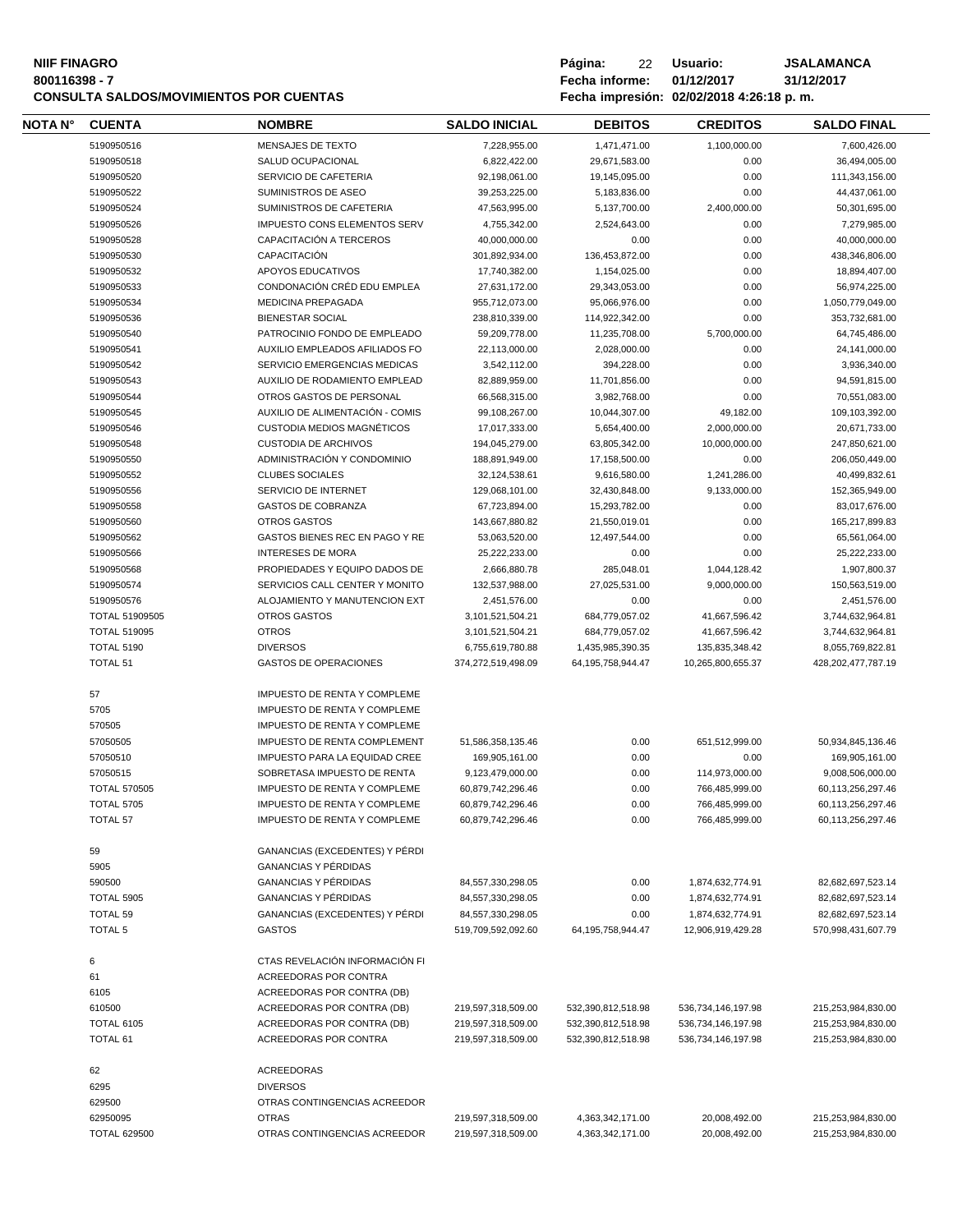### **800116398 - 7 Fecha informe: 01/12/2017 31/12/2017 CONSULTA SALDOS/MOVIMIENTOS POR CUENTAS**

| <b>NIF FINAGRO</b><br>800116398 - 7<br><b>CONSULTA SALDOS/MOVIMIENTOS POR CUENTAS</b> |               |                   |                      | Página:<br>Fecha informe: | 22 | Usuario:<br>01/12/2017<br>Fecha impresión: 02/02/2018 4:26:18 p. m. | <b>JSALAMANCA</b><br>31/12/2017 |
|---------------------------------------------------------------------------------------|---------------|-------------------|----------------------|---------------------------|----|---------------------------------------------------------------------|---------------------------------|
| <b>NOTA N°</b>                                                                        | <b>CUENTA</b> | <b>NOMBRE</b>     | <b>SALDO INICIAL</b> | <b>DEBITOS</b>            |    | <b>CREDITOS</b>                                                     | <b>SALDO FINAL</b>              |
|                                                                                       | 5190950516    | MENSAJES DE TEXTO | 7.228.955.00         | 1.471.471.00              |    | 1.100.000.00                                                        | 7.600.426.00                    |

| 5190950516          | <b>MENSAJES DE TEXTO</b>            | 7,228,955.00       | 1,471,471.00          | 1,100,000.00       | 7,600,426.00       |
|---------------------|-------------------------------------|--------------------|-----------------------|--------------------|--------------------|
| 5190950518          | SALUD OCUPACIONAL                   | 6,822,422.00       | 29,671,583.00         | 0.00               | 36,494,005.00      |
| 5190950520          | SERVICIO DE CAFETERIA               | 92,198,061.00      | 19,145,095.00         | 0.00               | 111,343,156.00     |
| 5190950522          | SUMINISTROS DE ASEO                 | 39,253,225.00      | 5,183,836.00          | 0.00               | 44,437,061.00      |
| 5190950524          | SUMINISTROS DE CAFETERIA            | 47,563,995.00      | 5,137,700.00          | 2,400,000.00       | 50,301,695.00      |
| 5190950526          | <b>IMPUESTO CONS ELEMENTOS SERV</b> | 4,755,342.00       | 2,524,643.00          | 0.00               | 7,279,985.00       |
| 5190950528          | CAPACITACIÓN A TERCEROS             | 40,000,000.00      | 0.00                  | 0.00               | 40,000,000.00      |
| 5190950530          | CAPACITACIÓN                        | 301,892,934.00     | 136,453,872.00        | 0.00               | 438,346,806.00     |
| 5190950532          | APOYOS EDUCATIVOS                   | 17,740,382.00      | 1,154,025.00          | 0.00               | 18,894,407.00      |
| 5190950533          | CONDONACIÓN CRÉD EDU EMPLEA         | 27,631,172.00      | 29,343,053.00         | 0.00               | 56,974,225.00      |
| 5190950534          | MEDICINA PREPAGADA                  | 955,712,073.00     | 95,066,976.00         | 0.00               | 1,050,779,049.00   |
| 5190950536          | <b>BIENESTAR SOCIAL</b>             | 238,810,339.00     | 114,922,342.00        | 0.00               | 353,732,681.00     |
| 5190950540          | PATROCINIO FONDO DE EMPLEADO        | 59,209,778.00      | 11,235,708.00         | 5,700,000.00       | 64,745,486.00      |
| 5190950541          | AUXILIO EMPLEADOS AFILIADOS FO      | 22,113,000.00      | 2,028,000.00          | 0.00               | 24,141,000.00      |
| 5190950542          | SERVICIO EMERGENCIAS MEDICAS        | 3,542,112.00       | 394,228.00            | 0.00               | 3,936,340.00       |
| 5190950543          | AUXILIO DE RODAMIENTO EMPLEAD       | 82,889,959.00      | 11,701,856.00         | 0.00               | 94,591,815.00      |
| 5190950544          | OTROS GASTOS DE PERSONAL            | 66,568,315.00      | 3,982,768.00          | 0.00               | 70,551,083.00      |
| 5190950545          | AUXILIO DE ALIMENTACIÓN - COMIS     | 99,108,267.00      | 10,044,307.00         | 49,182.00          | 109,103,392.00     |
| 5190950546          | CUSTODIA MEDIOS MAGNÉTICOS          | 17,017,333.00      | 5,654,400.00          | 2,000,000.00       | 20,671,733.00      |
| 5190950548          | <b>CUSTODIA DE ARCHIVOS</b>         | 194,045,279.00     | 63,805,342.00         | 10,000,000.00      | 247,850,621.00     |
| 5190950550          | ADMINISTRACIÓN Y CONDOMINIO         | 188,891,949.00     | 17,158,500.00         | 0.00               | 206,050,449.00     |
| 5190950552          | <b>CLUBES SOCIALES</b>              | 32,124,538.61      | 9,616,580.00          | 1,241,286.00       | 40,499,832.61      |
| 5190950556          | SERVICIO DE INTERNET                | 129,068,101.00     | 32,430,848.00         | 9,133,000.00       | 152,365,949.00     |
| 5190950558          | <b>GASTOS DE COBRANZA</b>           | 67,723,894.00      | 15,293,782.00         | 0.00               | 83,017,676.00      |
| 5190950560          | <b>OTROS GASTOS</b>                 | 143,667,880.82     | 21,550,019.01         | 0.00               | 165,217,899.83     |
| 5190950562          | GASTOS BIENES REC EN PAGO Y RE      | 53,063,520.00      | 12,497,544.00         | 0.00               | 65,561,064.00      |
| 5190950566          | <b>INTERESES DE MORA</b>            | 25,222,233.00      | 0.00                  | 0.00               | 25,222,233.00      |
| 5190950568          | PROPIEDADES Y EQUIPO DADOS DE       | 2,666,880.78       | 285,048.01            | 1,044,128.42       | 1,907,800.37       |
| 5190950574          | SERVICIOS CALL CENTER Y MONITO      | 132,537,988.00     | 27,025,531.00         | 9,000,000.00       | 150,563,519.00     |
| 5190950576          | ALOJAMIENTO Y MANUTENCION EXT       | 2,451,576.00       | 0.00                  | 0.00               | 2,451,576.00       |
| TOTAL 51909505      | <b>OTROS GASTOS</b>                 | 3,101,521,504.21   | 684,779,057.02        | 41,667,596.42      | 3,744,632,964.81   |
| <b>TOTAL 519095</b> | <b>OTROS</b>                        | 3,101,521,504.21   | 684,779,057.02        | 41,667,596.42      | 3,744,632,964.81   |
| <b>TOTAL 5190</b>   | <b>DIVERSOS</b>                     | 6,755,619,780.88   | 1,435,985,390.35      | 135,835,348.42     | 8,055,769,822.81   |
| TOTAL 51            | <b>GASTOS DE OPERACIONES</b>        | 374,272,519,498.09 | 64, 195, 758, 944. 47 | 10,265,800,655.37  | 428,202,477,787.19 |
| 57                  | <b>IMPUESTO DE RENTA Y COMPLEME</b> |                    |                       |                    |                    |
| 5705                | <b>IMPUESTO DE RENTA Y COMPLEME</b> |                    |                       |                    |                    |
| 570505              | <b>IMPUESTO DE RENTA Y COMPLEME</b> |                    |                       |                    |                    |
| 57050505            | <b>IMPUESTO DE RENTA COMPLEMENT</b> | 51,586,358,135.46  | 0.00                  | 651.512.999.00     | 50,934,845,136.46  |
| 57050510            | IMPUESTO PARA LA EQUIDAD CREE       | 169,905,161.00     | 0.00                  | 0.00               | 169,905,161.00     |
| 57050515            | SOBRETASA IMPUESTO DE RENTA         | 9,123,479,000.00   | 0.00                  | 114,973,000.00     | 9,008,506,000.00   |
| <b>TOTAL 570505</b> | <b>IMPUESTO DE RENTA Y COMPLEME</b> | 60,879,742,296.46  | 0.00                  | 766,485,999.00     | 60,113,256,297.46  |
| <b>TOTAL 5705</b>   | <b>IMPUESTO DE RENTA Y COMPLEME</b> | 60,879,742,296.46  | 0.00                  | 766,485,999.00     | 60,113,256,297.46  |
| TOTAL 57            | <b>IMPUESTO DE RENTA Y COMPLEME</b> | 60,879,742,296.46  | 0.00                  | 766,485,999.00     | 60,113,256,297.46  |
|                     |                                     |                    |                       |                    |                    |
| 59                  | GANANCIAS (EXCEDENTES) Y PÉRDI      |                    |                       |                    |                    |
| 5905                | <b>GANANCIAS Y PÉRDIDAS</b>         |                    |                       |                    |                    |
| 590500              | <b>GANANCIAS Y PÉRDIDAS</b>         | 84,557,330,298.05  | 0.00                  | 1,874,632,774.91   | 82,682,697,523.14  |
| <b>TOTAL 5905</b>   | <b>GANANCIAS Y PÉRDIDAS</b>         | 84,557,330,298.05  | 0.00                  | 1,874,632,774.91   | 82,682,697,523.14  |
| <b>TOTAL 59</b>     | GANANCIAS (EXCEDENTES) Y PÉRDI      | 84,557,330,298.05  | 0.00                  | 1,874,632,774.91   | 82,682,697,523.14  |
| <b>TOTAL 5</b>      | <b>GASTOS</b>                       | 519,709,592,092.60 | 64, 195, 758, 944. 47 | 12,906,919,429.28  | 570,998,431,607.79 |
| 6                   | CTAS REVELACIÓN INFORMACIÓN FI      |                    |                       |                    |                    |
| 61                  | ACREEDORAS POR CONTRA               |                    |                       |                    |                    |
| 6105                | ACREEDORAS POR CONTRA (DB)          |                    |                       |                    |                    |
| 610500              | ACREEDORAS POR CONTRA (DB)          | 219,597,318,509.00 | 532,390,812,518.98    | 536,734,146,197.98 | 215,253,984,830.00 |
| <b>TOTAL 6105</b>   | ACREEDORAS POR CONTRA (DB)          | 219,597,318,509.00 | 532,390,812,518.98    | 536,734,146,197.98 | 215,253,984,830.00 |
| <b>TOTAL 61</b>     | ACREEDORAS POR CONTRA               | 219,597,318,509.00 | 532,390,812,518.98    | 536,734,146,197.98 | 215,253,984,830.00 |
| 62                  | <b>ACREEDORAS</b>                   |                    |                       |                    |                    |
| 6295                | <b>DIVERSOS</b>                     |                    |                       |                    |                    |
| 629500              | OTRAS CONTINGENCIAS ACREEDOR        |                    |                       |                    |                    |
| 62950095            | <b>OTRAS</b>                        | 219,597,318,509.00 | 4,363,342,171.00      | 20,008,492.00      | 215,253,984,830.00 |
| <b>TOTAL 629500</b> | OTRAS CONTINGENCIAS ACREEDOR        | 219,597,318,509.00 | 4,363,342,171.00      | 20,008,492.00      | 215,253,984,830.00 |
|                     |                                     |                    |                       |                    |                    |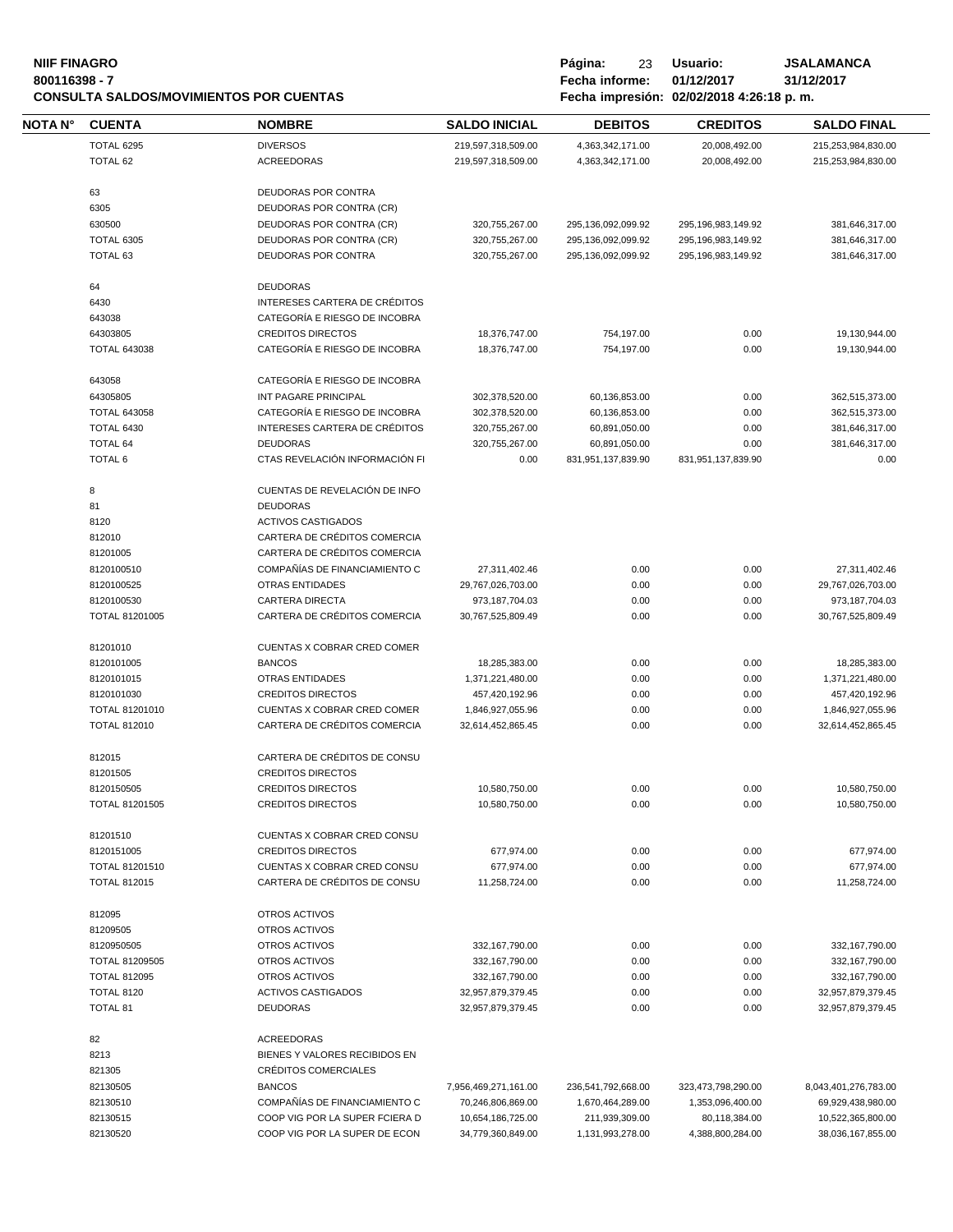#### **NIIF FINAGRO P á g i n a :** 23 **U s u a r i o : JSALAMANCA 800116398 - 7 Fecha informe: 01/12/2017 31/12/2017 CONSULTA SALDOS/MOVIMIENTOS POR CUENTAS Fecha impresión: 02/02/2018 4:26:18 p. m.**

| Página:        | 23  | Usuario:   |  |
|----------------|-----|------------|--|
| Fecha informe: |     | 01/12/2017 |  |
|                | . . | $\cdots$   |  |

| NOTA N° | <b>CUENTA</b>                | <b>NOMBRE</b>                                           | <b>SALDO INICIAL</b>                  | <b>DEBITOS</b>     | <b>CREDITOS</b>        | <b>SALDO FINAL</b>                 |
|---------|------------------------------|---------------------------------------------------------|---------------------------------------|--------------------|------------------------|------------------------------------|
|         | TOTAL 6295                   | <b>DIVERSOS</b>                                         | 219,597,318,509.00                    | 4,363,342,171.00   | 20,008,492.00          | 215,253,984,830.00                 |
|         | TOTAL 62                     | <b>ACREEDORAS</b>                                       | 219,597,318,509.00                    | 4,363,342,171.00   | 20,008,492.00          | 215,253,984,830.00                 |
|         |                              |                                                         |                                       |                    |                        |                                    |
|         | 63<br>6305                   | DEUDORAS POR CONTRA<br><b>DEUDORAS POR CONTRA (CR)</b>  |                                       |                    |                        |                                    |
|         | 630500                       | DEUDORAS POR CONTRA (CR)                                | 320,755,267.00                        | 295,136,092,099.92 | 295, 196, 983, 149. 92 | 381,646,317.00                     |
|         | <b>TOTAL 6305</b>            | DEUDORAS POR CONTRA (CR)                                | 320,755,267.00                        | 295,136,092,099.92 | 295, 196, 983, 149. 92 | 381,646,317.00                     |
|         | TOTAL 63                     | DEUDORAS POR CONTRA                                     |                                       |                    |                        |                                    |
|         |                              |                                                         | 320,755,267.00                        | 295,136,092,099.92 | 295,196,983,149.92     | 381,646,317.00                     |
|         | 64                           | <b>DEUDORAS</b>                                         |                                       |                    |                        |                                    |
|         | 6430                         | INTERESES CARTERA DE CRÉDITOS                           |                                       |                    |                        |                                    |
|         | 643038                       | CATEGORÍA E RIESGO DE INCOBRA                           |                                       |                    |                        |                                    |
|         | 64303805                     | <b>CREDITOS DIRECTOS</b>                                | 18,376,747.00                         | 754,197.00         | 0.00                   | 19,130,944.00                      |
|         | <b>TOTAL 643038</b>          | CATEGORÍA E RIESGO DE INCOBRA                           | 18,376,747.00                         | 754,197.00         | 0.00                   | 19,130,944.00                      |
|         |                              |                                                         |                                       |                    |                        |                                    |
|         | 643058                       | CATEGORÍA E RIESGO DE INCOBRA                           |                                       |                    |                        |                                    |
|         | 64305805                     | INT PAGARE PRINCIPAL                                    | 302,378,520.00                        | 60,136,853.00      | 0.00                   | 362,515,373.00                     |
|         | <b>TOTAL 643058</b>          | CATEGORÍA E RIESGO DE INCOBRA                           | 302,378,520.00                        | 60,136,853.00      | 0.00                   | 362,515,373.00                     |
|         | <b>TOTAL 6430</b>            | INTERESES CARTERA DE CRÉDITOS<br><b>DEUDORAS</b>        | 320,755,267.00                        | 60,891,050.00      | 0.00                   | 381,646,317.00                     |
|         | <b>TOTAL 64</b>              |                                                         | 320,755,267.00                        | 60,891,050.00      | 0.00                   | 381,646,317.00                     |
|         | <b>TOTAL 6</b>               | CTAS REVELACIÓN INFORMACIÓN FI                          | 0.00                                  | 831,951,137,839.90 | 831,951,137,839.90     | 0.00                               |
|         | 8                            | CUENTAS DE REVELACIÓN DE INFO                           |                                       |                    |                        |                                    |
|         | 81                           | <b>DEUDORAS</b>                                         |                                       |                    |                        |                                    |
|         | 8120                         | <b>ACTIVOS CASTIGADOS</b>                               |                                       |                    |                        |                                    |
|         | 812010                       | CARTERA DE CRÉDITOS COMERCIA                            |                                       |                    |                        |                                    |
|         | 81201005                     | CARTERA DE CRÉDITOS COMERCIA                            |                                       |                    |                        |                                    |
|         | 8120100510                   | COMPAÑÍAS DE FINANCIAMIENTO C                           | 27,311,402.46                         | 0.00               | 0.00                   | 27,311,402.46                      |
|         | 8120100525                   | <b>OTRAS ENTIDADES</b>                                  | 29,767,026,703.00                     | 0.00               | 0.00                   | 29,767,026,703.00                  |
|         | 8120100530                   | <b>CARTERA DIRECTA</b>                                  | 973,187,704.03                        | 0.00               | 0.00                   | 973,187,704.03                     |
|         | TOTAL 81201005               | CARTERA DE CRÉDITOS COMERCIA                            | 30,767,525,809.49                     | 0.00               | 0.00                   | 30,767,525,809.49                  |
|         |                              | CUENTAS X COBRAR CRED COMER                             |                                       |                    |                        |                                    |
|         | 81201010                     |                                                         |                                       |                    |                        |                                    |
|         | 8120101005                   | <b>BANCOS</b>                                           | 18,285,383.00                         | 0.00               | 0.00                   | 18,285,383.00                      |
|         | 8120101015                   | <b>OTRAS ENTIDADES</b>                                  | 1,371,221,480.00                      | 0.00               | 0.00                   | 1,371,221,480.00                   |
|         | 8120101030<br>TOTAL 81201010 | <b>CREDITOS DIRECTOS</b><br>CUENTAS X COBRAR CRED COMER | 457,420,192.96                        | 0.00               | 0.00                   | 457,420,192.96<br>1,846,927,055.96 |
|         | <b>TOTAL 812010</b>          | CARTERA DE CRÉDITOS COMERCIA                            | 1,846,927,055.96<br>32,614,452,865.45 | 0.00<br>0.00       | 0.00<br>0.00           | 32,614,452,865.45                  |
|         |                              |                                                         |                                       |                    |                        |                                    |
|         | 812015                       | CARTERA DE CRÉDITOS DE CONSU                            |                                       |                    |                        |                                    |
|         | 81201505                     | <b>CREDITOS DIRECTOS</b>                                |                                       |                    |                        |                                    |
|         | 8120150505                   | <b>CREDITOS DIRECTOS</b>                                | 10,580,750.00                         | 0.00               | 0.00                   | 10,580,750.00                      |
|         | <b>TOTAL 81201505</b>        | <b>CREDITOS DIRECTOS</b>                                | 10,580,750.00                         | 0.00               | 0.00                   | 10,580,750.00                      |
|         |                              |                                                         |                                       |                    |                        |                                    |
|         | 81201510<br>8120151005       | CUENTAS X COBRAR CRED CONSU<br><b>CREDITOS DIRECTOS</b> |                                       | 0.00               | 0.00                   | 677,974.00                         |
|         | TOTAL 81201510               | CUENTAS X COBRAR CRED CONSU                             | 677,974.00<br>677,974.00              | 0.00               | 0.00                   | 677,974.00                         |
|         | <b>TOTAL 812015</b>          | CARTERA DE CRÉDITOS DE CONSU                            | 11,258,724.00                         | 0.00               | 0.00                   | 11,258,724.00                      |
|         |                              |                                                         |                                       |                    |                        |                                    |
|         | 812095                       | OTROS ACTIVOS                                           |                                       |                    |                        |                                    |
|         | 81209505                     | OTROS ACTIVOS                                           |                                       |                    |                        |                                    |
|         | 8120950505                   | OTROS ACTIVOS                                           | 332, 167, 790.00                      | 0.00               | 0.00                   | 332,167,790.00                     |
|         | TOTAL 81209505               | OTROS ACTIVOS                                           | 332,167,790.00                        | 0.00               | 0.00                   | 332, 167, 790.00                   |
|         | <b>TOTAL 812095</b>          | OTROS ACTIVOS                                           | 332, 167, 790.00                      | 0.00               | 0.00                   | 332, 167, 790.00                   |
|         | <b>TOTAL 8120</b>            | <b>ACTIVOS CASTIGADOS</b>                               | 32,957,879,379.45                     | 0.00               | 0.00                   | 32,957,879,379.45                  |
|         | <b>TOTAL 81</b>              | <b>DEUDORAS</b>                                         | 32,957,879,379.45                     | 0.00               | 0.00                   | 32,957,879,379.45                  |
|         | 82                           | <b>ACREEDORAS</b>                                       |                                       |                    |                        |                                    |
|         | 8213                         | BIENES Y VALORES RECIBIDOS EN                           |                                       |                    |                        |                                    |
|         | 821305                       | CRÉDITOS COMERCIALES                                    |                                       |                    |                        |                                    |
|         | 82130505                     | <b>BANCOS</b>                                           | 7,956,469,271,161.00                  | 236,541,792,668.00 | 323,473,798,290.00     | 8,043,401,276,783.00               |
|         |                              |                                                         |                                       |                    |                        |                                    |
|         | 82130510                     | COMPAÑÍAS DE FINANCIAMIENTO C                           | 70,246,806,869.00                     | 1,670,464,289.00   | 1,353,096,400.00       | 69,929,438,980.00                  |
|         | 82130515                     | COOP VIG POR LA SUPER FCIERA D                          | 10,654,186,725.00                     | 211,939,309.00     | 80,118,384.00          | 10,522,365,800.00                  |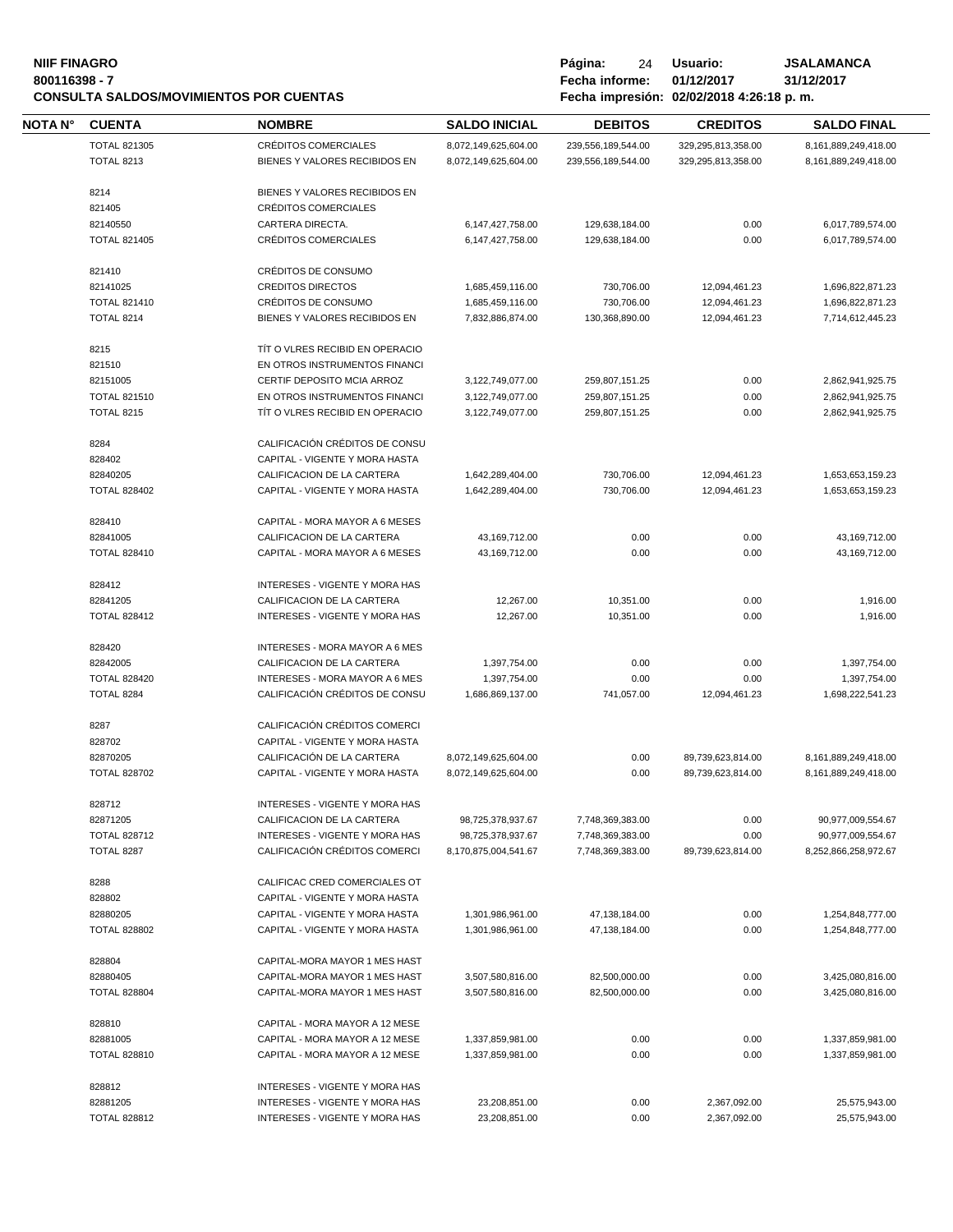## **NIIF FINAGRO P á g i n a :** 24 **U s u a r i o : JSALAMANCA CONSULTA SALDOS/MOVIMIENTOS POR CUENTAS**

**80011639 - Fecha informe: 01/12/2017** - **81/12/**<br>**8001184:26:18 p.m.** 

| NOTA N° | <b>CUENTA</b>       | <b>NOMBRE</b>                         | <b>SALDO INICIAL</b> | <b>DEBITOS</b>     | <b>CREDITOS</b>    | <b>SALDO FINAL</b>   |
|---------|---------------------|---------------------------------------|----------------------|--------------------|--------------------|----------------------|
|         | <b>TOTAL 821305</b> | CRÉDITOS COMERCIALES                  | 8,072,149,625,604.00 | 239,556,189,544.00 | 329,295,813,358.00 | 8,161,889,249,418.00 |
|         | <b>TOTAL 8213</b>   | BIENES Y VALORES RECIBIDOS EN         | 8,072,149,625,604.00 | 239,556,189,544.00 | 329,295,813,358.00 | 8,161,889,249,418.00 |
|         | 8214                | BIENES Y VALORES RECIBIDOS EN         |                      |                    |                    |                      |
|         |                     | <b>CRÉDITOS COMERCIALES</b>           |                      |                    |                    |                      |
|         | 821405              |                                       |                      |                    |                    |                      |
|         | 82140550            | CARTERA DIRECTA.                      | 6,147,427,758.00     | 129,638,184.00     | 0.00               | 6,017,789,574.00     |
|         | <b>TOTAL 821405</b> | CRÉDITOS COMERCIALES                  | 6,147,427,758.00     | 129,638,184.00     | 0.00               | 6,017,789,574.00     |
|         | 821410              | CRÉDITOS DE CONSUMO                   |                      |                    |                    |                      |
|         | 82141025            | <b>CREDITOS DIRECTOS</b>              | 1,685,459,116.00     | 730,706.00         | 12,094,461.23      | 1,696,822,871.23     |
|         | <b>TOTAL 821410</b> | CRÉDITOS DE CONSUMO                   | 1,685,459,116.00     | 730,706.00         | 12,094,461.23      | 1,696,822,871.23     |
|         | <b>TOTAL 8214</b>   | BIENES Y VALORES RECIBIDOS EN         | 7,832,886,874.00     | 130,368,890.00     | 12,094,461.23      | 7,714,612,445.23     |
|         | 8215                | TIT O VLRES RECIBID EN OPERACIO       |                      |                    |                    |                      |
|         | 821510              | EN OTROS INSTRUMENTOS FINANCI         |                      |                    |                    |                      |
|         | 82151005            | CERTIF DEPOSITO MCIA ARROZ            | 3,122,749,077.00     | 259,807,151.25     | 0.00               | 2,862,941,925.75     |
|         | <b>TOTAL 821510</b> | EN OTROS INSTRUMENTOS FINANCI         | 3,122,749,077.00     | 259,807,151.25     | 0.00               | 2,862,941,925.75     |
|         | <b>TOTAL 8215</b>   | TIT O VLRES RECIBID EN OPERACIO       | 3,122,749,077.00     | 259,807,151.25     | 0.00               | 2,862,941,925.75     |
|         |                     |                                       |                      |                    |                    |                      |
|         | 8284                | CALIFICACIÓN CRÉDITOS DE CONSU        |                      |                    |                    |                      |
|         | 828402              | CAPITAL - VIGENTE Y MORA HASTA        |                      |                    |                    |                      |
|         | 82840205            | CALIFICACION DE LA CARTERA            | 1,642,289,404.00     | 730,706.00         | 12,094,461.23      | 1,653,653,159.23     |
|         | <b>TOTAL 828402</b> | CAPITAL - VIGENTE Y MORA HASTA        | 1,642,289,404.00     | 730,706.00         | 12,094,461.23      | 1,653,653,159.23     |
|         | 828410              | CAPITAL - MORA MAYOR A 6 MESES        |                      |                    |                    |                      |
|         | 82841005            | CALIFICACION DE LA CARTERA            | 43,169,712.00        | 0.00               | 0.00               | 43,169,712.00        |
|         | <b>TOTAL 828410</b> | CAPITAL - MORA MAYOR A 6 MESES        | 43,169,712.00        | 0.00               | 0.00               | 43,169,712.00        |
|         |                     |                                       |                      |                    |                    |                      |
|         | 828412              | INTERESES - VIGENTE Y MORA HAS        |                      |                    |                    |                      |
|         | 82841205            | CALIFICACION DE LA CARTERA            | 12,267.00            | 10,351.00          | 0.00               | 1,916.00             |
|         | <b>TOTAL 828412</b> | INTERESES - VIGENTE Y MORA HAS        | 12,267.00            | 10,351.00          | 0.00               | 1,916.00             |
|         | 828420              | <b>INTERESES - MORA MAYOR A 6 MES</b> |                      |                    |                    |                      |
|         | 82842005            | CALIFICACION DE LA CARTERA            | 1,397,754.00         | 0.00               | 0.00               | 1,397,754.00         |
|         | <b>TOTAL 828420</b> | <b>INTERESES - MORA MAYOR A 6 MES</b> | 1,397,754.00         | 0.00               | 0.00               | 1,397,754.00         |
|         | TOTAL 8284          | CALIFICACIÓN CRÉDITOS DE CONSU        | 1,686,869,137.00     | 741,057.00         | 12,094,461.23      | 1,698,222,541.23     |
|         |                     |                                       |                      |                    |                    |                      |
|         | 8287                | CALIFICACIÓN CRÉDITOS COMERCI         |                      |                    |                    |                      |
|         | 828702              | CAPITAL - VIGENTE Y MORA HASTA        |                      |                    |                    |                      |
|         | 82870205            | CALIFICACIÓN DE LA CARTERA            | 8,072,149,625,604.00 | 0.00               | 89,739,623,814.00  | 8,161,889,249,418.00 |
|         | <b>TOTAL 828702</b> | CAPITAL - VIGENTE Y MORA HASTA        | 8,072,149,625,604.00 | 0.00               | 89,739,623,814.00  | 8,161,889,249,418.00 |
|         | 828712              | INTERESES - VIGENTE Y MORA HAS        |                      |                    |                    |                      |
|         | 82871205            | CALIFICACION DE LA CARTERA            | 98,725,378,937.67    | 7,748,369,383.00   | 0.00               | 90,977,009,554.67    |
|         | <b>TOTAL 828712</b> | <b>INTERESES - VIGENTE Y MORA HAS</b> | 98,725,378,937.67    | 7,748,369,383.00   | 0.00               | 90,977,009,554.67    |
|         | TOTAL 8287          | CALIFICACIÓN CRÉDITOS COMERCI         | 8,170,875,004,541.67 | 7,748,369,383.00   | 89,739,623,814.00  | 8,252,866,258,972.67 |
|         |                     |                                       |                      |                    |                    |                      |
|         | 8288                | CALIFICAC CRED COMERCIALES OT         |                      |                    |                    |                      |
|         | 828802              | CAPITAL - VIGENTE Y MORA HASTA        |                      |                    |                    |                      |
|         | 82880205            | CAPITAL - VIGENTE Y MORA HASTA        | 1,301,986,961.00     | 47,138,184.00      | 0.00               | 1,254,848,777.00     |
|         | <b>TOTAL 828802</b> | CAPITAL - VIGENTE Y MORA HASTA        | 1,301,986,961.00     | 47,138,184.00      | 0.00               | 1,254,848,777.00     |
|         |                     |                                       |                      |                    |                    |                      |
|         | 828804              | CAPITAL-MORA MAYOR 1 MES HAST         |                      |                    |                    |                      |
|         | 82880405            | CAPITAL-MORA MAYOR 1 MES HAST         | 3,507,580,816.00     | 82,500,000.00      | 0.00               | 3,425,080,816.00     |
|         | <b>TOTAL 828804</b> | CAPITAL-MORA MAYOR 1 MES HAST         | 3,507,580,816.00     | 82,500,000.00      | 0.00               | 3,425,080,816.00     |
|         | 828810              | CAPITAL - MORA MAYOR A 12 MESE        |                      |                    |                    |                      |
|         | 82881005            | CAPITAL - MORA MAYOR A 12 MESE        | 1,337,859,981.00     | 0.00               | 0.00               | 1,337,859,981.00     |
|         | <b>TOTAL 828810</b> | CAPITAL - MORA MAYOR A 12 MESE        | 1,337,859,981.00     | 0.00               | 0.00               | 1,337,859,981.00     |
|         |                     |                                       |                      |                    |                    |                      |
|         | 828812              | INTERESES - VIGENTE Y MORA HAS        |                      |                    |                    |                      |
|         | 82881205            | INTERESES - VIGENTE Y MORA HAS        | 23,208,851.00        | 0.00               | 2,367,092.00       | 25,575,943.00        |
|         | <b>TOTAL 828812</b> | INTERESES - VIGENTE Y MORA HAS        | 23,208,851.00        | 0.00               | 2,367,092.00       | 25,575,943.00        |